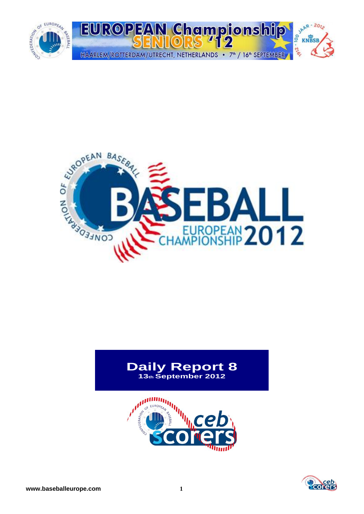



## **Daily Report 8 13th September 2012**



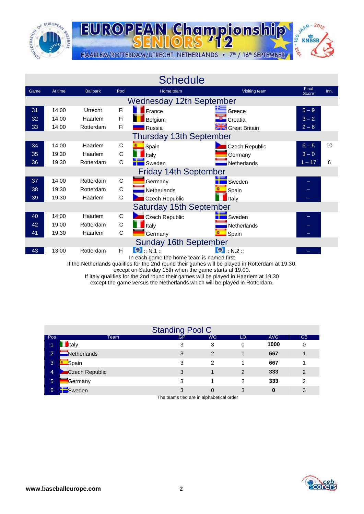



|      |         |                 |              | <b>Schedule</b>                           |                                  |                |      |
|------|---------|-----------------|--------------|-------------------------------------------|----------------------------------|----------------|------|
| Game | At time | <b>Ballpark</b> | Pool         | Home team                                 | Visiting team                    | Final<br>Score | Inn. |
|      |         |                 |              | <b>Wednesday 12th September</b>           |                                  |                |      |
| 31   | 14:00   | Utrecht         | Fi           | France                                    | Greece                           | $5-9$          |      |
| 32   | 14:00   | Haarlem         | Fi           | Belgium                                   | Croatia                          | $3 - 2$        |      |
| 33   | 14:00   | Rotterdam       | Fi           | Russia                                    | <b>Sites</b> Great Britain       | $2 - 6$        |      |
|      |         |                 |              | <b>Thursday 13th September</b>            |                                  |                |      |
| 34   | 14:00   | Haarlem         | C            | Spain                                     | <b>Czech Republic</b>            | $6 - 5$        | 10   |
| 35   | 19:30   | Haarlem         | $\mathsf{C}$ | Italy                                     | Germany                          | $3 - 0$        |      |
| 36   | 19:30   | Rotterdam       | C            | Sweden                                    | <b>Netherlands</b>               | $1 - 17$       | 6    |
|      |         |                 |              | <b>Friday 14th September</b>              |                                  |                |      |
| 37   | 14:00   | Rotterdam       | C            | Germany                                   | Sweden                           |                |      |
| 38   | 19:30   | Rotterdam       | $\mathsf C$  | Netherlands                               | Spain                            |                |      |
| 39   | 19:30   | Haarlem         | C            | Czech Republic                            | Italy                            |                |      |
|      |         |                 |              | <b>Saturday 15th September</b>            |                                  |                |      |
| 40   | 14:00   | Haarlem         | C            | <b>Czech Republic</b>                     | Sweden                           |                |      |
| 42   | 19:00   | Rotterdam       | $\mathsf C$  | Italy                                     | Netherlands                      |                |      |
| 41   | 19:30   | Haarlem         | C            | Germany                                   | Spain                            |                |      |
|      |         |                 |              | <b>Sunday 16th September</b>              |                                  |                |      |
| 43   | 13:00   | Rotterdam       | Fi           | $\bullet$ : N.1 ::                        | $\bigcirc$ $\ldots$ N.2 $\ldots$ |                |      |
|      |         |                 |              | In each game the home team is named first |                                  |                |      |

If the Netherlands qualifies for the 2nd round their games will be played in Rotterdam at 19.30,

except on Saturday 15th when the game starts at 19.00.

If Italy qualifies for the 2nd round their games will be played in Haarlem at 19.30

except the game versus the Netherlands which will be played in Rotterdam.

|                |                | <b>Standing Pool C</b> |           |    |            |               |
|----------------|----------------|------------------------|-----------|----|------------|---------------|
| Pos            | Team           | <b>GP</b>              | <b>WO</b> | LO | <b>AVG</b> | <b>GB</b>     |
| 1              | <b>I</b> taly  | 3                      | 3         | 0  | 1000       | 0             |
| 2              | Netherlands    | 3                      | 2         |    | 667        |               |
| 3.             | Spain          | 3                      | 2         |    | 667        |               |
| $\overline{4}$ | Czech Republic | 3                      |           | 2  | 333        | $\mathcal{P}$ |
| 5              | <b>Germany</b> | 3                      |           | 2  | 333        | 2             |
| 6              | Sweden         | 3                      | 0         | 3  | 0          | 3             |

The teams tied are in alphabetical order

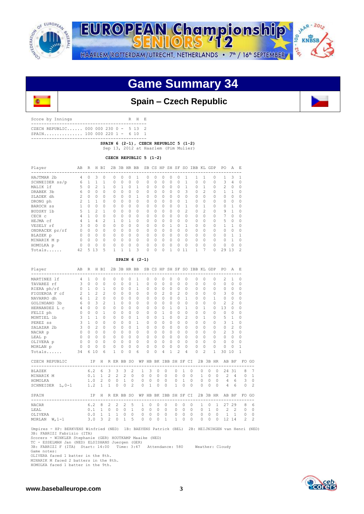



## **Game Summary 34**



## **Spain – Czech Republic**

Score by Innings R H E --------------------------------------------- CZECH REPUBLIC...... 000 000 230 0 - 5 13 2<br>SPAIN............... 100 000 220 1 - 6 10 1 SPAIN............... 100 000 220 1 - 6 10 ---------------------------------------------

 **SPAIN 6 (2-1), CZECH REPUBLIC 5 (1-2)** 

Sep 13, 2012 at Haarlem (Pim Mulier)

 **CZECH REPUBLIC 5 (1-2)**

| Player         | AB | R | H        | BI       |          |   | 2B 3B HR BB |          |          |   |    |          |        |    |          |                | SB CS HP SH SF SO IBB KL GDP | PO.    | Α  | E        |
|----------------|----|---|----------|----------|----------|---|-------------|----------|----------|---|----|----------|--------|----|----------|----------------|------------------------------|--------|----|----------|
| HAJTMAR 2b     | 4  | Λ | 3        |          | $\Omega$ | O | O           |          |          | U | Ω  |          |        |    |          |                | 0                            | 1      | 3  |          |
| SCHNEIDER ss/p | 6  |   |          |          | $\Omega$ | 0 | $\Omega$    | $\circ$  | $\Omega$ | O | 0  | $\Omega$ | O      |    | $\Omega$ | $\Omega$       |                              | 3      | 4  |          |
| MALIK lf       | 5  |   | 2        |          |          |   | O           |          |          |   | 0  | $\Omega$ |        |    | 0        |                |                              | 2      |    |          |
| DRABEK 3b      | 6  |   | $\Omega$ |          | $\Omega$ | 0 | $\Omega$    | 0        | $\Omega$ | 0 | U  | $\Omega$ |        | 3  | $\Omega$ | 2              |                              |        |    |          |
| SLADEK dh      |    | Λ | $\Omega$ | $\Omega$ | $\Omega$ | 0 | 0           |          |          | U | 0  | $\Omega$ |        | 0  | $\Omega$ | $\Omega$       |                              | U      |    | Ω        |
| DRONG ph       |    |   |          | $\Omega$ | $\Omega$ | n | 0           | 0        | $\cap$   | U | 0  | $\Omega$ |        |    | $\Omega$ | $\Omega$       | $\Omega$                     | $\cap$ |    | Ω        |
| BAROCH SS      |    |   | 0        | $\Omega$ | $\Omega$ | n | 0           | 0        | $\cap$   | 0 | U  | $\Omega$ |        |    | 0        |                |                              |        |    |          |
| BUDSKY 1b      | 5  |   | 2        |          | $\Omega$ | U | 0           | 0        | $\cap$   | U | 0  | $\Omega$ |        | 2  | $\Omega$ | $\mathfrak{D}$ | 0                            | 9      |    | $\Omega$ |
| CECH c         |    |   | U        | $\Omega$ | $\Omega$ | U | $\Omega$    | 0        | $\cap$   | O | O. | $\Omega$ | U      | 0  | $\Omega$ | $\Omega$       | $\Omega$                     |        | ∩  | $\cap$   |
| HEJMA cf       |    |   | 4        | 2        |          | U |             | $\Omega$ | $\cap$   | U | O  | $\cap$   | $\cap$ | U  | $\Omega$ | $\Omega$       | 0                            | 5      | O  | $\Omega$ |
| VESELY rf      |    | Λ | U        |          | $\Omega$ | U | 0           | 0        | $\cap$   | U | O  |          |        |    | $\cap$   | $\Omega$       | $\Omega$                     |        |    | $\cap$   |
| ONDRACEK pr/rf |    | U | U        | $\Omega$ | $\Omega$ | U | 0           | 0        | $\cap$   | U | Ω  | 0        | U      | U  | $\Omega$ | $\Omega$       | $\Omega$                     | $\cap$ | U  | ∩        |
| BLAZEK p       |    | Λ | $\cap$   | $\Omega$ | O        | n | U           | 0        |          | U | Λ  | $\Omega$ |        | O  | $\Omega$ | $\Omega$       | $\Omega$                     |        |    |          |
| MINARIK M p    |    | n | $\Omega$ | $\Omega$ | $\Omega$ | Λ | O           | 0        | $\cap$   | U | U  | $\Omega$ | $\cap$ | U  | $\Omega$ | $\Omega$       | $\Omega$                     | O      |    |          |
| HOMOLKA p      |    | ∩ | $\Omega$ | 0        | Λ        | Λ | $\Omega$    | 0        | $\Omega$ | U | O  | $\Omega$ |        | O  | $\cap$   | $\Omega$       |                              | $\cap$ |    | Λ        |
| Totals         | 42 | 5 | 13       | 5        |          |   |             | 3        | $\Omega$ | 0 | Λ  |          |        | 11 |          |                |                              | 29     | 13 | 2        |

 **SPAIN 6 (2-1)**

| Player                                  | AB             | R            |                | H BI           |                |                |              | 2B 3B HR BB    |                   |              |                       |                |             |                |                |              | SB CS HP SH SF SO IBB KL GDP |              |                   | PO.            | A              | E.             |                |
|-----------------------------------------|----------------|--------------|----------------|----------------|----------------|----------------|--------------|----------------|-------------------|--------------|-----------------------|----------------|-------------|----------------|----------------|--------------|------------------------------|--------------|-------------------|----------------|----------------|----------------|----------------|
| MARTINEZ lf                             | 4              | $\mathbf{1}$ | $\Omega$       | $\Omega$       | $\Omega$       |                | $\Omega$     | $\Omega$       | 1                 | 0            | $\cap$                | 0              | $\Omega$    | $\Omega$       | $\Omega$       |              | $\Omega$                     | $\cap$       | $\Omega$          | $\mathfrak{D}$ | 1              | $\Omega$       |                |
| TAVAREZ rf                              | 3              | $\Omega$     | $\circ$        | $\Omega$       | $\circ$        |                | $\Omega$     | $\Omega$       | 1                 | 0            | $\Omega$              | $\Omega$       | $\Omega$    | 0              | $\Omega$       |              | 0                            | $\Omega$     | $\Omega$          | $\mathbf 0$    | $\mathbf 0$    | $\Omega$       |                |
| RIERA ph/rf                             | $\Omega$       | $\mathbf{1}$ | $\circ$        | 1              | 0              |                | 0            | $\circ$        | $\mathbf{1}$      | $\Omega$     | 0                     | $\circ$        | 0           | 0              | 0              |              | $\Omega$                     | 0            | $\Omega$          | 0              | 0              | $\Omega$       |                |
| FIGUEROA F cf                           | $\mathfrak{D}$ | $\mathbf{1}$ | $\overline{c}$ | 2              | 0              |                | $\Omega$     | $\Omega$       | 0                 | 0            | $\cap$                | 2              | $\Omega$    | 2              | 0              |              | $\Omega$                     | O            | $\cap$            | 3              | $\Omega$       | $\Omega$       |                |
| NAVARRO dh                              | 6              | $\mathbf{1}$ | $\overline{c}$ | $\Omega$       | $\circ$        |                | $\Omega$     | $\Omega$       | 0                 | $\Omega$     | $\Omega$              | $\Omega$       | $\Omega$    | $\Omega$       | $\mathbf{1}$   |              | $\Omega$                     | $\Omega$     | $\mathbf{1}$      | $\circ$        | $\Omega$       | $\Omega$       |                |
| GOLINDANO 3b                            | 6              | $\Omega$     | $\mathcal{E}$  | $\mathfrak{D}$ | $\mathbf{1}$   |                | $\Omega$     | $\Omega$       | $\Omega$          | $\Omega$     | $\Omega$              | $\Omega$       | $\Omega$    | $\Omega$       | $\Omega$       |              | $\cap$                       | $\Omega$     | $\Omega$          | $\overline{2}$ | $\mathfrak{D}$ | $\Omega$       |                |
| HERNANDEZ L C                           | $\overline{4}$ | $\cap$       | $\bigcirc$     | $\Omega$       | $\Omega$       |                | $\Omega$     | $\Omega$       | 0                 | $\Omega$     | $\cap$                | $\Omega$       | 1           | 0              | 1              |              | $\Omega$                     | 1            | $\Omega$          | 1.3            | $\Omega$       | $\Omega$       |                |
| FELIZ ph                                | $\circ$        | $\Omega$     | $\circ$        | $\mathbf{1}$   | $\circ$        |                | $\mathbf{0}$ | $\circ$        | 0                 | $\circ$      | 0                     | $\mathbf{1}$   | $\mathbf 0$ | $\Omega$       | $\mathbf 0$    |              | $\Omega$                     | $\Omega$     | $\Omega$          | $\circ$        | $\circ$        | $\Omega$       |                |
| MONTIEL 1b                              | 3              | $\mathbf{1}$ | $\mathbf{1}$   | $\Omega$       | $\Omega$       |                | $\Omega$     | $\Omega$       | 1                 | $\Omega$     | $\Omega$              | 1              | $\Omega$    | 0              | $\overline{c}$ |              | $\Omega$                     | 1            | $\Omega$          | 5              | $\mathbf{1}$   | $\Omega$       |                |
| PEREZ SS                                | 3              | $\mathbf{1}$ | $\Omega$       | $\Omega$       | $\Omega$       |                | $\Omega$     | $\Omega$       | $\mathbf{1}$      | $\Omega$     | $\cap$                | $\Omega$       | $\Omega$    | $\Omega$       | $\Omega$       |              | $\Omega$                     | $\Omega$     | $\cap$            | 3              | $\mathbf{1}$   | $\Omega$       |                |
| SALAZAR 2b                              | 3              | $\Omega$     | $\overline{c}$ | $\Omega$       | $\Omega$       |                | $\Omega$     | $\Omega$       | $\mathbf{1}$      | $\Omega$     | $\Omega$              | $\Omega$       | $\Omega$    | $\Omega$       | $\Omega$       |              | $\Omega$                     | $\Omega$     | $\Omega$          | $\circ$        | $\overline{2}$ | $\Omega$       |                |
| NACAR p                                 | $\Omega$       | $\Omega$     | $\Omega$       | $\cap$         | $\Omega$       |                | $\Omega$     | $\Omega$       | $\Omega$          | $\Omega$     | $\Omega$              | 0              | $\Omega$    | $\cap$         | $\Omega$       |              | $\Omega$                     | 0            | $\Omega$          | $\overline{c}$ | 3              | $\Omega$       |                |
| LEAL p                                  | $\Omega$       | $\cap$       | $\circ$        | $\cap$         | $\circ$        |                | $\Omega$     | $\circ$        | $\Omega$          | $\Omega$     | $\cap$                | $\Omega$       | $\cap$      | $\cap$         | $\Omega$       |              | $\Omega$                     | 0            | $\cap$            | $\circ$        | $\Omega$       | $\Omega$       |                |
| OLIVERA p                               | $\circ$        | $\Omega$     | $\overline{0}$ | $\Omega$       | $\circ$        |                | $\mathbf{0}$ | $\circ$        | $\circ$           | $\circ$      | $\circ$               | $\overline{0}$ | $\circ$     | $\circ$        | $\circ$        |              | $\circ$                      | 0            | $\Omega$          | $\circ$        | $\Omega$       | 0              |                |
| MORLAN p                                | $\Omega$       | $\Omega$     | $\circ$        | $\Omega$       | 0              |                | 0            | $\circ$        | $\circ$           | 0            | 0                     | 0              | 0           | 0              | 0              |              | 0                            | 0            | $\Omega$          | 0              | $\Omega$       | 1              |                |
| $Totals$                                | 34             |              | 6 10           | 6              | $\mathbf{1}$   |                | $\Omega$     | $\Omega$       | 6                 | $\cap$       | $\Omega$              | 4              | 1           | $\mathfrak{D}$ | 4              |              | $\Omega$                     | 2            | $\mathbf{1}$      | 30             | 10             | 1              |                |
| CZECH REPUBLIC<br>--------------------- | IP             |              |                | H              | R ER BB SO     |                |              |                |                   |              | WP HB BK IBB SH SF CI |                |             |                |                |              |                              |              | 2B 3B HR          |                | AB BF          | FO             | GO             |
| <b>BLAZEK</b>                           |                |              | $6.2 \quad 6$  |                | 3              | 3              | 3            | 2              | $\mathbf{1}$      | 3            | $\circ$               | $\Omega$       |             | $\circ$        | $\mathbf{1}$   | $\circ$      | 0                            | $\Omega$     | $\circ$           |                | 24 31          | 8              | $\overline{7}$ |
| MINARIK M                               |                | 0.1          |                | <sup>1</sup>   | $2^{\circ}$    | $2^{\circ}$    | 2            |                | $\mathbf{0}$<br>0 | $\Omega$     | $\circ$               | $\Omega$       |             | $\circ$        | $\circ$        | $\mathbf{0}$ | $\mathbf{1}$                 | $\circ$      | $\Omega$          | $\overline{2}$ |                | 4<br>$\Omega$  | $\mathbf{1}$   |
| HOMOLKA                                 |                | 1.0          |                | $\mathbf{2}$   | $\circ$        | $\circ$        | $\mathbf{1}$ | $\mathbf{0}$   | $\circ$           | $\circ$      | $\circ$               |                | $\circ$     | $\circ$        | $\mathbf{1}$   | $\circ$      |                              |              | $0\quad 0\quad 0$ | $\overline{4}$ | 6              | 3              | $\circ$        |
| SCHNEIDER L, 0-1                        |                | 1.2          |                | $\mathbf{1}$   | $\mathbf{1}$   | $\Omega$       | $\Omega$     | $\mathfrak{D}$ | $\Omega$          | $\mathbf{1}$ | $\Omega$              | $\Omega$       |             | $\mathbf{1}$   | $\Omega$       | $\Omega$     | $\Omega$                     | $\Omega$     | $\Omega$          | $\overline{4}$ | 6              | $\Omega$       | $\overline{c}$ |
| SPAIN                                   |                |              | IP             | H              | R ER BB SO     |                |              |                |                   |              | WP HB BK IBB SH SF CI |                |             |                |                |              |                              |              | 2B 3B HR          |                | AB BF          | FO             | - GO           |
| <b>NACAR</b>                            |                | 6.2          |                | 8              | $\overline{2}$ | 2              | 2            | 5              | 1                 | 0            | 0                     | $\Omega$       |             | 0              | $\Omega$       | $\circ$      | 1                            | 0            | 1                 | 27             | 29             | 8              | 6              |
| LEAL                                    |                | 0.1          |                |                | $1 \quad 0$    | $\overline{0}$ | $\circ$      | 1              | $\circ$           | $\Omega$     | $\circ$               | $\Omega$       |             | $\circ$        | $\Omega$       | $\circ$      | 0                            | $\mathbf{1}$ | $\circ$           | 2              | 2              | $\Omega$       | $\circ$        |
| OLIVERA                                 |                | 0.0          |                | $\mathbf{1}$   | $\overline{1}$ | 1              | $\circ$      | $\circ$        | $\circ$           | 0            | $\circ$               | 0              |             | $\circ$        | $\circ$        | $\circ$      | 0                            | $\circ$      | $\circ$           | $\mathbf{1}$   | $\overline{1}$ | $\Omega$       | $\Omega$       |
| $W, 1-1$<br>MORLAN                      |                | 3.0          |                | $\mathbf{3}$   | $\overline{c}$ | $\circ$        | $\mathbf{1}$ | 5              | $\circ$           | $\circ$      | $\circ$               | $\mathbf{1}$   |             | $\mathbf{1}$   | $\Omega$       | $\Omega$     | $\Omega$                     | $\circ$      | $\Omega$          |                | 12 14          | $\mathfrak{D}$ | $\overline{c}$ |
|                                         |                |              |                |                |                |                |              |                |                   |              |                       |                |             |                |                |              |                              |              |                   |                |                |                |                |

 Umpires - HP: BERKVENS Winfried (NED) 1B: BAEYENS Patrick (BEL) 2B: HEIJNINGEN van Henri (NED) 3B: FABRIZI Fabrizio (ITA) Scorers - WINKLER Stephanie (GER) HOUTKAMP Maaike (NED) ECOLOGY - ESSELMAN Jan (NED) ELSISHANS Juergen (GER)<br>3B: FABRIZI F (ITA) Start: 14:00 Time: 3:47 Time: 3:47 Attendance: 580 Weather: Cloudy Game notes:

OLIVERA faced 1 batter in the 8th.

MINARIK M faced 2 batters in the 8th. HOMOLKA faced 1 batter in the 9th.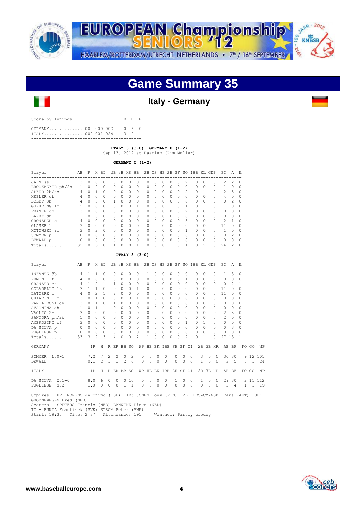

JAAR - 2012 EUROPEAN Championship 00 **KNBSB PA-10** HAARLEM/ROTTERDAM/UTRECHT, NETHERLANDS • 7<sup>th</sup> / 16<sup>th</sup> SEPTEMBER

## **Game Summary 35**

## **Italy - Germany**

| Score by Innings                                           |  |  | R H E |  |
|------------------------------------------------------------|--|--|-------|--|
| GERMANY 000 000 000 - 0 6 0<br>$ITALY$ 000 001 02X - 3 9 1 |  |  |       |  |
|                                                            |  |  |       |  |

 **ITALY 3 (3-0), GERMANY 0 (1-2)**  Sep 13, 2012 at Haarlem (Pim Mulier)

 **GERMANY 0 (1-2)**

| Player           | AB | R        | H        | BI        |          |           | 2B 3B HR BB |          |        |          |          |   |          |          | SB CS HP SH SF SO IBB KL GDP |                |          | PO.            | А             | $_{\rm E}$ |
|------------------|----|----------|----------|-----------|----------|-----------|-------------|----------|--------|----------|----------|---|----------|----------|------------------------------|----------------|----------|----------------|---------------|------------|
| JAHN SS          | 3  | $\Omega$ | 0        | $\Omega$  | Ω        | $\Omega$  | 0           |          | O      | 0        | U        |   | 0        | 2        | $\Omega$                     | 0              | Ω        | $\mathcal{L}$  | $\mathcal{L}$ | - 0        |
| BROCKMEYER ph/2b |    | $\Omega$ | $\Omega$ | $\bigcap$ | $\Omega$ | $\Omega$  | $\Omega$    | $\Omega$ | $\cap$ | $\Omega$ | $\Omega$ | 0 | $\Omega$ | $\Omega$ | $\Omega$                     | $\Omega$       |          |                | $\Omega$      | $\cap$     |
| SPEER 2b/ss      | 4  | 0        |          |           | 0        | 0         | 0           | $\Omega$ | $\cap$ | O        | $\Omega$ | 0 | $\Omega$ | 2        | $\Omega$                     |                |          | 2              | 5             | $\Omega$   |
| KEPLER cf        | 4  | $\Omega$ | 0        | $\bigcap$ | O.       | $\cap$    | $\Omega$    | $\Omega$ | $\cap$ | $\Omega$ | $\Omega$ | O | 0        | $\cap$   | $\Omega$                     | O              |          | 4              | 0             | $\Omega$   |
| BOLDT 3b         | 4  | $\Omega$ | 3        | $\Omega$  |          | U         | $\Omega$    | $\Omega$ | $\cap$ | O        | $\Omega$ | O | $\Omega$ | $\Omega$ | $\Omega$                     | $\Omega$       |          | $\Omega$       | 2             | $\cap$     |
| GUEHRING 1f      |    | 0        | $\Omega$ | $\Omega$  | Ω        | O         | 0           |          | $\cap$ | 0        |          |   | O        |          | $\cap$                       |                |          |                | O             | $\cap$     |
| FRANKE dh        |    | $\Omega$ | $\Omega$ | $\Omega$  | O.       | $\cap$    | 0           | 0        | 0      | $\Omega$ | U        | O | 0        | 2        | $\Omega$                     | O              | Λ        | $\Omega$       | 0             | $\Omega$   |
| LARRY dh         |    | O        | $\cap$   | $\Omega$  | O.       | U         | $\Omega$    | $\Omega$ | $\cap$ | O        | O        | U | $\Omega$ | $\cap$   | $\bigcap$                    | $\Omega$       | U        | $\Omega$       | $\Omega$      | $\cap$     |
| GRONAUER c       |    | $\Omega$ | $\Omega$ | $\Omega$  | O.       | U         | 0           | $\Omega$ | $\cap$ | 0        | $\Omega$ | 0 | $\Omega$ | 3        | $\Omega$                     | 0              | $\Omega$ | $\mathfrak{D}$ |               | $\cap$     |
| GLASER 1b        | ₹  | $\Omega$ | $\cap$   | $\Omega$  | $\Omega$ | $\bigcap$ | $\Omega$    | $\Omega$ | $\cap$ | $\Omega$ | O        | O | $\Omega$ | $\cap$   | $\bigcap$                    | $\Omega$       | U        | 11             | Λ             | $\cap$     |
| KOTOWSKI rf      |    | $\Omega$ | 2        | $\Omega$  | U        | U         | $\Omega$    | $\Omega$ | $\cap$ | O        | O        | U | O        |          | $\cap$                       | O              |          |                | O             | $\cap$     |
| SOMMER p         |    | 0        | 0        | $\Omega$  | Ω        | U         | 0           | O        | $\cap$ | O        | O        | O | $\Omega$ | 0        | $\Omega$                     | O              | $\Omega$ | $\Omega$       | 2             | $\Omega$   |
| DEWALD p         |    | $\Omega$ | $\cap$   | $\Omega$  | O        | $\cap$    | $\Omega$    | O        | $\cap$ | O        | $\cap$   | U | O        | $\Omega$ | $\cap$                       | $\Omega$       | Λ        | $\Omega$       | $\cap$        | $\cap$     |
| Totals           | 32 | 0        | 6        |           |          |           |             |          | 0      | 0        |          |   | U        | 11       |                              | $\mathfrak{D}$ | 0        | 24             | 12            |            |

### **ITALY 3 (3-0)**

| Player<br>---------------                                                                                     |                     | ----------- |                |           |                                                                | AB R H BI 2B 3B HR BB SB CS HP SH SF SO IBB KL GDP PO A E |                           |                     |                |          |             |                |                                                        |                 |                |          |          |                |            |                                                               |     |
|---------------------------------------------------------------------------------------------------------------|---------------------|-------------|----------------|-----------|----------------------------------------------------------------|-----------------------------------------------------------|---------------------------|---------------------|----------------|----------|-------------|----------------|--------------------------------------------------------|-----------------|----------------|----------|----------|----------------|------------|---------------------------------------------------------------|-----|
| INFANTE 3b                                                                                                    | $4 \quad 1 \quad 1$ | $\Omega$    | $\Omega$       | $\Omega$  | $\Omega$                                                       | $\Omega$                                                  | $\mathbf{1}$              | $\Omega$            | $\Omega$       | $\Omega$ | $\Omega$    |                | $\Omega$                                               | $\Omega$        | $\Omega$       | $\Omega$ |          | $\overline{1}$ | 3          | $\Omega$                                                      |     |
| ERMINI 1f                                                                                                     |                     |             |                |           |                                                                | 4 0 0 0 0 0 0 0                                           |                           | $0 \quad 0 \quad 0$ |                | $\Omega$ |             |                |                                                        |                 |                |          |          | 0 1 0 0 0 0 0  |            | $\circ$                                                       |     |
| GRANATO ss                                                                                                    | 4 1 2 1 1           |             |                |           | $0\quad 0\quad 0$                                              |                                                           | $\Omega$                  | $\Omega$            | $\circ$        |          | $0 \quad 0$ |                | $\Omega$                                               | $0\quad 0$      |                | $\Omega$ |          | $0\quad 2$     |            | $\mathbf{1}$                                                  |     |
|                                                                                                               |                     |             |                |           |                                                                |                                                           | $\Omega$                  | $\cap$              | $\Omega$       | $\cap$   |             | $0\quad 0$     |                                                        | $\Omega$        | $\bigcirc$     | $\Omega$ |          | $11 \quad 0$   |            | $\Omega$                                                      |     |
|                                                                                                               |                     |             |                |           |                                                                |                                                           | $\Omega$                  | $\cap$              | $\Omega$       |          | $\Omega$    |                | $0 \quad 0$                                            | $\Omega$        | $\Omega$       |          | $\Omega$ | 11             | $\Omega$   | $\Omega$                                                      |     |
| CHIARINI rf                                                                                                   | 3 0 1 0 0           |             |                |           | $0 \quad 0 \quad 1$                                            |                                                           | $\circ$                   | $\Omega$            | $\circ$        | $\Omega$ | $\circ$     |                | $\Omega$                                               | $\circ$         | $\Omega$       | $\Omega$ |          | $\Omega$       | $\bigcirc$ | 0                                                             |     |
|                                                                                                               |                     |             |                | $\bigcap$ | $\cap$                                                         | $\Omega$                                                  | $\bigcap$                 | $\cap$              | $\Omega$       | $\cap$   | $\bigcap$   |                | $\cap$                                                 | $\bigcap$       | $\cap$         | $\cap$   |          | $\cap$         | $\Omega$   | $\Omega$                                                      |     |
|                                                                                                               |                     |             |                |           | $\begin{array}{ccccccccccccc}\n0 & 0 & 0 & 0 & 0\n\end{array}$ |                                                           | $\Omega$                  | $\cap$              | $\Omega$       |          | $\Omega$    | 0 <sub>0</sub> |                                                        | $\Omega$        | $\Omega$       | $\Omega$ |          | $0\quad 0$     |            | $\Omega$                                                      |     |
|                                                                                                               |                     |             |                |           |                                                                |                                                           | $\circ$                   | $\overline{0}$      | $\Omega$       | $\Omega$ | $\Omega$    |                | $\Omega$                                               | $\Omega$        | $\Omega$       | $\Omega$ |          | 2 <sub>5</sub> |            | 0                                                             |     |
|                                                                                                               |                     |             |                |           |                                                                |                                                           | $\Omega$                  | $\cap$              | $\Omega$       | $\cap$   |             | $\Omega$       | $\circ$                                                | $\Omega$        | $\Omega$       | $\Omega$ |          | $2^{\circ}$    | $\circ$    | $\Omega$                                                      |     |
|                                                                                                               |                     |             |                |           |                                                                |                                                           | $\Omega$                  | $\cap$              | $\Omega$       |          |             |                | $\begin{array}{ccccccccc}\n0 & 0 & 1 & 0\n\end{array}$ |                 | $\overline{1}$ | $\Omega$ |          | $0 \quad 0$    |            | $\Omega$                                                      |     |
|                                                                                                               |                     |             |                |           |                                                                |                                                           |                           |                     |                |          |             |                |                                                        | 0 0 0 0 0 0 0 0 |                |          | $\Omega$ | 0 <sup>3</sup> |            | $\Omega$                                                      |     |
|                                                                                                               |                     |             |                |           |                                                                |                                                           |                           |                     |                |          |             |                | $0\quad 0\quad 0\quad 0\quad 0\quad 0\quad 0$          | $\Omega$        | $\overline{0}$ | $\Omega$ |          | $0\quad 0$     |            | $\Omega$                                                      |     |
| Totals 33 3 9 3                                                                                               |                     |             | $\overline{4}$ | $\Omega$  | $\Omega$                                                       | $\mathfrak{D}$                                            | $\mathbf{1}$              | $\Omega$            | $\cap$         | $\cap$   | $\Omega$    |                | $\mathfrak{D}$                                         | $\bigcap$       | $\overline{1}$ | $\Omega$ |          | 27 13          |            | $\mathbf{1}$                                                  |     |
| GERMANY                                                                                                       |                     |             |                |           |                                                                |                                                           |                           |                     |                |          |             |                |                                                        |                 |                |          |          |                |            | IP H R ER BB SO WP HB BK IBB SH SF CI 2B 3B HR AB BF FO GO NP |     |
| SOMMER L, 0-1 7.2 7 2 2 0 2                                                                                   |                     |             |                |           |                                                                |                                                           | $0\quad 0\quad 0\quad 0$  |                     |                |          |             |                |                                                        |                 |                |          |          |                |            | 0 0 0 3 0 0 30 30 9 12 101                                    |     |
| 0.1 2 1 1 2 0 0 0 0 0<br>DEWALD                                                                               |                     |             |                |           |                                                                |                                                           |                           |                     |                |          |             |                |                                                        |                 |                |          |          |                |            | 0 0 0 1 0 0 3 5 0 1 24                                        |     |
| ITALY IP H R ER BB SO WP HB BK IBB SH SF CI 2B 3B HR AB BF FOGO NP                                            |                     |             |                |           |                                                                |                                                           |                           |                     |                |          |             |                |                                                        |                 |                |          |          |                |            |                                                               |     |
| DA SILVA W, 1-0 8.0 6 0 0 0 10                                                                                |                     |             |                |           |                                                                |                                                           | $\circ$<br>$\overline{0}$ | $\overline{0}$      | $\overline{0}$ |          |             | $1 \quad 0$    |                                                        | 0 1 0 0         |                |          |          |                |            | 29 30 2 11 112                                                |     |
| PUGLIESE S, 2 1.0 0 0                                                                                         |                     |             |                |           | $0 \t1 \t1$                                                    |                                                           | $0 \quad 0$               | $\bigcirc$          | $\bigcirc$     |          | $\bigcirc$  | $\Omega$       | $\bigcap$                                              |                 | $\Omega$       |          |          |                |            | 0 0 3 4 1 1 1 9                                               |     |
| Umpires - HP: MORENO Jerónimo (ESP) 1B: JONES Tony (FIN) 2B: BESZCZYNSKI Dana (AUT)<br>GROENEMEGEN Fred (NED) |                     |             |                |           |                                                                |                                                           |                           |                     |                |          |             |                |                                                        |                 |                |          |          |                |            |                                                               | 3B: |

GROENEWEGEN Fred (NED)<br>Scorers - SPETERS Francis (NED) BANNINK Dieks (NED)<br>TC - BUNTA Frantisek (SVK) STROM Peter (SWE)<br>Start: 19:30 Time: 2:37 Attendance: 195 Weather: Partly cloudy

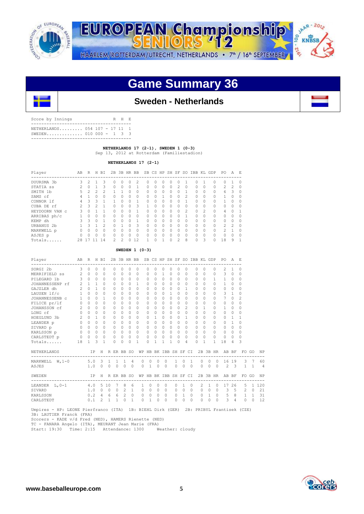



## **Game Summary 36**



## **Sweden - Netherlands**

| Score by Innings                                      |  |  | R H |  |
|-------------------------------------------------------|--|--|-----|--|
| NETHERLANDS 054 107 - 17 11 1<br>SWEDEN 010 000 - 1 3 |  |  |     |  |
|                                                       |  |  |     |  |

 **NETHERLANDS 17 (2-1), SWEDEN 1 (0-3)** 

Sep 13, 2012 at Rotterdam (Familiestadion)

 **NETHERLANDS 17 (2-1)**

| Player                | AB | R              | Н      | BI             | 2B        | 3B     | HR BB    |                |           |   |    | SB CS HP SH SF |                | SO.      | IBB      | KL.      | GDP       | PO.           | A      | E.           |
|-----------------------|----|----------------|--------|----------------|-----------|--------|----------|----------------|-----------|---|----|----------------|----------------|----------|----------|----------|-----------|---------------|--------|--------------|
| DUURSMA 3b            | 3  | $\mathfrak{D}$ |        | Κ              | $\Omega$  | Λ      | O        | $\mathfrak{D}$ |           | Λ | Ω  |                |                |          | Ω        |          | 0         | 0             |        | n            |
| STATIA SS             | 2  | $\Omega$       |        | 3              | $\Omega$  | 0      | 0        |                | $\cap$    | 0 | 0  | $\Omega$       | $\mathfrak{D}$ | 0        | $\Omega$ | $\Omega$ | $\Omega$  | $\mathcal{L}$ | 2      | $\Omega$     |
| SMITH 1b              | 5  | 2              | 2      | $\mathfrak{D}$ |           |        | O        | $\Omega$       | $\bigcap$ | O | U  | $\Omega$       | Λ              |          | $\Omega$ | $\Omega$ | $\Omega$  | 6             | 3      | $\Omega$     |
| SAMS cf               | 4  |                | 0      | 0              | 0         | 0      | 0        | $\Omega$       | $\Omega$  | 0 |    | $\Omega$       | 0              | 2        | $\Omega$ | $\Omega$ | $\Omega$  |               | 0      | $\Omega$     |
| CONNOR 1f             | 4  | Κ              | 3      |                |           | U      | 0        |                | $\bigcap$ | U | Ω  | $\cap$         | ∩              |          | $\Omega$ | $\Omega$ | $\Omega$  | 1             | $\cap$ | <sup>0</sup> |
| CUBA DE rf            |    | 3              | っ      |                | $\Omega$  | U      | 0        | 3              |           | U | O  | $\Omega$       | U              | $\Omega$ | $\Omega$ | $\Omega$ | $\Omega$  | $\Omega$      | U      | n            |
| HEYDOORN VAN C        | 3  | Ω              |        |                | $\Omega$  | U      | 0        |                | $\bigcap$ | U | Ω  | $\Omega$       | n              | 2        | $\Omega$ | 2        | $\bigcap$ | 4             | U      |              |
| ARRIBAS ph/c          |    | O              | 0      | $\Omega$       | $\Omega$  | $\cap$ | 0        | $\Omega$       | $\bigcap$ | O | O  | $\Omega$       | Λ              |          | $\Omega$ | $\Omega$ | $\Omega$  | $\Omega$      | O      | n            |
| KEMP dh               | 3  | 3              | $\cap$ |                | $\bigcap$ | U      | 0        |                | $\bigcap$ | O | O. | $\bigcap$      | U              | $\cap$   | $\Omega$ | $\Omega$ | $\Omega$  | $\Omega$      | O      | $\Omega$     |
| URBANUS <sub>2b</sub> |    | २              |        | 2              | $\Omega$  |        | $\Omega$ | 3              | $\bigcap$ | U | O  | $\cap$         | $\cap$         | $\cap$   | $\Omega$ | $\Omega$ | $\Omega$  | 2             | 2      | $\Omega$     |
| MARKWELL p            | 0  | 0              | 0      | $\Omega$       | $\Omega$  | U      | 0        | $\Omega$       | $\cap$    | O | U  | $\Omega$       | 0              | $\Omega$ | $\Omega$ | $\Omega$ | $\Omega$  | 2             |        | $\Omega$     |
| ASJES p               |    | Λ              | $\cap$ | $\Omega$       | $\Omega$  | Λ      | O        | $\Omega$       | $\bigcap$ | O | O  | $\Omega$       | Λ              | $\cap$   | $\Omega$ | $\Omega$ | $\Omega$  | $\bigcap$     | U      | $\cap$       |
| Totals                | 28 |                |        | 14             | 2         |        | Λ        | 12             |           | Λ |    | $\Omega$       |                | 8        | 0        | 3        | $\Omega$  | 18            | 9      |              |

### **SWEDEN 1 (0-3)**

| Player            | AB             | R              |              | H BI           |              |          | 2B 3B HR BB    |          |          |                            |          |          |              |          |                |          |           | SB CS HP SH SF SO IBB KL GDP |          | PO.            | A              | E,           |              |           |
|-------------------|----------------|----------------|--------------|----------------|--------------|----------|----------------|----------|----------|----------------------------|----------|----------|--------------|----------|----------------|----------|-----------|------------------------------|----------|----------------|----------------|--------------|--------------|-----------|
| SORGI 2b          | 3              | $\Omega$       | $\Omega$     | $\Omega$       |              | 0        | $\Omega$       | 0        | 0        | 0                          | $\Omega$ | $\Omega$ | $\Omega$     | $\Omega$ | $\Omega$       |          | $\Omega$  | $\Omega$                     | $\Omega$ | $\overline{c}$ | 1              | 0            |              |           |
| MERRIFIELD SS     | $\mathfrak{D}$ | $\Omega$       | $\Omega$     | 0              |              | O.       | $\cap$         | U        | $\cap$   | $\Omega$                   | O        | 1        | $\cap$       | $\Omega$ | $\Omega$       |          | $\bigcap$ | $\Omega$                     | $\Omega$ | 3              | $\Omega$       | $\Omega$     |              |           |
| PILEGARD 1b       | 3              | $\Omega$       | $\Omega$     | $\Omega$       |              | $\Omega$ | $\Omega$       | 0        | 0        | $\Omega$                   | 0        | $\Omega$ | $\Omega$     | $\Omega$ | $\Omega$       |          | $\Omega$  | $\Omega$                     | 1        | 1              | 0              | $\Omega$     |              |           |
| JOHANNESSENP rf   | 2              | $\mathbf{1}$   | 1            | $\Omega$       |              | 0        | $\Omega$       | $\Omega$ | 1        | $\Omega$                   | $\Omega$ | 0        | $\Omega$     | $\Omega$ | $\Omega$       |          | $\Omega$  | $\Omega$                     | $\Omega$ | $\mathbf{1}$   | $\Omega$       | 0            |              |           |
| GAJZLER dh        | $\overline{2}$ | $\Omega$       | $\mathbf{1}$ | $\Omega$       |              | 0        | $\Omega$       | $\cap$   | 0        | $\Omega$                   | $\Omega$ | $\Omega$ | $\Omega$     | $\Omega$ | 1              |          | $\Omega$  | $\Omega$                     | $\Omega$ | $\Omega$       | $\Omega$       | 0            |              |           |
| LAUSEN 1f/c       | 1              | $\Omega$       | $\Omega$     | $\Omega$       |              | 0        | $\cap$         | $\cap$   | $\cap$   | $\Omega$                   | $\cap$   | 0        | $\mathbf{1}$ | 0        | $\cap$         |          | $\bigcap$ | $\Omega$                     | $\Omega$ | 3              | 1              | 0            |              |           |
| JOHANNESSENB c    | $\mathbf{1}$   | $\cap$         | $\cap$       | 1.             |              | 0        | 0              | 0        | 0        | $\cap$                     | $\Omega$ | 0        | $\bigcap$    | $\cap$   | 0              |          | $\bigcap$ | $\bigcap$                    | 0        | 7              | $\cap$         | 2            |              |           |
| FILICE pr/lf      | 0              | $\Omega$       | $\Omega$     | $\Omega$       |              | 0        | $\Omega$       | 0        | 0        | $\Omega$                   | $\Omega$ | 0        | $\Omega$     | $\Omega$ | $\Omega$       |          | $\cap$    | $\Omega$                     | $\Omega$ | $\Omega$       | 0              | 0            |              |           |
| JOHANSSON cf      | 2              | $\Omega$       | $\Omega$     | 0              |              | 0        | $\cap$         | 0        | $\cap$   | $\cap$                     | $\Omega$ | 0        | $\bigcap$    | $\Omega$ | $\mathfrak{D}$ |          | $\bigcap$ | 1                            | $\Omega$ | 1              | $\cap$         | 0            |              |           |
| LONG cf           | $\circ$        | $\Omega$       | $\Omega$     | $\Omega$       |              | 0        | $\cap$         | 0        | $\Omega$ | $\Omega$                   | $\Omega$ | $\Omega$ | $\Omega$     | $\Omega$ | $\Omega$       |          | $\cap$    | $\Omega$                     | $\Omega$ | $\Omega$       | $\Omega$       | $\Omega$     |              |           |
| HOEGLUND 3b       | $\overline{2}$ | $\Omega$       | 1            | $\Omega$       |              | 0        | 0              | $\cap$   | $\cap$   | 0                          | 1        | 0        | $\bigcap$    | $\Omega$ | 1              |          | $\bigcap$ | $\Omega$                     | $\Omega$ | $\Omega$       | 1              | 1            |              |           |
| LEANDER p         | $0\qquad 0$    |                | $\Omega$     | $\Omega$       |              | 0        | $\Omega$       | $\Omega$ | 0        | $\Omega$                   | $\Omega$ | $\Omega$ | $\circ$      | $\Omega$ | $\Omega$       |          | $\Omega$  | $\Omega$                     | $\Omega$ | $\Omega$       | 1              | 0            |              |           |
| SIVARD p          | $\Omega$       | $\Omega$       | $\Omega$     | 0              |              | 0        | $\Omega$       | $\cap$   | 0        | $\Omega$                   | $\Omega$ | 0        | $\Omega$     | $\Omega$ | $\Omega$       |          | $\Omega$  | $\Omega$                     | $\Omega$ | 0              | $\Omega$       | 0            |              |           |
| KARLSSON p        | $\circ$        | $\Omega$       | $\Omega$     | $\Omega$       |              | 0        | $\Omega$       | $\cap$   | $\Omega$ | $\Omega$                   | $\Omega$ | $\Omega$ | $\Omega$     | $\Omega$ | $\Omega$       |          | $\Omega$  | $\Omega$                     | $\Omega$ | $\Omega$       | $\Omega$       | 0            |              |           |
| CARLSTEDT p       | $\overline{0}$ | $\overline{0}$ | $\circ$      | 0              |              | 0        | $\Omega$       | 0        | 0        | 0                          | $\Omega$ | 0        | $\Omega$     | $\Omega$ | $\Omega$       |          | $\Omega$  | $\Omega$                     | $\Omega$ | 0              | 0              | U            |              |           |
| $Totals$          | 18             | $\mathbf{1}$   | 3            | 1              |              | 0        | $\Omega$       | $\Omega$ | 1        | $\Omega$                   | 1        | 1        | 1            | $\Omega$ | 4              |          | $\cap$    | $\mathbf{1}$                 | 1        | 18             | 4              | 3            |              |           |
| NETHERLANDS       |                | IP             |              | H              |              |          | R ER BB SO     |          |          | WP HB BK IBB SH SF CI      |          |          |              |          |                |          |           | 2B 3B HR                     |          |                | AB BF          | FO.          | GO           | <b>NP</b> |
| MARKWELL $W, 1-0$ |                | $5.0 \quad 3$  |              |                | $\mathbf{1}$ | 1        | $\overline{1}$ | 4        |          | 0<br>$\Omega$              | $\Omega$ |          | $\Omega$     | 1        | $\Omega$       | 1        | $\Omega$  | $\Omega$                     | $\Omega$ |                | 16 19          | 3            | 7            | 60        |
| ASJES             |                | 1.0            |              | $\Omega$       | $\Omega$     | $\Omega$ | $\Omega$       | $\Omega$ |          | $\Omega$<br>$\overline{1}$ | $\circ$  |          | $\Omega$     | $\Omega$ | $\circ$        | $\circ$  | $\Omega$  | $\Omega$                     | $\Omega$ | $\mathfrak{D}$ | $\mathcal{A}$  | $\mathbf{1}$ | $\mathbf{1}$ | 4         |
| SWEDEN            |                | IP             |              | H              |              |          | R ER BB SO     |          |          | WP HB BK IBB SH SF CI      |          |          |              |          |                |          |           | 2B 3B HR                     |          |                | AB BF          |              | FO GO        | <b>NP</b> |
| LEANDER L, 0-1    |                | 4.0            |              | 5 10           |              | 7        | 8              | 6        |          | O<br>1.                    | $\cap$   |          | $\Omega$     | $\Omega$ | 1              | $\Omega$ | 2         | 1                            | $\Omega$ | 17             | 26             | 5            | $\mathbf{1}$ | 120       |
| SIVARD            |                | 1.0            |              | $\Omega$       | $\Omega$     | 0        | 2              | 1        | $\circ$  | $\Omega$                   | $\Omega$ |          | $\Omega$     | 0        | $\Omega$       | $\Omega$ | 0         | $\circ$                      | $\Omega$ | 3              | 5              | 2            | $\Omega$     | 21        |
| KARLSSON          |                | 0.2            |              | $\overline{4}$ | 6            | 6        | $\mathfrak{D}$ | $\Omega$ |          | $\circ$<br>$\Omega$        | $\Omega$ |          | $\Omega$     | $\circ$  | $\mathbf{1}$   | $\Omega$ | 0         | 1                            | $\Omega$ | 5              | 8              | 1            | $\mathbf{1}$ | 31        |
| CARLSTEDT         |                | 0.1            |              | 2              | $\mathbf{1}$ | 1        | $\Omega$       | 1        |          | $\Omega$<br>$\mathbf{1}$   | $\circ$  |          | 0            | 0        | 0              | $\Omega$ | 0         | 0                            | $\Omega$ | 3              | $\overline{4}$ | 0            | $\Omega$     | 12        |
|                   |                |                |              |                |              |          |                |          |          |                            |          |          |              |          |                |          |           |                              |          |                |                |              |              |           |

 Umpires - HP: LEONE Pierfranco (ITA) 1B: BIEHL Dirk (GER) 2B: PRIBYL Frantisek (CZE) 3B: LAUTIER Franck (FRA) Scorers - KADE v/d Fred (NED), HAMERS Rienette (NED)

TC - FANARA Angelo (ITA), MEURANT Jean Marie (FRA) Start: 19:30 Time: 2:15 Attendance: 1300 Weather: cloudy

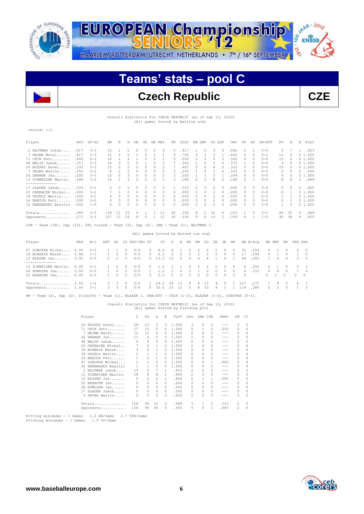

JAAR - 2012 EUROPEAN Championship 00 **KNBSB DI. - 2<sup>6</sup>** HAARLEM/ROTTERDAM/UTRECHT, NETHERLANDS • 7<sup>th</sup> / 16<sup>th</sup> SEPTEMBER

## **Teams' stats – pool C**

## **Czech Republic CZE**

Overall Statistics for CZECH REPUBLIC (as of Sep 13, 2012) (All games Sorted by Batting avg)

record: 1-2

| Player                                                                                | AVG  | $GP - GS$ | AB  | R              | Н            | 2B       | 3B       | HR RBI   |          | TB       | SLG%                                 |    | BB HBP        | SO GDP   |          | OB%  | SF       | SH       | SB-ATT  | PO. | Α        | E        | FLD%   |
|---------------------------------------------------------------------------------------|------|-----------|-----|----------------|--------------|----------|----------|----------|----------|----------|--------------------------------------|----|---------------|----------|----------|------|----------|----------|---------|-----|----------|----------|--------|
| 2 HAJTMAR Jakub                                                                       | .417 | $3 - 3$   | 12  | 1              | 5            | 0        | 0        | 0        | 0        | 5        | .417                                 |    | $^{\circ}$    | 3        | $\Box$   | .462 | 0        |          | $0 - 0$ | 5   |          | 1.       | .923   |
| 7 HEJMA Matej                                                                         | .417 | $3 - 3$   | 12  | 2              | 5.           |          | $\Omega$ |          | 2        | 9        | .750                                 | 0  |               | 3        |          | .462 | 0        | $\Omega$ | $0 - 1$ | 12  | $^{(1)}$ |          | 01.000 |
| 71 CECH Petr                                                                          | .400 | $3 - 3$   | 10  |                |              |          | 0        | 0        |          | .5.      | .500                                 | 2  | 0             | 0        | 0        | .500 | $\Omega$ | $\Omega$ | $0 - 0$ | 15  |          |          | 01.000 |
| 48 MALIK Jakub                                                                        | .357 | $3 - 3$   | 14  | $\Omega$       | 5            | $\Omega$ |          | 0        | 3        |          | .500                                 |    | 0             | 3        | $\Omega$ | .375 |          | $\Omega$ | $0 - 0$ | 9   |          |          | 01.000 |
| 24 BUDSKY Pavel                                                                       | .333 | $3 - 3$   | 1.5 | $\overline{c}$ | 5            | 2        | 0        | 0        | 2        |          | .467                                 | O. | $\Omega$      | 4        |          | .333 | $\Omega$ | $\Omega$ | $0 - 0$ | 23  | .5.      |          | 01.000 |
| 3 DRONG Martin                                                                        | .250 | $3 - 2$   | 8   |                | 2            | 0        | 0        | 0        | $\Omega$ | 2        | .250                                 |    | 0             | 3        | $\cap$   | .333 | $\Omega$ | $\Omega$ | $0 - 0$ | 0   |          | $\Omega$ | .000   |
| 26 DRABEK Jan                                                                         | .200 | $3 - 3$   | 15  | 0              | 3            | 0        | 0        | 0        | 2        | 3        | .200                                 |    |               | 3        |          | .294 | 0        | $\Omega$ | $0 - 0$ | 6   | .5.      |          | 01.000 |
| 13 SCHNEIDER Martin.                                                                  | .188 | $3 - 3$   | 16  |                | 3            | 0        | 0        | 0        |          | 3        | .188                                 | 0  | $\Omega$      | 6        | $\cap$   | .188 | 0        |          | $0 - 0$ | 8   | 8        | 2        | .889   |
| ---------------                                                                       |      |           |     |                |              |          |          |          |          |          |                                      |    |               |          |          |      |          |          |         |     |          |          |        |
| 17 SLADEK Jakub                                                                       | .333 | $2 - 1$   | 3.  | 0              |              | $\Omega$ | 0        | $\Omega$ | $\Omega$ |          | .333                                 | 2  | $\Omega$      | $\Omega$ | $\Box$   | .600 | 0        | $\Omega$ | $0 - 0$ | 0   | $\Omega$ | $\Omega$ | .000   |
| 25 ONDRACEK Michal                                                                    | .000 | $3 - 2$   |     | 1              | <sup>0</sup> | $\Omega$ | $\Omega$ | $\Omega$ | $\Omega$ | $\Omega$ | .000                                 | 0  | 0             | 3        | $\cap$   | .000 | 0        | $\Omega$ | $0 - 0$ | 6   |          |          | 01.000 |
| 39 VESELY Martin                                                                      | .000 | $3 - 1$   | 4   | $\Omega$       | 0            | $\Omega$ | $\Omega$ | $\Omega$ | $\Omega$ | $\Omega$ | .000                                 | 0  | $\Omega$      | 2        | $\Box$   | .000 | 0        |          | $0 - 0$ |     |          |          | 01.000 |
| 16 BAROCH Petr                                                                        | .000 | $3 - 0$   | 2   | 3              | $\Omega$     | $\circ$  | 0        | $\circ$  | $\Omega$ | $\Omega$ | .000                                 | 0  | $\mathcal{O}$ | 2        | $\cap$   | .000 | 0        | $\Omega$ | $0 - 0$ | 0   |          |          | 01.000 |
| 32 HERNANDEZ Basilio                                                                  | .000 | $1 - 0$   | 0   | $\Omega$       | 0            | $\Omega$ | 0        | $\Omega$ | $\Omega$ | $\Omega$ | .000                                 | 0  | $\Omega$      | 0        | $\cap$   | .000 | 0        | $\Omega$ | $0 - 0$ |     | $\Omega$ |          | 01.000 |
| Totals                                                                                | .280 | $3 - 3$   | 118 | 12             | 33           | 4        |          |          | 11       | 42       | .356                                 | 8  | 2             | 32       | 4        | .333 |          | 3        | $0 - 1$ | 89  | 35       | 4        | .969   |
| Opponents                                                                             | .271 | $3 - 3$   | 107 | 13             | 29           | 4        | 0        | 1        | 12       | 36       | .336                                 | 9  | 8             | 10       | 2        | .359 | 4        |          | $1 - 3$ | 90  | 38       | 6        | .955   |
| LOB - Team (36), Opp (33). DPs turned - Team (3), Opp (4). IBB - Team (1), HAJTMAR 1. |      |           |     |                |              |          |          |          |          |          |                                      |    |               |          |          |      |          |          |         |     |          |          |        |
|                                                                                       |      |           |     |                |              |          |          |          |          |          | (All games Sorted by Earned run avg) |    |               |          |          |      |          |          |         |     |          |          |        |

| Player                                                                   | ERA  | $W - T$                         |                  |                                  |                                  | APP GS CG SHO/CBO SV |                                     | IP.                                | H       |                                                           |                                                  |   | R ER BB SO 2B 3B                   |                        |                            | HR                                     |                 | AB B/Avq             | WP HBP                  |                            |                                  | BK SFA SHA |                                        |
|--------------------------------------------------------------------------|------|---------------------------------|------------------|----------------------------------|----------------------------------|----------------------|-------------------------------------|------------------------------------|---------|-----------------------------------------------------------|--------------------------------------------------|---|------------------------------------|------------------------|----------------------------|----------------------------------------|-----------------|----------------------|-------------------------|----------------------------|----------------------------------|------------|----------------------------------------|
| 47 SOBOTKA Michal<br>18 MINARIK Marek 3.86 1-1<br>12 BLAZEK Jan 3.95 0-0 | 0.00 | $0 - 0$                         | 3.               | $\Omega$<br>2 2                  | $\Box$<br>$\Omega$<br>$\Omega$   | 0/0<br>0/0<br>0/0    | $\Omega$<br>$\mathbf{0}$            | 8.0<br>4.2<br>$0$ 13.2 13          | -8<br>5 | 5<br>6.                                                   | $\Omega$<br>2<br>6.                              | 2 | 2 2 2<br>4 4 1                     |                        | $\Box$<br>$\Omega$         | $\bigcirc$<br>$\Omega$<br>$0 \quad 1$  | -31<br>17<br>49 | .258<br>.294<br>.265 | $^{\circ}$<br>$\Omega$  | 4                          | $\Omega$                         |            | $0\quad 0$<br>$\overline{0}$<br>2 0    |
| 13 SCHNEIDER Martin. 0.00<br>28 HOMOLKA Jan 0.00<br>22 REHACEK Jan 0.00  |      | $0 - 1$<br>$0 - 0$<br>$() - ()$ | $2^{\circ}$<br>1 | $\Omega$<br>$\Omega$<br>$\Omega$ | $\Omega$<br>$\Omega$<br>$\Omega$ | 0/0<br>0/0<br>0/0    | $\circ$<br>$\mathbf{1}$<br>$\Omega$ | 1.2<br>1.2<br>0.0                  |         | $1 \quad 1$<br>2 0<br>$\begin{matrix} 0 & 0 \end{matrix}$ | $\Omega$<br>$\overline{\phantom{0}}$<br>$\Omega$ |   | $0\qquad2$<br>1 0 0<br>$0 \quad 0$ | $\Omega$<br>$\bigcirc$ | $\Omega$<br>$\overline{0}$ | $\bigcirc$<br>$0\quad 0$<br>$\bigcirc$ | $\Omega$        | 4.250<br>6.333       |                         | $0 \quad 1$<br>$0 \quad 0$ | $\Omega$<br>$\sim$ 0<br>$\Omega$ | $^{\circ}$ | $0 \quad 1$<br>$\bigcirc$<br>$\bigcap$ |
| Totals $2.43$ 1-2<br>Opponents $1.50$ 2-1                                |      |                                 |                  | $3 \overline{3}$<br>$3 \quad 3$  | $\Omega$<br>$\Omega$             | 0/0<br>0/0           |                                     | 1 29.2 29<br>$0\quad 30.0\quad 33$ |         | - 13<br>12                                                | -8<br>-5                                         |   | 9 10<br>8 32 4                     | 4                      | $\Omega$                   | 1 1 0 7                                | 1 118           | .271<br>.280         | $\sim$ 1<br>$2^{\circ}$ | -8<br>$\overline{2}$       | $\sim$ 0                         | 4          | $\sim$ 1<br>$\overline{\mathbf{3}}$    |

PB - Team (0), Opp (2). Pickoffs - Team (1), BLAZEK 1. SBA/ATT - CECH (1-3), BLAZEK (1-2), SOBOTKA (0-1).

### Overall Statistics for CZECH REPUBLIC (as of Sep 13, 2012) (All games Sorted by Fielding pct)

|    | Player               | C.  | PO  | A              | E        | FLD%  | <b>DPs</b>     | SBA CSB      |                | SBA%    | PB       | СI       |
|----|----------------------|-----|-----|----------------|----------|-------|----------------|--------------|----------------|---------|----------|----------|
|    | 24 BUDSKY Pavel      | 2.8 | 23  | 5              | 0        | 1.000 | 3              | $\Omega$     | $\Omega$       | $- - -$ | $\Omega$ | $\Omega$ |
|    | 71 CECH Petr         | 17  | 1.5 | 2              | 0        | 1,000 | 0              | 1            | $\mathfrak{D}$ | .333    | 0        | 0        |
|    | 7 HEJMA Matej        | 12  | 12  | 0              | 0        | 1,000 | 0              | 0            | 0              | $- - -$ | 0        | 0        |
|    | 26 DRABEK Jan        | 11  | 6   | 5              | 0        | 1,000 | 2              | 0            | 0              | ---     | $\Omega$ | $\Omega$ |
|    | 48 MALIK Jakub       | 9   | 9   | 0              | 0        | 1,000 | n              | 0            | $\Omega$       | ---     | $\Omega$ | 0        |
|    | 25 ONDRACEK Michal   | 7   | 6   | 1              | 0        | 1,000 | 0              | 0            | 0              | ---     | $\Omega$ | $\Omega$ |
|    | 18 MINARIK Marek     | 3   | 0   | 3              | 0        | 1,000 | 0              | $\Omega$     | $\Omega$       | ---     | 0        | $\Omega$ |
|    | 39 VESELY Martin     | 2   | 1   | 1              | 0        | 1,000 | 0              | 0            | 0              | ---     | $\Omega$ | $\Omega$ |
|    | 16 BAROCH Petr       |     | 0   | 1              | 0        | 1,000 | 0              | 0            | $\Omega$       | $- - -$ | $\Omega$ | $\Omega$ |
| 47 | SOBOTKA Michal       | 1   | 1   | 0              | O.       | 1,000 | 0              | $\Omega$     | 1              | .000    | $\Omega$ | 0        |
|    | 32 HERNANDEZ Basilio | 1   | 1   | 0              | 0        | 1,000 | 0              | 0            | 0              | ---     | 0        | 0        |
|    | 2 HAJTMAR Jakub      | 13  | 5   | 7              | 1.       | .923  | 2              | <sup>0</sup> | $\cap$         | $- - -$ | 0        | $\Omega$ |
|    | 13 SCHNEIDER Martin. | 18  | 8   | 8              | 2        | .889  | $\mathfrak{D}$ | 0            | $\Omega$       | $- - -$ | $\Omega$ | $\Omega$ |
|    | 12 BLAZEK Jan        | 5   | 2   | $\mathfrak{D}$ | 1.       | .800  | 0              | 1            | 1              | .500    | $\Omega$ | $\Omega$ |
|    | 22 REHACEK Jan       | 0   | 0   | 0              | 0        | .000  | 0              | 0            | 0              | ---     | $\Omega$ | 0        |
|    | 28 HOMOLKA Jan       | 0   | 0   | 0              | $\Omega$ | .000  | n              | $\Omega$     | $\Omega$       | ---     | 0        | 0        |
| 17 | SLADEK Jakub         | 0   | 0   | 0              | 0        | .000  | 0              | $\Omega$     | $\Omega$       | ---     | 0        | $\Omega$ |
|    | 3 DRONG Martin       | 0   | 0   | 0              | $\Omega$ | .000  | 0              | 0            | $\Omega$       | ---     | 0        | $\Omega$ |
|    | Totals               | 128 | 89  | 35             | 4        | .969  | 3              | 1            | 2              | .333    | 0        | $\Omega$ |
|    | Opponents            | 134 | 90  | 38             | 6        | .955  | 4              | $\Omega$     | 1.             | .000    | 2        | $\Omega$ |

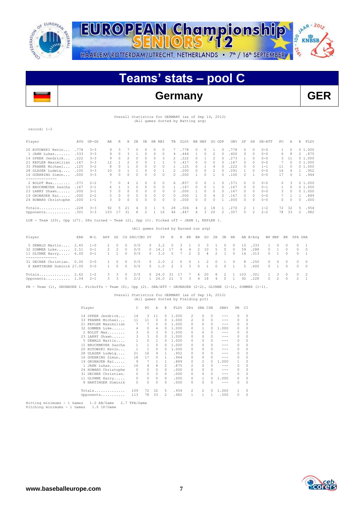



## **Teams' stats – pool C**

## **Germany GER**

## Overall Statistics for GERMANY (as of Sep 14, 2012) (All games Sorted by Batting avg)

record: 1-2

| Player                                                                                    | AVG  | $GP - GS$ | AB           | R        | Н             | 2B       | 3B            | HR RBI                               | TB             | <b>SLG%</b> |                | BB HBP    |                | SO GDP   |                | OB <sub>8</sub> | SF            | SH       | SB-ATT   | PO.            |          | Α              | E             | FLD% |
|-------------------------------------------------------------------------------------------|------|-----------|--------------|----------|---------------|----------|---------------|--------------------------------------|----------------|-------------|----------------|-----------|----------------|----------|----------------|-----------------|---------------|----------|----------|----------------|----------|----------------|---------------|------|
| 20 KOTOWSKI Kevin                                                                         | .778 | $3 - 3$   | 9            | 3        |               | n        | 0             | 0<br>0                               | 7              | .778        |                | 0         | 0              |          | 0              | .778            | 0             | 0        | $0 - 0$  | 1              |          | $\Omega$       | 01.000        |      |
| 1 JAHN Lukas                                                                              | .333 | $3 - 3$   | 9            | $\Omega$ | 3             | 1        | $\Omega$      | 0<br>$\Omega$                        | 4              | .444        |                |           | $\Omega$       | 2        | 0              | .400            | 0             | $\Omega$ | $0 - 0$  | 6              |          | 8              | 2 .875        |      |
| 14 SPEER Jendrick                                                                         | .222 | $3 - 3$   | 9            | 0        | 2             | 0        | 0             | 0<br>3                               | 2              | .222        |                | 0         |                | 2        | $\circ$        | .273            | 1             | $\Omega$ | $0 - 0$  | 3              | 11       |                | 01.000        |      |
| 21 KEPLER Maximilian                                                                      | .167 | $3 - 3$   | 12           | 1        | 2             | 0        | $\Omega$      | 1                                    | 5              | .417        |                | $\cap$    | $\Omega$       | $\Omega$ | $\Omega$       | .167            | $\Omega$      | $\cap$   | $0 - 0$  | 7              |          | $\Omega$       | 01.000        |      |
| 33 FRANKE Michael                                                                         | .125 | $3 - 2$   | 8            | $\Omega$ | $\mathbf{1}$  | 0        | $\Omega$      | $\Omega$<br>$\Omega$                 | 1              | .125        |                | $\Omega$  | 1              | 4        | $\Omega$       | .222            | $\Omega$      | $\Omega$ | $1 - 1$  | 11             |          | $\Omega$       | 01.000        |      |
| 28 GLASER Ludwig                                                                          | .100 | $3 - 3$   | 10           | 0        |               | 1        | $\Omega$      | 0                                    | 2              | .200        |                | $\Omega$  | $\Omega$       | 2        | $\Omega$       | .091            | 1             | $\Omega$ | $0 - 0$  | 16             |          | 4              | 1 .952        |      |
| 16 GUEHRING Simon                                                                         | .000 | $3 - 3$   | 9            | 0        | $\Omega$      | 0        | $\Omega$      | $\Omega$<br>$\Omega$                 | $\cap$         | .000        |                |           | $\bigcap$      | 1        | $\Omega$       | .100            | $\Omega$      | 1        | $0 - 0$  | 17             |          | $\Omega$       | 1 .944        |      |
| ---------------                                                                           |      |           |              |          |               |          |               |                                      |                |             |                |           |                |          |                |                 |               |          |          |                |          |                |               |      |
| $2$ BOLDT Max                                                                             | .571 | $2 - 2$   |              | 0        | 4             | 2        | $\Omega$      | 0<br>0                               | 6              | .857        |                | 0         | 0              |          | 0              | .571            | 0             | 0        | $0 - 0$  | 0              |          | 3              | 01.000        |      |
| 15 BROCKMEYER Sascha                                                                      | .167 | $3 - 1$   | 6            | 1        | $\mathbf{1}$  | $\Omega$ | $\Omega$      | $\Omega$<br>$\Omega$                 | 1              | .167        |                | $\Omega$  | $\Omega$       | 1        | $\Omega$       | .167            | $\mathcal{O}$ | $\Omega$ | $0 - 1$  | 1              |          | $\Omega$       | 01.000        |      |
| 23 LARRY Shawn                                                                            | .000 | $3 - 1$   |              | 0        | $\Omega$      | $\Omega$ | $\Omega$      | $\Omega$<br>$\Omega$                 | $\Omega$       | .000        |                |           | $\Omega$       | $\Omega$ | $\circ$        | .167            | $\mathcal{O}$ | $\Omega$ | $0 - 0$  | 3              |          | $\Omega$       | 01.000        |      |
| 19 GRONAUER Kai                                                                           | .000 | $2 - 2$   | 5            | 0        | $\Box$        | $\Omega$ | 0             | 0<br>$\Omega$                        | $\Omega$       | .000        |                |           | $\Omega$       | 4        | $\Omega$       | .167            | $\mathcal{O}$ | $\Omega$ | $0 - 0$  |                |          |                | 1.            | .889 |
| 24 HOWARD Christophe                                                                      | .000 | $1 - 1$   | 3            | 0        | $\mathcal{O}$ | 0        | $\Omega$      | 0<br><sup>0</sup>                    | $\Omega$       | .000        |                | $\Omega$  | $\Omega$       | $\Omega$ | 1              | .000            | 0             | $\Omega$ | $0 - 0$  | 0              |          | $\Omega$       | $\mathcal{O}$ | .000 |
| Totals .228                                                                               |      | $3 - 3$   | 92           | 5        | 21            | 4        | 0             | 5                                    | 28             | .304        |                | 4         | 2              | 18       | 1.             | .270            | 2             | 1        | $1 - 2$  | 72             | 32       |                | 5             | .954 |
| Opponents .301                                                                            |      | $3 - 3$   | 103          | 17       | 31            | 8        | 2             | $\mathbf{1}$<br>16                   | 46             | .447        |                | 6.        | 3              | 20       | $\mathfrak{D}$ | .357            | $\Omega$      | 2        | $2 - 2$  | 78             | 33       |                | $\mathcal{L}$ | .982 |
| LOB - Team (20), Opp (27). DPs turned - Team (2), Opp (1). Picked off - JAHN 1, KEPLER 1. |      |           |              |          |               |          |               |                                      |                |             |                |           |                |          |                |                 |               |          |          |                |          |                |               |      |
|                                                                                           |      |           |              |          |               |          |               | (All games Sorted by Earned run avg) |                |             |                |           |                |          |                |                 |               |          |          |                |          |                |               |      |
| Player                                                                                    | ERA  | $W-T.$    | APP          | GS       |               |          | CG SHO/CBO SV | ΙP                                   | Η              | R           | ER             | <b>BB</b> | SO.            | 2B       | 3B             | HR              |               | AB B/Ava |          | WP HBP         | BK       |                | SFA SHA       |      |
| 5 DEWALD Martin                                                                           | 2.45 | $1 - 0$   |              | $\Omega$ | $\Omega$      | 0/0      | $\Omega$      | 3.2                                  | .5             | 3           | 1              | 3         | 3              | 1        | $\Omega$       | $\Box$          | 15            | .333     | 1        | $\Omega$       | $\cap$   | 0              | 1             |      |
| 32 SOMMER Luke 2.51                                                                       |      | $0 - 1$   | 2            | 2        | $\circ$       | 0/0      | 0             | 14.1                                 | 17             | 4           | 4              | 2         | 10             | 5        | $\circ$        | $\Box$          | 59            | .288     | 0        | 1              | $\Omega$ | 0              | 0             |      |
| 11 GLYNNE Harry                                                                           | 6.00 | $0 - 1$   | 1            | 1        | $\Omega$      | 0/0      | $\Omega$      | 3.0                                  | 5              | 7           | $\mathfrak{D}$ | $\Omega$  | $\overline{4}$ | 2        | $\mathbf{1}$   | $\Box$          | 16            | .313     | $\Omega$ | 1              | $\Omega$ | 0              | $\mathbf{1}$  |      |
| 31 DECHER Christian.                                                                      | 0.00 | $0 - 0$   | $\mathbf{1}$ | $\Omega$ | $\Omega$      | 0/0      | $\cap$        | 2.0                                  | $\overline{2}$ | 0           | $\Omega$       | 1         | 2              | $\Omega$ | $\mathbf{1}$   | $\mathcal{O}$   | 8             | .250     | $\Omega$ | $\Omega$       | 0        | 0              | $\Omega$      |      |
| 8 HARTINGER Dominik 27.00                                                                 |      | $0 - 0$   | 1            | $\circ$  | $\Omega$      | 0/0      | $\Omega$      | 1.0                                  | 2              | 3           | 3              | 0         | $\mathbf{1}$   | $\Omega$ | $\circ$        | 1               | 5             | .400     | $\Omega$ | 1              | 0        | 0              | $\Omega$      |      |
| Totals 2.62                                                                               |      | $1 - 2$   |              | 3        | 0             | 0/0      | O.            | 24.0                                 | 31             | 17          |                | 6         | 20             | 8        | 2              | 1               | 103           | .301     | 1        | 3              | 0        | 0              | 2             |      |
| Opponents 1.04                                                                            |      | $2 - 1$   | 3            | 3        | $\Omega$      | 2/2      | $\mathbf{1}$  | 26.0                                 | 21             | 5           | 3              | 4         | 18             | $\Delta$ | $\Omega$       | 1               | 92            | .228     | $\Omega$ | $\mathfrak{D}$ | $\Omega$ | $\mathfrak{D}$ | $\mathbf{1}$  |      |

PB - Team (1), GRONAUER 1. Pickoffs - Team (0), Opp (2). SBA/ATT - GRONAUER (2-2), GLYNNE (1-1), SOMMER (1-1).

 Overall Statistics for GERMANY (as of Sep 14, 2012) (All games Sorted by Fielding pct)

|    | Player               | C.  | PO.            | A        | F.            | FLD <sup>&amp;</sup> | DPs.           | SBA CSB        |              | SBA <sup>%</sup>                                                                                                                                                                                                                                                                                                                                                                             | PB. | CI |
|----|----------------------|-----|----------------|----------|---------------|----------------------|----------------|----------------|--------------|----------------------------------------------------------------------------------------------------------------------------------------------------------------------------------------------------------------------------------------------------------------------------------------------------------------------------------------------------------------------------------------------|-----|----|
|    | 14 SPEER Jendrick    | 14  | 3.             | 11       | 0.            | 1,000                | 2              | 0              | $\Box$       |                                                                                                                                                                                                                                                                                                                                                                                              | 0   |    |
|    | 33 FRANKE Michael    | 11  | 11             | $\Omega$ | 0             | 1,000                | 2              | 0              | O.           | $- - -$                                                                                                                                                                                                                                                                                                                                                                                      | 0   |    |
|    | 21 KEPLER Maximilian | 7   | 7              | $\Omega$ | 0             | 1,000                | $\Omega$       | $\Omega$       | $\cap$       |                                                                                                                                                                                                                                                                                                                                                                                              | 0   | Ω  |
|    | 32 SOMMER Luke       | 4   | $\Omega$       | 4        | 0             | 1,000                | 0              | 1              | $\Omega$     | 1,000                                                                                                                                                                                                                                                                                                                                                                                        | 0   | 0  |
|    | 2 BOLDT Max          | 3   | $\circ$        | 3        | 0             | 1,000                | $\Omega$       | 0              |              | ---                                                                                                                                                                                                                                                                                                                                                                                          | 0   |    |
|    | 23 LARRY Shawn       | 3   | $\overline{3}$ | 0        | 0             | 1,000                | $\Omega$       | 0              |              | $- - -$                                                                                                                                                                                                                                                                                                                                                                                      | 0   |    |
|    | 5 DEWALD Martin      | 1   | $\circ$        | 1        | 0             | 1,000                | 0              | 0              | 0            | $- - -$                                                                                                                                                                                                                                                                                                                                                                                      | 0   |    |
|    | 15 BROCKMEYER Sascha |     | $\mathbf{1}$   | $\Omega$ | 0             | 1.000                | 0              | $\Omega$       | $\Omega$     | $- - -$                                                                                                                                                                                                                                                                                                                                                                                      | 0   |    |
|    | 20 KOTOWSKI Kevin    |     |                | $\Omega$ | 0             | 1,000                | 0              | $\Omega$       |              | $- - -$                                                                                                                                                                                                                                                                                                                                                                                      | 0   |    |
|    | 28 GLASER Ludwig     | 21  | 16             | 4        | 1.            | .952                 | 0              | 0              | $\Omega$     | $- - -$                                                                                                                                                                                                                                                                                                                                                                                      | 0   |    |
|    | 16 GUEHRING Simon    | 18  | 17             | 0        | $\mathbf{1}$  | .944                 | $\Omega$       | $\Omega$       |              | $- - -$                                                                                                                                                                                                                                                                                                                                                                                      | 0   |    |
|    | 19 GRONAUER Kai      | 9   | 7              | 1        | 1.            | .889                 | $\Omega$       | $\mathfrak{D}$ | $\Omega$     | 1,000                                                                                                                                                                                                                                                                                                                                                                                        |     | 0  |
|    | 1 JAHN Lukas         | 16  | 6              | 8        | $\mathcal{L}$ | .875                 | $\mathfrak{D}$ | $\Omega$       | $\cap$       | $- - -$                                                                                                                                                                                                                                                                                                                                                                                      | 0   |    |
|    | 24 HOWARD Christophe | 0   | 0              | $\Omega$ | $\cap$        | .000                 | $\Omega$       | 0              |              | $\frac{1}{2} \frac{1}{2} \frac{1}{2} \frac{1}{2} \frac{1}{2} \frac{1}{2} \frac{1}{2} \frac{1}{2} \frac{1}{2} \frac{1}{2} \frac{1}{2} \frac{1}{2} \frac{1}{2} \frac{1}{2} \frac{1}{2} \frac{1}{2} \frac{1}{2} \frac{1}{2} \frac{1}{2} \frac{1}{2} \frac{1}{2} \frac{1}{2} \frac{1}{2} \frac{1}{2} \frac{1}{2} \frac{1}{2} \frac{1}{2} \frac{1}{2} \frac{1}{2} \frac{1}{2} \frac{1}{2} \frac{$ | 0   |    |
| 31 | DECHER Christian.    | 0   | 0              | $\Omega$ | 0             | .000                 | 0              | 0              | 0            | $\frac{1}{2} \left( \frac{1}{2} \right) \left( \frac{1}{2} \right) \left( \frac{1}{2} \right) \left( \frac{1}{2} \right)$                                                                                                                                                                                                                                                                    | 0   |    |
|    | 11 GLYNNE Harry      | 0   | $\Omega$       | $\Omega$ | 0             | .000                 | $\Omega$       | $\mathbf{1}$   | $\cap$       | 1,000                                                                                                                                                                                                                                                                                                                                                                                        | 0   | 0  |
|    | 8 HARTINGER Dominik  | 0   | $\Omega$       | 0        | 0             | .000                 | 0              | 0              | <sup>0</sup> | ---                                                                                                                                                                                                                                                                                                                                                                                          | 0   |    |
|    | Totals               | 109 | 72             | 32       | 5             | .954                 | 2              | 2              | $\Omega$     | 1,000                                                                                                                                                                                                                                                                                                                                                                                        |     | 0  |
|    | Opponents            | 113 | 78             | 33       | 2             | .982                 | 1              | 1              | 1            | .500                                                                                                                                                                                                                                                                                                                                                                                         | 0   |    |

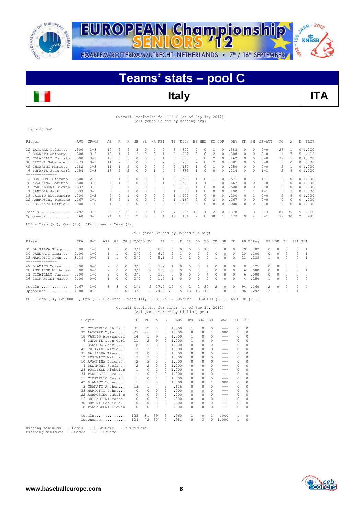



## **Teams' stats – pool C**



**Italy ITA**

## Overall Statistics for ITALY (as of Sep 14, 2012) (All games Sorted by Batting avg)

record: 3-0

| Player               | AVG  | $GP - GS$ | AB | R        | Η  | 2B | 3B | HR.      | <b>RBI</b>   | TB | SLG% | BB | HBP           | SO.      | GDP | OB%   | SF            | SH       | SB-ATT  | PO.           | Α            | E             | FLD%   |
|----------------------|------|-----------|----|----------|----|----|----|----------|--------------|----|------|----|---------------|----------|-----|-------|---------------|----------|---------|---------------|--------------|---------------|--------|
| 32 LATORRE Tyler     | .500 | $3 - 3$   | 10 | 2        | 5  |    |    | 0        |              | 8  | 800  |    | $\cap$        |          |     | .583  | O.            |          | $0 - 0$ | 26            |              |               | 01.000 |
| 3 GRANATO Anthony    | .308 | $3 - 3$   | 13 |          |    |    |    | 0        |              | 6  | 462  | 0  | $\Omega$      |          |     | .308  | $\Omega$      | $\Omega$ | $0 - 0$ |               |              | $\mathcal{D}$ | .615   |
| 25 COLABELLO Christo | .300 | $3 - 3$   | 10 |          |    |    |    |          |              | 3  | 300  | २  |               |          |     | 462   | O.            |          | $0 - 0$ | 32            |              |               | 01.000 |
| 30 ERMINI Gabriele.  | .273 | $3 - 3$   | 11 |          |    |    |    | 0        |              | ٦  | 273  |    | $\cap$        | 2        |     | .385  | $\cap$        |          | $0 - 0$ | 0             |              |               | .000   |
| 45 CHIARINI Mario    | .182 | $3 - 3$   | 11 |          |    |    | 0  | $\Omega$ | $\Omega$     |    | 182  |    | $\Omega$      |          | O.  | .250  | $\Omega$      | $\Omega$ | $0 - 0$ | 2             |              |               | 01.000 |
| 6 INFANTE Juan Carl  | .154 | $3 - 3$   | 13 |          |    |    |    |          | 4            |    | .385 |    | n             | $\Omega$ |     | .214  | O.            |          | $1 - 1$ | $\mathcal{P}$ |              |               | 01.000 |
| ------------         |      |           |    |          |    |    |    |          |              |    |      |    |               |          |     |       |               |          |         |               |              |               |        |
| 4 DESIMONI Stefano.  | .500 | $2 - 2$   | 6. |          |    |    |    |          |              | २  | 500  |    |               |          |     | . 571 |               |          | $1 - 1$ | 2             |              |               | 01.000 |
| 10 AVAGNINA Lorenzo. | .500 | $3 - 2$   |    |          |    |    |    |          |              |    | .500 |    |               |          |     | 667   | O.            |          | $0 - 0$ | 2             | <sup>0</sup> |               | 01.000 |
| 8 PANTALEONI Giovan  | .333 | $3 - 1$   | 3. | $\Omega$ |    |    | Ω  | 0        | 0            |    | .667 |    | 0             | 0        | O.  | .500  | O.            | $\Omega$ | $0 - 0$ | 0             |              | n             | .000   |
| 1 SANTORA Jack       | .333 | $3 - 1$   |    |          |    |    |    | 0        | 3            |    | 333  |    | 0             | 0        |     | .400  |               |          | $1 - 1$ | 5             |              |               | 01.000 |
| 18 VAGLIO Alessandro | .200 | $3 - 2$   | 5. |          |    |    | 0  | 0        | $\Omega$     |    | .200 | 0  | $\Omega$      | 0        |     | .200  | O.            |          | $0 - 0$ | 5             |              |               | 01.000 |
| 22 AMBROSINO Paolino | .167 | $3 - 1$   | 6. |          |    |    |    | 0        | O.           |    | 167  | 0  | $\mathcal{O}$ |          |     | .167  | O.            | $\Omega$ | $0 - 0$ | 0             |              |               | .000   |
| 12 REGINATO Mattia   | .000 | $1 - 0$   |    |          |    |    |    | n        | <sup>0</sup> |    | .000 | Λ  |               |          |     | .000  | O.            |          | $0 - 0$ | 3             |              |               | 01.000 |
| Totals               | .292 | $3 - 3$   | 96 | 1.5      | 28 |    |    |          | 1.5          | 37 | .385 | 13 |               | 12       | 0.  | .378  |               | 3        | $3 - 3$ | 81            | 39           | 5             | .960   |
| Opponents            | .160 | $3 - 3$   | 94 | 4        | 15 |    |    | 0        | 4            |    | .181 |    | $\Omega$      | 30       |     | .177  | $\mathcal{O}$ | 4        | $0 - 1$ | 72            | 30           | 2             | .981   |

 $LOB$  - Team  $(27)$ , Opp  $(15)$ . DPs turned - Team  $(1)$ .

### (All games Sorted by Earned run avg)

| Player                                            | ERA  | $W-L$              | APP     | GS     |                      | CG SHO/CBO SV |                           | IP.          | H                        | R             | ER                   | BB                   | SO.            | 2 B                  | 3B                   | HR                  |          | AB B/Avq      | WP HBP               |                      | BK                  | SFA SHA |                                        |
|---------------------------------------------------|------|--------------------|---------|--------|----------------------|---------------|---------------------------|--------------|--------------------------|---------------|----------------------|----------------------|----------------|----------------------|----------------------|---------------------|----------|---------------|----------------------|----------------------|---------------------|---------|----------------------------------------|
| 35 DA SILVA Tiago 0.00<br>34 PANERATI Luca        | 0.00 | $1 - 0$<br>$1 - 0$ |         |        | $\circ$<br>$\Omega$  | 0/1<br>0/0    | 0<br>$\Box$               | 8.0<br>6.0   | 6<br>$\sim$ 2            | $\Omega$      | $\Omega$<br>$\Omega$ | $\Omega$             | 10             | $\Omega$             | $\Omega$<br>$\Omega$ | $\circ$<br>$\Omega$ | 29<br>20 | .207<br>.100  | $\Omega$<br>$\Omega$ | $\Omega$<br>$\cap$   | $\bigcap$<br>$\cap$ |         |                                        |
| 33 MARIOTTI John 3.38                             |      | $0 - 0$            |         |        | $\Omega$             | 0/0           | $\Omega$                  | 5.1          | 5.                       | 3             | $2^{\circ}$          | $\sim$ 0             | $\overline{2}$ |                      | $\Omega$             | $\Omega$            | 21       | .238          | $\mathbf{1}$         | $\cap$               | $\sim$ 0            |         |                                        |
| 42 D'AMICO Yovani 0.00                            |      | $0 - 0$            |         |        | $\cap$               | 0/0           | $\Omega$                  | 2.2          |                          | $\Omega$      | $\Omega$             | $\Omega$             | 4              | $\Omega$             | $\Omega$             | $\Omega$            | 8.       | .125          | $\Omega$             | $\cap$               |                     |         | $0 \quad 0$                            |
| 28 PUGLIESE Nicholas 0.00<br>11 CICATELLO Justin. | 0.00 | $0 - 0$<br>$1 - 0$ |         |        | $\cap$<br>$\Omega$   | 0/1<br>0/0    | $\mathcal{P}$<br>$\Omega$ | 2.0<br>2.0   | $\overline{0}$<br>$\cap$ | $\Omega$<br>0 | $\Omega$<br>$\Omega$ | $\Omega$             | 3<br>4         | $\Omega$<br>$\Omega$ | $\Omega$<br>$\Omega$ | $\cap$<br>$\Omega$  | 6.<br>6. | .000.<br>.000 | $\Omega$<br>$\Omega$ | $\bigcirc$<br>$\Box$ | $\bigcap$<br>$\cap$ |         | $\overline{0}$                         |
| 16 GRIFANTINI Marco.                              | 0.00 | $0 - 0$            |         | $\cap$ | $\cap$               | 0/0           | $\cap$                    | 1.0          |                          | $\cap$        | $\cap$               | $\cap$               | $\cap$         | $\cap$               | $\cap$               | $\cap$              | 4        | .250          |                      | $\cap$               | $\cap$              |         | $0\quad 0$                             |
| $Totals$ 0.67<br>Opponents 4.88                   |      | $3 - 0$<br>$0 - 3$ | 3.<br>3 | 3      | $\Omega$<br>$\Omega$ | 1/1<br>0/0    | $2 -$<br>$\Omega$         | 27.0<br>24.0 | - 1.5<br>28              | 4<br>- 15     | 2<br>13              | $\overline{2}$<br>13 | - 30<br>12     | 2.<br>6.             | $\Omega$<br>$\circ$  | $\Omega$            | 94<br>96 | .160<br>.292  | $2^{\circ}$<br>2     | $\Box$               | $\cap$<br>$\Omega$  |         | $0 \quad 4$<br>$\overline{\mathbf{3}}$ |
|                                                   |      |                    |         |        |                      |               |                           |              |                          |               |                      |                      |                |                      |                      |                     |          |               |                      |                      |                     |         |                                        |

PB - Team (1), LATORRE 1, Opp (1). Pickoffs - Team (1), DA SILVA 1. SBA/ATT - D'AMICO (0-1), LATORRE (0-1).

## Overall Statistics for ITALY (as of Sep 14, 2012) (All games Sorted by Fielding pct)

| Player |                      | C              | PO             | A            | E.           | FLD%  | DPs          | SBA CSB  |               | SBA%    | PB | C1           |
|--------|----------------------|----------------|----------------|--------------|--------------|-------|--------------|----------|---------------|---------|----|--------------|
|        | 25 COLABELLO Christo | 35             | 32             | 3            | 0.           | 1,000 | $\mathbf{1}$ | 0        | $\Omega$      | $- - -$ | 0  | 0            |
|        | 32 LATORRE Tyler     | 27             | 26             | 1            | 0            | 1,000 | 0            | 0        | 1.            | .000    | 1  | 0            |
|        | 18 VAGLIO Alessandro | 14             | 5              | 9            | 0            | 1,000 | $\mathbf{1}$ | 0        | $\Box$        | $---$   | 0  |              |
|        | 6 INFANTE Juan Carl  | 11             | $\overline{2}$ | 9            | 0            | 1.000 | 1            | $\Omega$ | $\cap$        | $- - -$ | 0  |              |
|        | 1 SANTORA Jack       | 8              | 5              | 3            | $\Omega$     | 1,000 | $\Omega$     | 0        | $\Omega$      | $- - -$ | 0  |              |
|        | 45 CHIARINI Mario    | 3              | $\overline{2}$ | $\mathbf{1}$ | $\Omega$     | 1,000 | 0            | 0        | $\cap$        | ---     | 0  |              |
|        | 35 DA SILVA Tiago    | 3              | $\circ$        | 3            | 0            | 1,000 | 0            | 0        | $\cap$        | $- - -$ | 0  |              |
|        | 12 REGINATO Mattia   | 3              | 3              | $\Omega$     | <sup>n</sup> | 1,000 | $\Omega$     | 0        | $\cap$        | ---     | 0  |              |
|        | 10 AVAGNINA Lorenzo. | 2              | $\overline{c}$ | $\Omega$     | $\Omega$     | 1.000 | 0            | 0        | $\Omega$      | $- - -$ | 0  |              |
|        | 4 DESIMONI Stefano.  | $\overline{c}$ | $\overline{2}$ | $\Omega$     | 0            | 1,000 | 0            | 0        | 0             |         | 0  |              |
|        | 28 PUGLIESE Nicholas | $\mathbf{1}$   | 0              | $\mathbf{1}$ | $\Omega$     | 1,000 | 0            | 0        | $\cap$        | $- - -$ | 0  |              |
|        | 34 PANERATI Luca     | 1              | 0              | 1.           | 0            | 1.000 | 0            | 0        | $\cap$        | ---     | 0  | 0            |
|        | 11 CICATELLO Justin. | 1              | 0              | $\mathbf{1}$ | 0            | 1,000 | 0            | 0        | $\Omega$      | $- - -$ | 0  |              |
|        | 42 D'AMICO Yovani    | 1              | 1              | 0            | 0            | 1.000 | 0            | 0        | 1.            | .000    | 0  |              |
|        | 3 GRANATO Anthony    | 13             | $\mathbf{1}$   | 7            | 5.           | .615  | 0            | 0        | $\mathcal{O}$ | $- - -$ | 0  |              |
|        | 33 MARIOTTI John     | 0              | 0              | $\Omega$     | <sup>n</sup> | .000  | 0            | 0        | $\cap$        | ---     | 0  | O            |
|        | 22 AMBROSINO Paolino | 0              | 0              | $\Omega$     | $\Omega$     | .000  | 0            | 0        | $\cap$        | ---     | 0  | n            |
|        | 16 GRIFANTINI Marco. | 0              | 0              | $\Omega$     | 0            | .000  | $\Omega$     | 0        | $\cap$        |         | 0  | n            |
|        | 30 ERMINI Gabriele   | 0              | 0              | $\Omega$     | $\Omega$     | .000  | 0            | 0        | $\mathcal{O}$ | ---     | 0  |              |
|        | 8 PANTALEONI Giovan  | 0              | 0              | 0            | n            | .000  | $\Omega$     | 0        | $\Omega$      |         | 0  | <sup>0</sup> |
|        | Totals               | 125            | 81             | 39           | 5            | .960  | 1            | 0        | 1             | .000    | 1  | 0            |
|        | Opponents            | 104            | 72             | 30           | 2            | .981  | 0            | 3        | 0             | 1,000   | 1  |              |

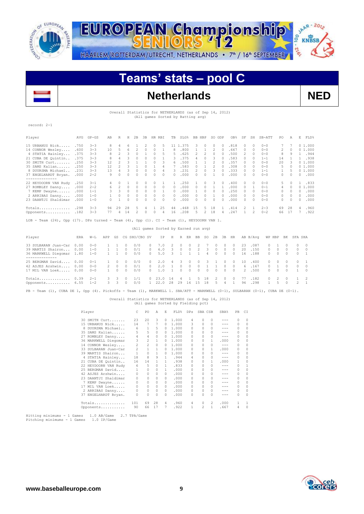

JAAR - 2012 EUROPEAN Championship 00 KNBSB **DI-2'e** HAARLEM/ROTTERDAM/UTRECHT, NETHERLANDS • 7<sup>th</sup> / 16<sup>th</sup> SEPTEMBER

## **Teams' stats – pool C**



## **Netherlands NED**

 Overall Statistics for NETHERLANDS (as of Sep 14, 2012) (All games Sorted by Batting avg)

### record: 2-1

| Player                                                                                    | AVG  | $GP - GS$ | AB           | R              | Ħ          | 2B            | 3B             | HR RBI                               |                | TB           | SLG%         |              | BB HBP         |                | SO GDP       |                | OB <sub>8</sub> | SF            | SH             | SB-ATT   | PO           |          | E.<br>A               | FLD%           |  |
|-------------------------------------------------------------------------------------------|------|-----------|--------------|----------------|------------|---------------|----------------|--------------------------------------|----------------|--------------|--------------|--------------|----------------|----------------|--------------|----------------|-----------------|---------------|----------------|----------|--------------|----------|-----------------------|----------------|--|
| 15 URBANUS Nick                                                                           | .750 | $3 - 3$   | 8            | 4              | 6          | 1             | $\overline{c}$ | 0                                    | 5              |              | 11 1.375     |              | 3              | 0              | 0            | $\Omega$       | .818            | $\mathcal{O}$ | 0              | $0 - 0$  |              |          |                       | 01.000         |  |
| 14 CONNOR Wesley                                                                          | .600 | $3 - 3$   | 10           | 5              | 6          | 2             | $\Omega$       | $\Omega$                             | $\mathbf{1}$   | 8            | .800         |              | $\mathbf{1}$   | $\mathbf{1}$   | 2            | $\bigcap$      | .667            | 0             | $\Omega$       | $0 - 0$  | 2            |          | 0                     | 01.000         |  |
| 4 STATIA Hainley                                                                          | .375 | $3 - 3$   | 8            | $\overline{c}$ | 3          | $\circ$       | 1              | $\Omega$                             | 5              | 5            | .625         |              | $\overline{c}$ | $\overline{2}$ | 0            | $\bigcap$      | .500            | 2             | $\Omega$       | $0 - 0$  | 8            |          | 9                     | .944<br>1      |  |
| 21 CUBA DE Quintin                                                                        | .375 | $3 - 3$   | 8            | 4              | 3          | 0             | $\circ$        | $\Omega$                             | 1              | 3            | .375         |              | 4              | $\circ$        | 3            | $\bigcap$      | .583            | 0             | $\Omega$       | $1 - 1$  | 14           |          |                       | .938<br>1.     |  |
| 30 SMITH Curt                                                                             | .250 | $3 - 3$   | 12           | 2              | 3          | 1             | 1              | 0                                    | 3              | 6            | .500         |              | 1              | $\mathbf{1}$   | 2            | $\bigcap$      | .357            | $\mathcal{O}$ | $\Omega$       | $0 - 0$  | 20           |          | 3                     | 01.000         |  |
| 35 SAMS Kalian                                                                            | .250 | $3 - 3$   | 12           | 2              | 3          | $\mathbf{1}$  | $\Omega$       | 1                                    | 4              | 7            | .583         |              | $\Omega$       | $\mathbf{1}$   | 2            | $\bigcap$      | .308            | $\mathcal{O}$ | $\Omega$       | $0 - 0$  | 5            |          | $\Omega$              | 01.000         |  |
| 8 DUURSMA Michael                                                                         | .231 | $3 - 3$   | 13           | 4              | 3          | $\Omega$      | $\Omega$       | $\Omega$                             | 4              | 3            | .231         |              | $\overline{c}$ | $\Omega$       | 3            | $\Omega$       | .333            | $\mathcal{O}$ | $\Omega$       | $1 - 1$  | $\mathbf{1}$ |          | 5                     | 01.000         |  |
| 37 ENGELHARDT Bryan.<br>--------------                                                    | .000 | $2 - 2$   | 9            | $\cap$         | $\cap$     | $\Omega$      | $\cap$         | $\cap$                               | $\cap$         | $\cap$       | .000         |              | $\Omega$       | $\Omega$       | 1            | $\Omega$       | .000            | $\mathcal{O}$ | $\Omega$       | $0 - 0$  | $\Omega$     |          | $\Omega$              | .000<br>$\cap$ |  |
| 22 HEYDOORN VAN Rudy                                                                      | .250 | $3 - 1$   | 4            | 0              | 1          | $\Omega$      | $\Omega$       | 0                                    | 1              | 1.           | .250         |              | 1              | $\Omega$       | 3            | $\Omega$       | .400            | $\mathcal{O}$ | $\Omega$       | $0 - 0$  | 5            |          | <sup>0</sup>          | .833           |  |
| 27 ROMBLEY Danny                                                                          | .000 | $2 - 2$   | 6            | $\overline{c}$ | 0          | 0             | $\Omega$       | $\Omega$                             | $\Omega$       | $\Omega$     | .000         |              | $\Omega$       | $\circ$        | $\mathbf{1}$ | $\mathbf{1}$   | .000            | 0             | -1             | $0 - 1$  | 4            |          | $\Omega$              | 01.000         |  |
| 7 KEMP Dwayne                                                                             | .000 | $1 - 1$   | 3            | 3              | $\circ$    | $\circ$       | $\circ$        | 0                                    | 1              | $\Omega$     | .000         |              | 1              | 0              | $\Omega$     | $\bigcap$      | .250            | $\mathcal{O}$ | $\Omega$       | $0 - 0$  | $\Omega$     |          | $\Omega$<br>$\bigcap$ | .000           |  |
| 2 ARRIBAS Danny                                                                           | .000 | $1 - 0$   |              | 0              | $^{\circ}$ | $\Omega$      | 0              | 0                                    | $\Omega$       | $\Omega$     | .000         |              | 0              | $\circ$        | 1            | $\Omega$       | .000            | $\Omega$      | $\Omega$       | $0 - 0$  | $\Omega$     |          | $\Omega$<br>$\bigcap$ | .000           |  |
| 23 DAANTJI Shaldimar                                                                      | .000 | $1 - 0$   | $\Omega$     | 1              | $\Omega$   | $\Omega$      | $\Omega$       | $\Omega$                             | $\cap$         | $\Omega$     | .000         |              | $\Omega$       | $\Omega$       | $\Omega$     | $\Omega$       | .000            | $\mathcal{O}$ | $\Omega$       | $0 - 0$  | $\Omega$     |          | $\Omega$<br>$\bigcap$ | .000           |  |
| Totals                                                                                    | .298 | $3 - 3$   | 94           | 29             | 28         | 5             | 4              | 1.                                   | 25             | 44           | .468         |              | 1.5            | 5              | 18           | 1              | .414            | 2             | 1              | $2 - 3$  | 69           | 28       | $\Delta$              | .960           |  |
| Opponents                                                                                 | .182 | $3 - 3$   | 77           | 4              | 14         | 2             | $\Omega$       | $\Omega$                             | $\overline{4}$ | 16           | .208         |              | 5              | $\overline{2}$ | 18           | $\overline{4}$ | .247            | 1             | $\overline{2}$ | $0 - 2$  | 66           | 17       |                       | .922<br>7      |  |
| LOB - Team (24), Opp (17). DPs turned - Team (4), Opp (1). CI - Team (1), HEYDOORN VAN 1. |      |           |              |                |            |               |                |                                      |                |              |              |              |                |                |              |                |                 |               |                |          |              |          |                       |                |  |
|                                                                                           |      |           |              |                |            |               |                | (All games Sorted by Earned run avg) |                |              |              |              |                |                |              |                |                 |               |                |          |              |          |                       |                |  |
| Player                                                                                    | ERA  | $W-T$     | APP          | GS             |            | CG SHO/CBO SV |                |                                      | ΙP             | Η            |              | R ER         | BB             | SO             | 2B           | 3B             | HR              |               | AB B/Avq       |          | WP HBP       | BK       | SFA SHA               |                |  |
|                                                                                           |      |           |              |                |            |               |                |                                      |                |              |              |              |                |                |              |                |                 |               |                |          |              |          |                       |                |  |
| 33 SULBARAN Juan-Car                                                                      | 0.00 | $0 - 0$   | 1            | $\mathbf{1}$   | $\Omega$   | 0/0           |                | 0                                    | 7.0            | 2            | 0            | $\circ$      | 2              |                | 0            | $\circ$        | $\Omega$        | 23            | .087           | 0        | 1            | $\Omega$ | 0                     | $\circ$        |  |
| 39 MARTIS Shairon                                                                         | 0.00 | $1 - 0$   | $\mathbf{1}$ | 1              | $\circ$    | 0/1           | 0              |                                      | 6.0            | 3            | $\circ$      | $\circ$      | 2              | 3              | 0            | 0              | $\Omega$        | 20            | .150           | 0        | 0            | $\circ$  | 0                     | $\circ$        |  |
| 36 MARKWELL Diegomar 1.80<br>--------<br>------                                           |      | $1 - 0$   | $\mathbf{1}$ | 1              | $\Omega$   | 0/0           |                | $\Omega$                             | 5.0            | 3            | $\mathbf{1}$ | $\mathbf{1}$ | $\mathbf{1}$   | 4              | $\Omega$     | $\Omega$       | $\Box$          | 16            | .188           | 0        | $\circ$      | $\circ$  | 0                     | 1              |  |
| 25 BERGMAN David                                                                          | 0.00 | $0 - 1$   | 1.           | $\Box$         | $\Omega$   | 0/0           |                | $\Omega$                             | 2.0            | 4            | 3            | 0            | 0              | 3              |              | $\Omega$       | $\Box$          | 10            | .400           | 0        | 0            | $\Omega$ | 0                     | $\mathbf{1}$   |  |
| 42 ASJES Arshwin                                                                          | 0.00 | $0 - 0$   | 2            | $\circ$        | $\circ$    | 0/1           |                | $\Omega$                             | 2.0            | 1            | 0            | 0            | $\circ$        | $\mathbf{1}$   | $\mathbf{1}$ | $\circ$        | $\Box$          | 6             | .167           | 0        | 1            | $\Omega$ | 0                     | $\Omega$       |  |
| 17 MIL VAN Loek                                                                           | 0.00 | $0 - 0$   | $\mathbf{1}$ | $\circ$        | $\Omega$   | 0/0           |                | 0                                    | 1.0            | $\mathbf{1}$ | $\Omega$     | $\circ$      | $\Omega$       | $\Omega$       | $\Omega$     | $\Omega$       | $\Omega$        | 2             | .500           | $\Omega$ | 0            | $\Omega$ | $\mathbf{1}$          | $\Omega$       |  |
| Totals                                                                                    | 0.39 | $2 - 1$   | 3            | 3              | 0          | 1/1           |                | 23.0<br>$\Omega$                     |                | 14           |              |              | 5              | 18             | 2            | 0              | 0               | 77            | .182           | $\circ$  | 2            | $\circ$  | 1                     | 2              |  |
| Opponents                                                                                 | 6.55 | $1 - 2$   | 3            | 3              | $\circ$    | 0/0           |                | 22.0<br>$\mathbf{1}$                 |                | 28           | 29           | 16           | 15             | 18             | 5            | 4              | $\mathbf{1}$    | 94            | .298           | 1        | 5            | $\circ$  | $\overline{c}$        | $\mathbf{1}$   |  |
|                                                                                           |      |           |              |                |            |               |                |                                      |                |              |              |              |                |                |              |                |                 |               |                |          |              |          |                       |                |  |

PB - Team (1), CUBA DE 1, Opp (4). Pickoffs - Team (1), MARKWELL 1. SBA/ATT - MARKWELL (0-1), SULBARAN (0-1), CUBA DE (0-1).

## Overall Statistics for NETHERLANDS (as of Sep 14, 2012) (All games Sorted by Fielding pct)

|                      |                         |                |              | E.           |       |                      |            |               |         |                  | CT.      |
|----------------------|-------------------------|----------------|--------------|--------------|-------|----------------------|------------|---------------|---------|------------------|----------|
|                      | 23                      | 20             | 3            | $\Omega$     | 1,000 | 4                    | $\Omega$   | $\Omega$      | ---     | $\Omega$         | $\Omega$ |
| 15 URBANUS Nick      | 14                      | 7              | 7            | 0            | 1,000 | 3                    | $\Omega$   | 0             | ---     | 0                | $\Omega$ |
| 8 DUURSMA Michael    | 6                       | $\mathbf{1}$   | 5            | 0            | 1,000 | 0                    | $\Omega$   | 0             |         | 0                | $\Omega$ |
| SAMS Kalian<br>35    | 5.                      | 5              | $\bigcirc$   | $\Omega$     | 1,000 | $\cap$               | 0          | $\Omega$      |         | 0                | $\Omega$ |
| 27 ROMBLEY Danny     | 4                       | $\overline{4}$ | $\circ$      | $\Omega$     | 1.000 | <sup>n</sup>         | $\Omega$   | 0             | ---     | $\Omega$         | $\Omega$ |
| 36 MARKWELL Diegomar | 3                       | $\overline{c}$ | $\mathbf{1}$ | 0            | 1,000 | 0                    | 0          | 1.            | .000    | $\Omega$         | $\Omega$ |
| 14 CONNOR Wesley     | 2                       | $\overline{c}$ | $\circ$      | $\Omega$     | 1,000 | 0                    | 0          | 0             | $- - -$ | $\Omega$         | $\Omega$ |
| 33 SULBARAN Juan-Car | 2                       | $\mathbf{1}$   | $\mathbf{1}$ | $\Omega$     | 1,000 | 0                    | 0          | 1             | .000    | $\Omega$         | $\Omega$ |
| 39 MARTIS Shairon    | $\mathbf{1}$            | $\Omega$       | 1            | $\Omega$     | 1,000 | $\Omega$             | 0          | $\Omega$      | $-- -$  | $\Omega$         | $\Omega$ |
| 4 STATIA Hainley     | 18                      | 8              | 9            | 1            | .944  | 4                    | $\circ$    | $\Omega$      | $- - -$ | 0                | $\Omega$ |
| 21 CUBA DE Quintin   | 16                      | 14             | $\mathbf{1}$ | 1.           | .938  | $\Omega$             | 0          | 1             | .000    | 1                | $\Omega$ |
| 22 HEYDOORN VAN Rudy | 6                       | 5              | $\Omega$     | 1            | .833  | 0                    | 0          | 0             | ---     | 0                | 1        |
| 25 BERGMAN David     | $\mathbf{1}$            | 0              | $\circ$      | $\mathbf{1}$ | .000  | 0                    | $\circ$    | 0             | $- - -$ | 0                | $\Omega$ |
| 42 ASJES Arshwin     | 0                       | 0              | $\circ$      | $\Omega$     | .000  | 0                    | 0          | 0             | $- - -$ | 0                | $\Omega$ |
| 23 DAANTJI Shaldimar | 0                       | 0              | $\circ$      | $\circ$      | .000  | 0                    | 0          | 0             | $- - -$ | 0                | $\Omega$ |
| 7 KEMP Dwayne        | 0                       | 0              | $\circ$      | 0            | .000  | 0                    | 0          | 0             | ---     | 0                | 0        |
| 17 MIL VAN Loek      | 0                       | 0              | $\circ$      | $\Omega$     | .000  | 0                    | $\circ$    | 0             | ---     | $\Omega$         | $\Omega$ |
| 2 ARRIBAS Danny      | $\circ$                 | 0              | $\Omega$     | $\Omega$     | .000  | 0                    | 0          | $\mathcal{O}$ | ---     | 0                | $\Omega$ |
| 37 ENGELHARDT Bryan. | 0                       | $\Omega$       | $\Omega$     | 0            | .000  | 0                    | $\Omega$   | 0             | ---     | 0                | $\Omega$ |
| Totals               | 101                     | 69             | 28           | 4            | .960  | 4                    | 0          | 2             | .000    | 1                |          |
| Opponents            | 90                      | 66             | 17           | 7            | .922  | 1                    | 2          | 1             | .667    | 4                |          |
|                      | Player<br>30 SMITH Curt | C              | PO.          | A            |       | FLD <sup>&amp;</sup> | <b>DPs</b> |               | SBA CSB | SBA <sup>*</sup> | PB.      |

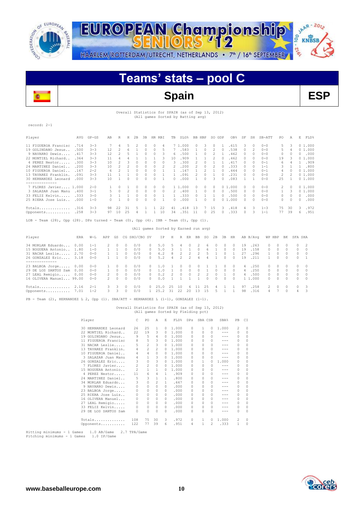

JAAR - 2012 EUROPEAN Championship 00 HAARLEM/ROTTERDAM/UTRECHT, NETHERLANDS • 7<sup>th</sup> / 16<sup>th</sup> SEPTEMBER

## **KNBSB DI. - 2<sup>6</sup>**

## **Teams' stats – pool C**



**Spain ESP**

### Overall Statistics for SPAIN (as of Sep 13, 2012) (All games Sorted by Batting avg)

| .COL<br>c |  |
|-----------|--|
|-----------|--|

| Player                                                                              | AVG  | GP-GS   | AB            | R             | Н             | 2B            | 3B HR RBI     |               |                                      |              |                |                |                |                | TB SLG% BB HBP SO GDP |                | OB%          | SF            |              | SH SB-ATT    | PO.               | A              | Е        | FLD%           |  |
|-------------------------------------------------------------------------------------|------|---------|---------------|---------------|---------------|---------------|---------------|---------------|--------------------------------------|--------------|----------------|----------------|----------------|----------------|-----------------------|----------------|--------------|---------------|--------------|--------------|-------------------|----------------|----------|----------------|--|
| 11 FIGUEROA Francisc                                                                | .714 | $3 - 3$ | 7             | 4             | 5             | 2             | $\Omega$      | 0             | 4                                    |              | 7 1,000        |                | $\Omega$       | 3              | $\Omega$              | 1              | .615         | 3             | $\Omega$     | $0 - 0$      | 5                 | 3              |          | 01.000         |  |
| 19 GOLINDANO Jesus                                                                  | .500 | $3 - 3$ | 12            | $\mathcal{L}$ | 6             | $\mathbf{1}$  | $\Omega$      | $\Omega$      | 5                                    | 7            |                | .583           | 1              | $\Omega$       | 2                     | $\Omega$       | .538         | $\Box$        | 2            | $0 - 0$      | 5                 | $\overline{4}$ |          | 01.000         |  |
| 9 NAVARRO Dewis                                                                     | .417 | $3 - 3$ | 12            | 2             | .5            | 1             | 0             | $\Omega$      | 3                                    | 6            |                | .500           | 1              | $\Omega$       | 2                     | 1              | .462         | $\mathcal{O}$ | $\Omega$     | $0 - 0$      | $\circ$           | 0              |          | 0.000          |  |
| 22 MONTIEL Richard                                                                  | .364 | $3 - 3$ | 11            | 4             | 4             | 1             | -1            | 1             | 3                                    | 10           |                | .909           | 1              | 1              | 2                     | 0              | .462         | $\Omega$      | 0            | $0 - 0$      | 19                | 3              |          | 01.000         |  |
| 4 PEREZ Nestor                                                                      | .300 | $3 - 3$ | 10            | 2             | 3             | 0             | 0             | 0             | $\Omega$                             | 3            |                | .300           | 2              | 0              | 1                     | 1              | .417         | $\Omega$      | $\Omega$     | $0 - 1$      | 6                 | 4              |          | 1 .909         |  |
| 24 MARTINEZ Daniel                                                                  | .200 | $3 - 3$ | 10            | 2             | 2             | $\Omega$      | $\Omega$      | 0             |                                      |              |                | .200           | 2              | $\Omega$       | 2                     | $\bigcap$      | .333         | $\Omega$      | $\Omega$     | $1 - 1$      | 3                 | $\mathbf{1}$   |          | 1.800          |  |
| 10 FIGUEROA Daniel                                                                  | .167 | $2 - 2$ | 6             | $\mathcal{L}$ | $\mathbf{1}$  | $\Omega$      | $\Omega$      | 0             | $\mathbf{1}$                         | $\mathbf{1}$ |                | .167           | $\mathbf{1}$   | $\mathcal{L}$  | $\mathbf{1}$          | $\bigcap$      | .444         | $\Omega$      | $\Omega$     | $0 - 1$      | $\overline{4}$    | $\Omega$       |          | 01.000         |  |
| 13 TAVAREZ Franklin.                                                                | .091 | $3 - 3$ | 11            | $\mathbf{1}$  | $\mathbf{1}$  | $\Omega$      | $\Omega$      | 0             | 1                                    | $\mathbf{1}$ |                | .091           | $\overline{c}$ | $\Omega$       | $\mathbf{1}$          | $\cap$         | .231         | $\Omega$      | $\Omega$     | $0 - 0$      | 2                 | 2              |          | 01.000         |  |
| 30 HERNANDEZ Leonard                                                                | .000 | $3 - 3$ | 10            | $\mathbf{1}$  | $\bigcap$     | $\Omega$      | $\Omega$      | 0             | $\mathbf{1}$                         | $\cap$       |                | .000           | $\mathbf{1}$   | $\Omega$       | 3                     | $\bigcap$      | .083         | $\mathbf{1}$  | $\mathbf{1}$ | $0 - 0$      | 2.5               | $\mathbf{1}$   |          | 01.000         |  |
| 7 FLORES Javier 1.000                                                               |      | $2 - 0$ | 1             | $\Omega$      | 1             | $\Omega$      | $\Omega$      | $\Omega$      | $\Omega$                             |              | 1 1,000        |                | $\Omega$       | $\Omega$       | $\Omega$              |                | 01.000       | $\circ$       | $\Omega$     | $0 - 0$      | 2                 | $\Omega$       |          | 01.000         |  |
| 3 SALAZAR Juan Manu                                                                 | .400 | $3 - 1$ | 5             | $\Omega$      | $\mathcal{L}$ | $\Omega$      | $\Omega$      | $\Omega$      | $\Omega$                             |              | 2 .400         |                | $\mathbf{1}$   | $\Omega$       | $\Omega$              | $\Omega$       | .500         | $\Omega$      | $\Omega$     | $0 - 0$      | $\mathbf{1}$      | 3              |          | 01.000         |  |
| 33 FELIZ Kelvin .333                                                                |      | $3 - 0$ | 3             | $\mathbf{1}$  | $\mathbf{1}$  | $\Omega$      | $\Omega$      | $\Omega$      | $\mathbf{1}$                         | $\mathbf{1}$ |                | .333           | $\Omega$       | 1              | $\mathbf{1}$          | $\Omega$       | .500         | $\mathcal{O}$ | $\Omega$     | $0 - 0$      | $\Omega$          | $\Omega$       | $\Omega$ | .000           |  |
| 25 RIERA Jose Luis .000                                                             |      | $1 - 0$ | $\Omega$      | $\mathbf{1}$  | $\Omega$      | $\Omega$      | $\Omega$      | 0             | $\mathbf{1}$                         | $\Omega$     |                | .000           | 1              | $\Omega$       | $\Omega$              |                | 01.000       | $\Omega$      | $\Omega$     | $0 - 0$      | 0                 | $\Omega$       | $\Omega$ | .000           |  |
| $Totals$ $316$                                                                      |      | $3 - 3$ | 98            | 22            | 31            | -5            | $\frac{1}{2}$ |               | 1 22                                 | 41           |                | .418           | 13             | $7^{\circ}$    | -15                   | 3              | .418         | 4             | 3            | $1 - 3$      | 75                | 30             | 3        | .972           |  |
| Opponents .258                                                                      |      | $3 - 3$ |               | 97 10         | 25            | 4             | $\mathbf{1}$  | 1             | 10                                   |              | 34 .351 11     |                |                | $\Omega$       | 25                    | $\Omega$       | .333         | $\Omega$      | 3            | $1 - 1$      | 77                | 39             | 6        | .951           |  |
| LOB - Team (28), Opp (28). DPs turned - Team (0), Opp (4). IBB - Team (0), Opp (1). |      |         |               |               |               |               |               |               | (All games Sorted by Earned run avg) |              |                |                |                |                |                       |                |              |               |              |              |                   |                |          |                |  |
| Player                                                                              | ERA  | $W-T.$  | APP           | GS            |               | CG SHO/CBO SV |               |               | ΙP                                   | Η            |                | R ER           | BB             | SO.            | 2B                    | 3B             | HR           |               | AB B/Avq     |              | WP HBP BK SFA SHA |                |          |                |  |
| 34 MORLAN Eduardo                                                                   | 0.00 | $1 - 1$ | 2             | $\Omega$      | $\Omega$      | 0/0           |               | $\circ$       | 5.0                                  | 5            | 4              | $\Omega$       | 2              | 6              | $\circ$               | $\circ$        | $\circ$      | 19            | .263         | $\Omega$     | $\Omega$          | O.             | 0        | $\overline{2}$ |  |
| 15 NOGUERA Antonio                                                                  | 1.80 | $1 - 0$ | $\mathbf{1}$  | 1             | $\Omega$      | 0/0           |               | $\mathcal{O}$ | 5.0                                  | 3            | $\mathbf{1}$   | $\mathbf{1}$   | $\circ$        | 6              | 1                     | $\circ$        | $\Omega$     | 19            | .158         | $\Omega$     | $\Omega$          | $\Omega$       | 0        | $\Omega$       |  |
| 31 NACAR Leslie 2.70                                                                |      | $0 - 0$ | $\mathbf{1}$  | 1             | $\Omega$      | 0/0           |               | $\mathcal{O}$ | 6.2                                  | 8            | $\overline{2}$ | $\overline{2}$ | 2              | -5             | 1                     | $\Omega$       | $\mathbf{1}$ | 27            | .296         | $\mathbf{1}$ | 0                 | $\Omega$       | 0        | $\bigcap$      |  |
| 26 GONZALEZ Eric 3.18<br>--------------                                             |      | $0 - 0$ | 1             | $\mathbf{1}$  | $\Omega$      | 0/0           |               | $\mathcal{O}$ | 5.2                                  | 4            | $\overline{2}$ | $\overline{2}$ | $\overline{4}$ | $\overline{4}$ | $\mathbf{1}$          | $\Omega$       | $\Omega$     | 19            | .211         | $\mathbf{1}$ | $\Omega$          | $\Omega$       | $\circ$  | $\mathbf{1}$   |  |
| 23 BALBOA Jorge 0.00                                                                |      | $0 - 0$ | $\mathbf{1}$  | $\Omega$      | $\Omega$      | 0/0           |               | $\Omega$      | 1.0                                  | 1            | $\Omega$       | $\Omega$       | $\Omega$       | $\mathbf{1}$   | $\mathbf{1}$          | $\Omega$       | $\Omega$     | 4             | .250         | $\Omega$     | $\Omega$          | $\cap$         | $\Omega$ | $\Box$         |  |
| 29 DE LOS SANTOS Sam 0.00                                                           |      | $0 - 0$ | 1             | $\circ$       | $\Omega$      | 0/0           |               | 0             | 1.0                                  | $\mathbf{1}$ | $\Omega$       | $\circ$        | $\circ$        | $\overline{1}$ | $\Omega$              | $\circ$        | $\Omega$     | 4             | .250         | $\circ$      | $\Omega$          | $\Omega$       | 0        | $\Omega$       |  |
| 27 LEAL Remigio 0.00                                                                |      | $0 - 0$ | 2             | 0             | $\circ$       | 0/0           |               | 0             | 0.2                                  | 2            | 0              | $\circ$        | 2              | 2              | 0                     | $\mathbf{1}$   | 0            | 4             | .500         | 0            | $\circ$           | $\Omega$       | $\circ$  | $\circ$        |  |
| 16 OLIVERA Manuel 99.00                                                             |      | $0 - 0$ | $\mathcal{P}$ | $\Omega$      | $\Omega$      | 0/0           |               | $\cap$        | 0.0                                  | 1            | $\mathbf{1}$   | 1              | $\mathbf{1}$   | $\Omega$       | $\Omega$              | $\Omega$       | $\bigcap$    |               | 1 1,000      | $\Omega$     | $\Omega$          | $\cap$         | $\Omega$ | $\Omega$       |  |
| Totals 2.16                                                                         |      | $2 - 1$ | 3             | 3             | 0             | 0/0           |               |               | 0, 25.0                              | 25           | 10             | 6              | 11             | 25             | 4                     | 1              | 1            | 97            | .258         | 2            | $\Omega$          | $\Omega$       | 0        | 3              |  |
| Opponents 7.01                                                                      |      | $1 - 2$ | $\mathcal{R}$ | 3             | $\Omega$      | 0/0           |               |               | 1 25.2 31 22 20                      |              |                |                |                | 13 15          | 5                     | $\overline{1}$ | $\mathbf{1}$ | 98            | .316         | 4            | 7                 | $\cap$         | 4        | 3              |  |
|                                                                                     |      |         |               |               |               |               |               |               |                                      |              |                |                |                |                |                       |                |              |               |              |              |                   |                |          |                |  |

 $PB$  - Team (2), HERNANDEZ L 2, Opp (1). SBA/ATT - HERNANDEZ L (1-1), GONZALEZ (1-1).

## Overall Statistics for SPAIN (as of Sep 13, 2012) (All games Sorted by Fielding pct)

| Player                  | C              | PO             | A              | E.       | FLD%  | <b>DPs</b> |          | SBA CSB      | SBA%    | PB | СI       |
|-------------------------|----------------|----------------|----------------|----------|-------|------------|----------|--------------|---------|----|----------|
| 30 HERNANDEZ Leonard    | 26             | 25             | 1              | $\Omega$ | 1,000 | 0          | 1        | $\Omega$     | 1,000   | 2  | $\Omega$ |
| 22 MONTIEL Richard      | 22             | 19             | 3              | 0        | 1,000 | 0          | 0        | 0            | $- - -$ | 0  | $\Omega$ |
| 19 GOLINDANO Jesus      | 9              | 5              | 4              | 0        | 1,000 | 0          | 0        | 0            | ---     | 0  | $\Omega$ |
| FIGUEROA Francisc<br>11 | 8              | 5              | 3              | 0        | 1.000 | 0          | $\Omega$ | 0            |         | 0  | $\Omega$ |
| 31 NACAR Leslie         | 5              | $\overline{c}$ | 3              | 0        | 1,000 | n          | 0        | <sup>0</sup> |         | 0  | $\Omega$ |
| 13 TAVAREZ Franklin.    | 4              | $\overline{c}$ | 2              | $\Omega$ | 1,000 | n          | $\Omega$ | 0            | ---     | 0  | $\Omega$ |
| 10 FIGUEROA Daniel      | 4              | $\overline{4}$ | $\Omega$       | 0        | 1,000 | n          | $\Omega$ | $\Omega$     | ---     | 0  | $\Omega$ |
| 3 SALAZAR Juan Manu     | 4              | $\mathbf{1}$   | 3              | $\Omega$ | 1,000 | n          | 0        | 0            | $- - -$ | 0  | $\Omega$ |
| 26 GONZALEZ Eric        | 3              | 0              | 3              | $\Omega$ | 1,000 | 0          | 1        | 0            | 1,000   | 0  | 0        |
| FLORES Javier<br>7      | $\overline{c}$ | $\overline{c}$ | $\Omega$       | 0        | 1,000 | n          | $\Omega$ | 0            | ---     | 0  | $\Omega$ |
| 15 NOGUERA Antonio      | 2              | 1              | $\mathbf{1}$   | 0        | 1,000 | n          | 0        | 0            | ---     | 0  | 0        |
| 4 PEREZ Nestor          | 11             | 6              | 4              | 1.       | .909  | n          | $\Omega$ | 0            |         | 0  | $\Omega$ |
| 24 MARTINEZ Daniel      | 5              | 3              | $\mathbf{1}$   | 1.       | .800  | 0          | 0        | 0            |         | 0  | $\Omega$ |
| 34 MORLAN Eduardo       | 3              | 0              | $\overline{c}$ | 1.       | .667  | $\Omega$   | 0        | 0            |         | 0  | $\Omega$ |
| 9 NAVARRO Dewis         | $\circ$        | $\Omega$       | $\Omega$       | 0.       | .000  | 0          | $\Omega$ | 0            | ---     | 0  | $\Omega$ |
| 23 BALBOA Jorge         | 0              | $\Omega$       | $\Omega$       | 0        | .000  | 0          | 0        | 0            | ---     | 0  | $\Omega$ |
| 25 RIERA Jose Luis      | 0              | 0              | $\Omega$       | 0        | .000  | n          | $\Omega$ | 0            | ---     | 0  | $\Omega$ |
| 16 OLIVERA Manuel       | 0              | $\Omega$       | $\Omega$       | 0        | .000  | $\Omega$   | $\Omega$ | 0            |         | 0  | $\Omega$ |
| 27 LEAL Remigio         | 0              | $\Omega$       | $\Omega$       | 0        | .000  | 0          | 0        | 0            | ---     | 0  | $\Omega$ |
| 33 FELIZ Kelvin         | 0              | 0              | $\Omega$       | $\Omega$ | .000  | 0          | 0        | 0            | ---     | 0  | $\Omega$ |
| 29 DE LOS SANTOS Sam    | $\Omega$       | 0              | 0              | 0        | .000  | 0          | $\Omega$ | 0            | ---     | 0  | $\Omega$ |
| Totals                  | 108            | 75             | 30             | 3        | .972  | 0          | 1        | 0            | 1,000   | 2  | $\Omega$ |
| Opponents               | 122            | 77             | 39             | 6        | .951  | 4          | 1        | 2            | .333    | 1  | $\Omega$ |

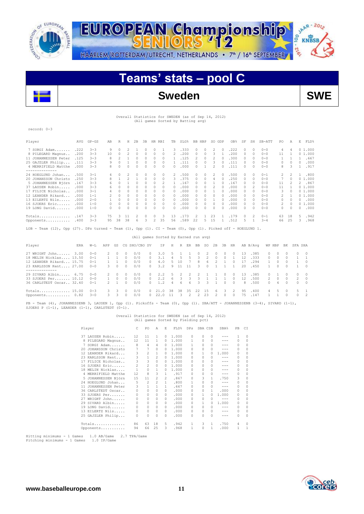



## **Teams' stats – pool C**



## Overall Statistics for SWEDEN (as of Sep 14, 2012) (All games Sorted by Batting avg)

record: 0-3

| Player                                                                                                      | AVG   | $GP - GS$ | AB | R        | Н        | 2B       | ЗВ | HR.      | RBI      | TB       | SLG% | BB. | HBP      | so | GDP    | OB <sub>8</sub> | SF           | SH            | $SB-ATT$ | PO | Α        | Ε      | FLD%   |
|-------------------------------------------------------------------------------------------------------------|-------|-----------|----|----------|----------|----------|----|----------|----------|----------|------|-----|----------|----|--------|-----------------|--------------|---------------|----------|----|----------|--------|--------|
| 7 SORGI Adam                                                                                                | .222  | $3 - 3$   | 9  | $\Omega$ |          |          |    | 0        |          | 3        | .333 | 0   | $\Omega$ | 2  | $\Box$ | .222            | 0            | $\Omega$      | $0 - 0$  | 4  |          |        | 01.000 |
| 8 PILEGARD Magnus                                                                                           | .200  | $3 - 3$   | 10 | $\Omega$ |          | $\Omega$ |    |          |          |          | .200 | 0   |          |    |        | .200            |              | $\Omega$      | $0 - 0$  | 11 |          |        | 01.000 |
| 11 JOHANNESSEN Peter                                                                                        | .125  | $3 - 3$   |    |          |          |          |    |          | 0        |          | .125 |     |          |    |        | .300            | 0            | $\Omega$      | $0 - 0$  |    |          |        | .667   |
| 25 GAJZLER Philip                                                                                           | .111  | $3 - 3$   | 9  |          |          | $\Omega$ |    | $\Omega$ | 0        |          | .111 | 0   |          | 3  | 0      | .111            | O.           | $\Omega$      | $0 - 0$  | 0  | $\Omega$ | $\cap$ | .000   |
| 4 MERRIFIELD Matthe                                                                                         | .000  | $3 - 3$   | 8  |          |          | $\Omega$ |    | $\Omega$ | $\Omega$ | 0        | .000 | 0   |          |    | O.     | .111            | 0            | $\Omega$      | $0 - 0$  | 8  | 3        |        | .917   |
| -------------<br>24 HOEGLUND Johan                                                                          | .500  | $3 - 1$   |    |          |          |          |    |          |          | 2        | 500  |     |          |    |        | .500            |              | 0             | $0 - 1$  |    |          |        | .800   |
| 20 JOHANSSON Christo                                                                                        | .250  | $3 - 3$   |    |          |          |          |    | $\Omega$ | $\Omega$ | 3        | .375 | 0   |          |    |        | .250            | 0            | $\Omega$      | $0 - 0$  |    |          |        | 01.000 |
| 5 JOHANNESSEN Björn                                                                                         | .167  | $3 - 3$   |    |          |          | $\Omega$ |    | $\Omega$ |          |          | .167 | 0   |          |    |        | .167            | 0            | $\Omega$      | $0 - 0$  | 11 |          | 2.     | .867   |
| 37 LAUSEN Robin                                                                                             | . 000 | $3 - 3$   | 6. |          |          | $\Omega$ |    | 0        |          |          | .000 | 0   |          |    |        | .000            |              |               | $0 - 0$  | 11 |          |        | 01.000 |
| 17 FILICE Nicholas                                                                                          | .000  | $3 - 1$   |    |          |          |          |    |          | Ω        | 0        | .000 |     |          |    |        | .000            |              | $\Omega$      | $0 - 0$  | 3  |          |        | 01.000 |
| 12 LEANDER Rikard                                                                                           | .000  | $1 - 1$   |    | 0        | 0        | $\Omega$ |    | $\Omega$ | 0        | 0        | .000 |     |          |    |        | .000            |              | $\Omega$      | $0 - 0$  | 2  |          |        | 01.000 |
| 13 EILERTZ Nils                                                                                             | . 000 | $2 - 0$   |    | 0        | $\Omega$ | $\Omega$ |    | $\Omega$ | 0        | $\Omega$ | .000 | n   |          |    |        | .000            | 0.           | $\Omega$      | $0 - 0$  | 0  |          |        | .000   |
| 16 SJOERS Eric                                                                                              | .000  | $1 - 0$   |    | $\Omega$ |          |          |    |          | $\cap$   | 0        | .000 | O   |          |    |        | .000            | <sup>0</sup> | $\Omega$      | $0 - 0$  | 2  | $\Omega$ |        | 01.000 |
| 19 LONG David                                                                                               | .000  | $1 - 0$   |    |          |          | $\Omega$ |    | $\Omega$ | $\Omega$ | 0        | .000 | 0   |          | 0  |        | .000            | 0.           | $\Omega$      | $0 - 0$  | 0  |          |        | .000   |
| Totals                                                                                                      | .147  | $3 - 3$   | 75 | 3        | 11       |          |    |          | २        | 13       | 173  |     |          | 23 |        | .179            | 0            | $\mathcal{L}$ | $0 - 1$  | 63 | 18       | 5      | .942   |
| Opponents                                                                                                   | .400  | $3 - 3$   | 95 | 38       | 38       | 6        | 3  | 2        | 35       | 56       | .589 | 22  | 5.       | 15 |        | .512            | 5.           |               | $3 - 4$  | 66 | 25       | 3      | .968   |
| LOB - Team (12), Opp (27). DPs turned - Team (1), Opp (1). CI - Team (0), Opp (1). Picked off - HOEGLUND 1. |       |           |    |          |          |          |    |          |          |          |      |     |          |    |        |                 |              |               |          |    |          |        |        |

|  |  |  |  |  | (All games Sorted by Earned run avg) |  |  |
|--|--|--|--|--|--------------------------------------|--|--|
|--|--|--|--|--|--------------------------------------|--|--|

| Player                                                                                             | ERA | $W-L$                                      | APP                            | GS           |                  | CG SHO/CBO SV            |                            | IP.                      | H                          | R             | ER                       | BB                       | SO.                | 2B                 | 3B               | HR                       |                       | AB B/Avq                     |                                       | WP HBP                     | BK           | SFA SHA |                                                 |
|----------------------------------------------------------------------------------------------------|-----|--------------------------------------------|--------------------------------|--------------|------------------|--------------------------|----------------------------|--------------------------|----------------------------|---------------|--------------------------|--------------------------|--------------------|--------------------|------------------|--------------------------|-----------------------|------------------------------|---------------------------------------|----------------------------|--------------|---------|-------------------------------------------------|
| 27 WRIGHT John 3.00<br>18 MELIN Nicklas 13.50<br>12 LEANDER Rikard 15.75<br>23 KARLSSON Kent 27.00 |     | $0 - 0$<br>$() - 1$<br>$() - 1$<br>$0 - 0$ | $\mathcal{P}$<br>$\mathcal{R}$ | -0<br>$\cap$ | n<br>$\cap$      | 0/0<br>0/0<br>0/0<br>0/0 | $\cap$<br>$\cap$<br>$\cap$ | 3.0<br>3.1<br>4.0<br>3.2 | -5<br>$\overline{4}$<br>-9 | 5<br>10<br>11 | $\mathcal{D}$<br>- 11    | $\Omega$<br>3.<br>8<br>3 | 2<br>ĥ<br>$\Omega$ | $\cap$<br>$\Omega$ | $\Omega$         | $\mathbf{r}$             | 13<br>12<br>20        | .385<br>.333<br>.294<br>.450 | $\Omega$<br>$\Omega$                  | $\cap$<br>$\cap$<br>$\cap$ | $\cap$       |         | $0 \quad 0$<br>11<br>$\Omega$<br>$\overline{0}$ |
| -------------<br>29 SIVARD Albin 6.75<br>33 SJOERS Per 10.12<br>36 CARLSTEDT Oscar., 32.40         |     | $0 - 0$<br>$0 - 0$<br>$0 - 1$              | $\mathcal{P}$                  | -0<br>$\cap$ | $\cap$<br>$\cap$ | 0/0<br>0/0<br>0/0        | $\cap$<br>$\cap$           | 2.2<br>2.2<br>1.2        | -5<br>-6<br>$\Delta$       | 2<br>3<br>6.  | $\mathcal{P}$<br>3<br>-6 | $\overline{2}$<br>₹<br>3 |                    |                    | $\cap$<br>$\cap$ | $\Omega$<br>0<br>$\cap$  | 13<br>12 <sup>°</sup> | .385<br>.500<br>8.500        | $\Omega$<br>$\mathcal{P}$<br>$\Omega$ | $\cap$<br>4                | $\cap$<br>n. |         | $0 \quad 0$<br>2 0<br>$0\quad 0$                |
| Totals 15.00<br>Opponents 0.82                                                                     |     | $0 - 3$<br>$3 - 0$                         | 3.<br>3.                       | 3<br>3       | n                | 0/0<br>0/0               | $\cap$                     | 21.0<br>22.0             | 38                         | 38            | 35                       | 22<br>2                  | - 1.5<br>-23       | 6.<br>2            | -3 F             | $2^{1}$<br>$\mathcal{O}$ | 95<br>75              | .400<br>.147                 | $\overline{4}$                        | 5.                         | $\cap$<br>n. |         | 5 1<br>$0\quad 2$                               |

PB - Team (4), JOHANNESSENB 3, LAUSEN 1, Opp (1). Pickoffs - Team (0), Opp (1). SBA/ATT - JOHANNESSENB (3-4), SIVARD (1-1), SJOERS P (1-1), LEANDER (1-1), CARLSTEDT (0-1).

## Overall Statistics for SWEDEN (as of Sep 14, 2012) (All games Sorted by Fielding pct)

|    | Player               | C  | PO             | A              | E.       | FLD%  | <b>DPs</b> | SBA CSB  |              | SBA%    | PB       | СI       |
|----|----------------------|----|----------------|----------------|----------|-------|------------|----------|--------------|---------|----------|----------|
|    | 37 LAUSEN Robin      | 12 | 11             | 1              | 0        | 1,000 | 0          | $\Omega$ | $\Omega$     | $- - -$ | 1        | 0        |
| 8  | PILEGARD Magnus      | 12 | 11             | 1              | 0        | 1,000 | 1.         | $\Omega$ | $\Omega$     | ---     | 0        | 0        |
|    | 7 SORGI Adam         | 8  | 4              | 4              | 0        | 1,000 | 1.         | $\Omega$ | $\Omega$     |         | 0        | 0        |
| 20 | JOHANSSON Christo    |    | 7              | $\Omega$       | 0        | 1.000 | 0          | 0        | 0            | ---     | $\Omega$ | 0        |
|    | 12 LEANDER Rikard    | 3  | 2              | 1              | 0        | 1,000 | 0          | 1.       | $\Omega$     | 1,000   | 0        | 0        |
|    | 23 KARLSSON Kent     | 3  | 1              | $\mathfrak{D}$ | 0        | 1,000 | O.         | 0        | n            | ---     | 0        | 0        |
|    | 17 FILICE Nicholas   | 3  | 3              | $\Omega$       | 0        | 1,000 | O.         |          | 0            | ---     | $\Omega$ | 0        |
|    | 16 SJOERS Eric       | 2  | $\overline{c}$ | $\Omega$       | 0        | 1,000 | 0          | 0        | 0            | ---     | $\Omega$ | 0        |
|    | 18 MELIN Nicklas     | 1  | 0              | 1              | 0        | 1.000 | 0          | 0        | 0            | ---     | 0        | 0        |
|    | 4 MERRIFIELD Matthe  | 12 | 8              | 3              | 1        | .917  | 0          | 0        | 0            | ---     | $\Omega$ | 0        |
|    | 5 JOHANNESSEN Björn  | 15 | 11             | 2              | 2        | .867  | 0          | 3        |              | .750    | 3        | 0        |
|    | 24 HOEGLUND Johan    | 5  | $\mathfrak{D}$ | $\mathfrak{D}$ | 1.       | .800  | 1.         | 0        | 0            | ---     | 0        | 0        |
|    | 11 JOHANNESSEN Peter | 3  | 1              | 1              | 1.       | .667  | 0          | 0        | 0            | $- - -$ | 0        | 0        |
|    | 36 CARLSTEDT Oscar   | 0  | 0              | 0              | 0        | .000  | 0          | 0        | 1.           | .000    | 0        | 0        |
|    | 33 SJOERS Per        | 0  | 0              | 0              | 0        | .000  | 0          | 1.       | 0            | 1,000   | 0        | 0        |
| 27 | WRIGHT John          | 0  | 0              | 0              | 0        | .000  | 0          | 0        | 0            | ---     | 0        | 0        |
|    | 29 SIVARD Albin      | 0  | 0              | 0              | 0        | .000  | 0          | 1        | O.           | 1.000   | 0        | 0        |
|    | 19 LONG David        | 0  | $\Omega$       | 0              | 0        | .000  | 0          | 0        | n            | ---     | 0        | $\Omega$ |
|    | 13 EILERTZ Nils      | 0  | 0              | 0              | $\Omega$ | .000  | 0          | $\Omega$ | $\Omega$     | ---     | 0        | 0        |
|    | 25 GAJZLER Philip    | 0  | 0              | <sup>0</sup>   | n        | .000  | 0          | n        | <sup>0</sup> |         | 0        | $\Omega$ |
|    | Totals               | 86 | 63             | 18             | 5        | .942  | 1          | 3        | 1            | .750    | 4        | $\Omega$ |
|    | Opponents            | 94 | 66             | 25             | 3        | .968  | 1          | 0        | 1            | .000    | 1        | 1        |

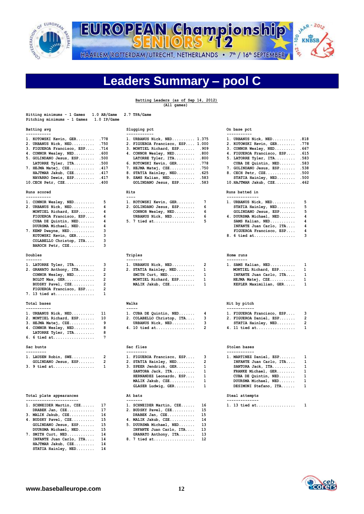

SIMAR - 2012 EUROPEAN Championship **DI-2'e** HAARLEM/ROTTERDAM/UTRECHT, NETHERLANDS • 7<sup>th</sup> / 16<sup>th</sup> SEPTEMBER

## **Leaders Summary – pool C**

|                                                                                                                                                                                                                                                                                     |                                                                                                       | Batting Leaders (as of Sep 14, 2012)<br>(All games)                                                                                                                                                                                                                        |                                                              |                                                                                                                                                                                                                                                                              |                                                                              |
|-------------------------------------------------------------------------------------------------------------------------------------------------------------------------------------------------------------------------------------------------------------------------------------|-------------------------------------------------------------------------------------------------------|----------------------------------------------------------------------------------------------------------------------------------------------------------------------------------------------------------------------------------------------------------------------------|--------------------------------------------------------------|------------------------------------------------------------------------------------------------------------------------------------------------------------------------------------------------------------------------------------------------------------------------------|------------------------------------------------------------------------------|
| Hitting minimums - 1 Games<br>Pitching minimums - 1 Games                                                                                                                                                                                                                           | 1.0 AB/Game<br>1.0 IP/Game                                                                            | 2.7 TPA/Game                                                                                                                                                                                                                                                               |                                                              |                                                                                                                                                                                                                                                                              |                                                                              |
| Batting avg<br>-----------                                                                                                                                                                                                                                                          |                                                                                                       | Slugging pct                                                                                                                                                                                                                                                               |                                                              | On base pct<br>-----------                                                                                                                                                                                                                                                   |                                                                              |
| 1. KOTOWSKI Kevin, GER<br>2. URBANUS Nick, NED<br>3. FIGUEROA Francisco, ESP<br>4. CONNOR Wesley, NED<br>5. GOLINDANO Jesus, ESP<br>LATORRE Tyler, ITA<br>7. HEJMA Matej, CZE<br>HAJTMAR Jakub, CZE<br>NAVARRO Dewis, ESP . 417<br>$10.CECH Petr, CZE \ldots \ldots$<br>Runs scored | .778<br>.750<br>.714<br>.600<br>.500<br>.500<br>.417<br>.417<br>.400                                  | 1. URBANUS Nick, NED 1.375<br>2. FIGUEROA Francisco, ESP 1.000<br>3. MONTIEL Richard, ESP<br>4. CONNOR Wesley, NED<br>LATORRE Tyler, ITA<br>6. KOTOWSKI Kevin, GER<br>7. HEJMA Matej, CZE<br>8. STATIA Hainley, NED<br>9. SAMS Kalian, NED<br>GOLINDANO Jesus, ESP<br>Hits | .909<br>.800<br>.800<br>.778<br>.750<br>.625<br>.583<br>.583 | 1. URBANUS Nick, NED<br>2. KOTOWSKI Kevin, GER<br>3. CONNOR Wesley, NED<br>4. FIGUEROA Francisco, ESP<br>5. LATORRE Tyler, ITA<br>CUBA DE Quintin, $NED$<br>7. GOLINDANO Jesus, ESP<br>8. CECH Petr, CZE<br>STATIA Hainley, NED<br>$10.HAJTMAR Jakub, CZE$<br>Runs batted in | .818<br>.778<br>.667<br>.615<br>.583<br>.583<br>.538<br>.500<br>.500<br>.462 |
| -----------<br>1. CONNOR Wesley, NED<br>2. URBANUS Nick, NED<br>MONTIEL Richard, ESP<br>FIGUEROA Francisco, ESP<br>CUBA DE Quintin, NED<br>DUURSMA Michael, NED<br>7. KEMP Dwayne, NED<br>KOTOWSKI Kevin, GER<br>COLABELLO Christop, ITA<br>BAROCH Petr, CZE                        | 5<br>4<br>4<br>4<br>4<br>4<br>3<br>3<br>3<br>3                                                        | $- - - -$<br>1. KOTOWSKI Kevin, GER<br>2. GOLINDANO Jesus, ESP<br>CONNOR Wesley, NED<br>URBANUS Nick, NED<br>5. 7 tied at                                                                                                                                                  | 7<br>6<br>6<br>6<br>5                                        | --------------<br>1. URBANUS Nick, NED<br>STATIA Hainley, NED<br>GOLINDANO Jesus, ESP<br>4. DUURSMA Michael, NED<br>SAMS Kalian, NED<br>INFANTE Juan Carlo, ITA<br>FIGUEROA Francisco, ESP<br>8. 6 tied at                                                                   | 5<br>5<br>5<br>4<br>4<br>4<br>4<br>3                                         |
| Doubles                                                                                                                                                                                                                                                                             |                                                                                                       | Triples                                                                                                                                                                                                                                                                    |                                                              | Home runs                                                                                                                                                                                                                                                                    |                                                                              |
| -------<br>1. LATORRE Tyler, ITA<br>2. GRANATO Anthony, ITA<br>CONNOR Wesley, NED<br>BOLDT Max, GER<br>BUDSKY Pavel, CZE<br>FIGUEROA Francisco, ESP<br>7. 13 tied at                                                                                                                | з<br>$\overline{2}$<br>$\overline{\mathbf{2}}$<br>$\overline{2}$<br>2<br>$\overline{\mathbf{2}}$<br>1 | -------<br>1. URBANUS Nick, NED<br>2. STATIA Hainley, NED<br>SMITH Curt, NED<br>MONTIEL Richard, ESP<br>MALIK Jakub, CZE                                                                                                                                                   | 2<br>1<br>1<br>1<br>1                                        | ---------<br>1. SAMS Kalian, NED<br>MONTIEL Richard, ESP<br>INFANTE Juan Carlo, ITA<br>HEJMA Matej, CZE<br>KEPLER Maximilian, GER                                                                                                                                            | 1<br>1<br>1<br>1<br>1                                                        |
| Total bases<br>-----------                                                                                                                                                                                                                                                          |                                                                                                       | Walks<br>-----                                                                                                                                                                                                                                                             |                                                              | Hit by pitch<br>------------                                                                                                                                                                                                                                                 |                                                                              |
| 1. URBANUS Nick, NED<br>2. MONTIEL Richard, ESP<br>3. HEJMA Matej, CZE<br>4. CONNOR Wesley, NED<br>LATORRE Tyler, ITA<br>6. 6 tied at<br>Sac bunts                                                                                                                                  | 11<br>10<br>9<br>8<br>8<br>7                                                                          | 1. CUBA DE Quintin, NED<br>2. COLABELLO Christop, ITA<br>URBANUS Nick, NED<br>4. 10 tied at<br>Sac flies                                                                                                                                                                   | 4<br>3<br>3<br>$\overline{2}$                                | 1. FIGUEROA Francisco, ESP<br>2. FIGUEROA Daniel, ESP<br>STATIA Hainley, NED<br>4. 11 tied at<br>Stolen bases                                                                                                                                                                | 3<br>2<br>2<br>1                                                             |
| ---------                                                                                                                                                                                                                                                                           |                                                                                                       | ----------                                                                                                                                                                                                                                                                 |                                                              | ------------                                                                                                                                                                                                                                                                 |                                                                              |
| 1. LAUSEN Robin, SWE<br>GOLINDANO Jesus, ESP<br>3. 9 tied at                                                                                                                                                                                                                        | $\overline{\mathbf{2}}$<br>$\overline{2}$<br>1                                                        | 1. FIGUEROA Francisco, ESP<br>2. STATIA Hainley, NED<br>3. SPEER Jendrick, GER                                                                                                                                                                                             | з<br>2<br>1                                                  | 1. MARTINEZ Daniel, ESP<br>INFANTE Juan Carlo, ITA<br>SANTORA Jack, ITA<br>$\sim$                                                                                                                                                                                            | 1<br>1<br>1<br>п.                                                            |

|  | Total plate appearances |
|--|-------------------------|
|  |                         |

| 1. SCHNEIDER Martin, CZE 17                             | 1. SCHNEIDER Martin, CZE 16                | 1. 13 tied at. |
|---------------------------------------------------------|--------------------------------------------|----------------|
| DRABEK Jan, $CZE$ 17                                    | 2. BUDSKY Pavel, CZE 15                    |                |
| $3.$ MALIK Jakub, $CZE$ 16                              | DRABEK Jan, $CZE$ 15                       |                |
| 4. BUDSKY Pavel, CZE 15                                 | 4. MALIK Jakub, CZE 14                     |                |
| GOLINDANO Jesus, ESP 15                                 | 5. DUURSMA Michael, NED 13                 |                |
| DUURSMA Michael, NED 15                                 | INFANTE Juan Carlo, ITA 13                 |                |
| 7. SMITH $\text{Curt}, \text{ NED}, \ldots, \ldots, 14$ | GRANATO Anthony, ITA 13                    |                |
|                                                         | INFANTE Juan Carlo, ITA 14 8. 7 tied at 12 |                |
| HAJTMAR Jakub, CZE 14                                   |                                            |                |

 **STATIA Hainley, NED........ 14** 

|      | 1. URBANUS Nick, NED 1.375       |      |
|------|----------------------------------|------|
|      | 2. FIGUEROA Francisco, ESP 1.000 |      |
|      | 3. MONTIEL Richard, ESP . 909    |      |
|      | 4. CONNOR Wesley, NED .800       |      |
|      | LATORRE Tyler, ITA .800          |      |
|      | 6. KOTOWSKI Kevin, GER           | .778 |
|      | 7. HEJMA Matej, CZE              | .750 |
|      | 8. STATIA Hainley, NED           | .625 |
|      | 9. SAMS Kalian, NED .583         |      |
|      | GOLINDANO Jesus, ESP .583        |      |
|      |                                  |      |
| Hits |                                  |      |

## **1. T. P. R. A. I. KOWSKI Kevin, GER.......** .<br>**2. INDANO Jesus, ESP.........** 6<br>3 NOR Weslev, NED......... 6  **NOR Wesley, NED.........**

| 1. URBANUS Nick, NED   |  |
|------------------------|--|
| 2. STATIA Hainley, NED |  |
| SMITH Curt, NED        |  |
| MONTIEL Richard, ESP   |  |
| MALIK Jakub, CZE       |  |

| 1. CUBA DE Quintin, NED    | 4 |
|----------------------------|---|
| 2. COLABELLO Christop, ITA | વ |
| URBANUS Nick, NED          | વ |
| 4. 10 tied at              | 2 |

| 1. FIGUEROA Francisco, ESP |
|----------------------------|
| 2. STATIA Hainley, NED     |
| 3. SPEER Jendrick, GER     |
| SANTORA Jack, ITA          |
| HERNANDEZ Leonardo, ESP    |
| MALIK Jakub, CZE           |
| GLASER Ludwig, GER         |
|                            |

| 1. SCHNEIDER Martin, CZE 17 | 1. SCHNEIDER Martin, CZE 16 | 1. 13 tied at 1 |  |
|-----------------------------|-----------------------------|-----------------|--|
| DRABEK Jan, CZE  17         | 2. BUDSKY Pavel, CZE 15     |                 |  |
| 3. MALIK Jakub, CZE 16      | DRABEK Jan, $CZE$ 15        |                 |  |
| 4. BUDSKY Pavel, CZE 15     | 4. MALIK Jakub, CZE 14      |                 |  |
| GOLINDANO Jesus, ESP 15     | 5. DUURSMA Michael, NED 13  |                 |  |
| DUURSMA Michael, NED 15     | INFANTE Juan Carlo, ITA 13  |                 |  |
| 7. SMITH Curt, NED 14       | GRANATO Anthony, ITA 13     |                 |  |
| INFANTE Juan Carlo, ITA 14  | 8. 7 tied at 12             |                 |  |

### **Batting pct** On base pct

| 1. URBANUS Nick, NED       | .818 |
|----------------------------|------|
| 2. KOTOWSKI Kevin, GER     | .778 |
| 3. CONNOR Wesley, NED      | .667 |
| 4. FIGUEROA Francisco, ESP | .615 |
| 5. LATORRE Tyler, ITA      | .583 |
| CUBA DE Quintin, NED       | .583 |
| 7. GOLINDANO Jesus, ESP    | .538 |
| 8. CECH Petr, CZE          | .500 |
| STATIA Hainley, NED        | .500 |
| 10. HAJTMAR Jakub, CZE     | .462 |
|                            |      |

### **Runs scored Hits Runs batted in**

| 7   | 1. URBANUS Nick, NED    | 5 |
|-----|-------------------------|---|
| - 6 | STATIA Hainley, NED     | 5 |
| - 6 | GOLINDANO Jesus, ESP    | 5 |
| - 6 | 4. DUURSMA Michael, NED | 4 |
| - 5 | SAMS Kalian, NED        | 4 |
|     | INFANTE Juan Carlo, ITA | 4 |
|     | FIGUEROA Francisco, ESP | 4 |
|     | 8. 6 tied at            | ঽ |

| 1. SAMS Kalian, NED     | 1  |
|-------------------------|----|
| MONTIEL Richard, ESP    | 1. |
| INFANTE Juan Carlo, ITA | 1  |
| HEJMA Matej, CZE        | 1  |
| KEPLER Maximilian, GER  | 1  |
|                         |    |

## **Hit by pitch**

| 1. FIGUEROA Francisco, ESP | 3             |
|----------------------------|---------------|
| 2. FIGUEROA Daniel, ESP    | 2             |
| STATIA Hainley, NED        | $\mathcal{P}$ |
| 4. 11 tied at              | 1             |

| 1. LAUSEN Robin, SWE 2<br>GOLINDANO Jesus, ESP 2 | 1. FIGUEROA Francisco, ESP 3<br>2. STATIA Hainley, NED 2<br>3. SPEER Jendrick, GER 1<br>SANTORA $Jack, ITA$ $1$<br>HERNANDEZ Leonardo, ESP 1<br>MALIK Jakub, CZE 1 | 1. MARTINEZ Daniel, ESP 1<br>INFANTE Juan Carlo, ITA 1<br>SANTORA Jack, ITA 1<br>FRANKE Michael, GER 1<br>CUBA DE Quintin, $NED$ 1<br>DUURSMA Michael, NED 1 |  |
|--------------------------------------------------|--------------------------------------------------------------------------------------------------------------------------------------------------------------------|--------------------------------------------------------------------------------------------------------------------------------------------------------------|--|
|                                                  | $GLASER$ Ludwig, $GER$ 1                                                                                                                                           | DESIMONI Stefano, ITA 1                                                                                                                                      |  |
| Total plate appearances                          | At bats                                                                                                                                                            | Steal attempts                                                                                                                                               |  |

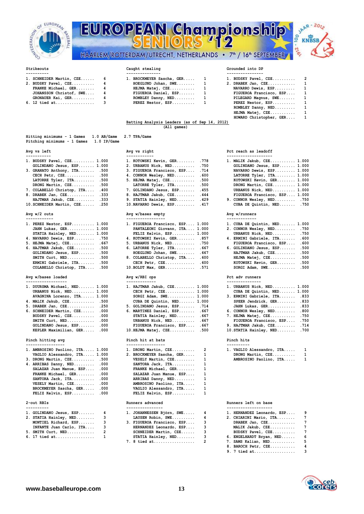

| ior<br>in.<br><b>LOSEDERATION</b> | $\frac{1}{2}$<br>HAARLEM/ROTTERDAM/UTRECHT, NETHERLANDS • 7 <sup>th</sup> / 16 <sup>th</sup> SEPTEMBER | Championship     | c<br>G<br>σ, |
|-----------------------------------|--------------------------------------------------------------------------------------------------------|------------------|--------------|
| Strikeouts                        | Caught stealing                                                                                        | Grounded into DP |              |

# **VBSB**

| 1. SCHNEIDER Martin, CZE | 6 |  |  |  |  |  |
|--------------------------|---|--|--|--|--|--|
| 2. BUDSKY Pavel, CZE     | 4 |  |  |  |  |  |
| FRANKE Michael, GER      | 4 |  |  |  |  |  |
| JOHANSSON Christof, SWE  |   |  |  |  |  |  |
| GRONAUER Kai, GER        | 4 |  |  |  |  |  |
| 6. 12 tied at            | ٩ |  |  |  |  |  |

| ----------                 |                             | . <u>- - - - - - - - - - - - - -</u> - |
|----------------------------|-----------------------------|----------------------------------------|
| 1. SCHNEIDER Martin, CZE 6 | 1. BROCKMEYER Sascha, GER 1 | 1. BUDSKY Pavel,                       |
| 2. BUDSKY Pavel, CZE 4     | HOEGLUND Johan, SWE 1       | 2. DRABEK Jan, C                       |
| FRANKE Michael, GER 4      | HEJMA Matei, CZE            | NAVARRO Dewis                          |
| JOHANSSON Christof, SWE 4  | FIGUEROA Daniel, ESP 1      | FIGUEROA Fran                          |
| GRONAUER Kai, GER 4        | ROMBLEY Danny, NED 1        | PILEGARD Magn                          |
| 6. 12 tied at 3            | PEREZ Nestor, ESP 1         | PEREZ Nestor,                          |
|                            |                             |                                        |

| 1. SCHNEIDER Martin, CZE 6 | 1. BROCKMEYER Sascha, GER 1 | 1. BUDSKY Pavel, CZE 2    |  |
|----------------------------|-----------------------------|---------------------------|--|
| 2. BUDSKY Pavel, CZE     4 | HOEGLUND Johan, SWE 1       | 2. DRABEK Jan, $CZE$ 1    |  |
| FRANKE Michael, GER 4      | $HEJMA Matei, CZE$ 1        | NAVARRO Dewis, ESP 1      |  |
| JOHANSSON Christof, SWE 4  | FIGUEROA Daniel, ESP 1      | FIGUEROA Francisco, ESP 1 |  |
| GRONAUER Kai, GER $4$      | ROMBLEY Danny, $NED$ 1      | PILEGARD Magnus, SWE 1    |  |
| 6. 12 tied at 3            | PEREZ Nestor, ESP 1         | PEREZ Nestor, ESP 1       |  |
|                            |                             | ROMBLEY Danny, NED 1      |  |
|                            |                             | HEJMA Matej, CZE 1        |  |
|                            |                             | HOWARD Christopher, GER 1 |  |

## **HOWARD Christopher, GER.... 1 Batting Analysis Leaders (as of Sep 14, 2012) (All games)**

| Hitting minimums - 1 Games              | $1.0$ AB/Game | 2.7 TPA/Game |
|-----------------------------------------|---------------|--------------|
| Pitching minimums - 1 Games 1.0 IP/Game |               |              |

| -----------                      |                                 |                               |
|----------------------------------|---------------------------------|-------------------------------|
| 1. BUDSKY Pavel, CZE 1.000       | 1. KOTOWSKI Kevin, GER .778     | 1. MALIK Jakub, CZE 1.000     |
| GOLINDANO Jesus, ESP 1.000       | 2. URBANUS Nick, NED .750       | GOLINDANO Jesus, ESP 1.000    |
| 3. GRANATO Anthony, ITA .500     | 3. FIGUEROA Francisco, ESP .714 | NAVARRO Dewis, ESP 1.000      |
| CECH Petr, $CZE$ .500            | 4. CONNOR Wesley, NED .600      | LATORRE Tyler, ITA 1.000      |
| LATORRE Tyler, $ITA$ .500        | 5. HEJMA Matej, CZE .500        | KOTOWSKI Kevin, GER 1.000     |
| DRONG Martin, CZE .500           | LATORRE Tyler, ITA .500         | DRONG Martin, CZE 1.000       |
| 7. COLABELLO Christop, ITA . 400 | 7. GOLINDANO Jesus, ESP . 455   | URBANUS Nick, NED 1.000       |
| 8. DRABEK Jan, CZE .333          | 8. HAJTMAR Jakub, CZE 444       | FIGUEROA Francisco, ESP 1.000 |
| HAJTMAR Jakub, CZE .333          | 9. STATIA Hainley, NED 429      | 9. CONNOR Wesley, NED .750    |

## 10.SCHNEIDER Martin, CZE...... .250 **10.NAVARRO Dewis, ESP.........** .417

## Avg w/2 outs

| 1. PEREZ Nestor, ESP 1.000                                       | 1. FIGUEROA Francisco, ESP 1.000 | 1. CUBA DE Quintin, NED 1.000 |
|------------------------------------------------------------------|----------------------------------|-------------------------------|
| JAHN Lukas, GER 1.000                                            | PANTALEONI Giovann, ITA 1.000    | 2. CONNOR Wesley, NED .750    |
| STATIA Hainley, NED 1.000                                        | FELIZ Kelvin, $ESP$ $1.000$      | URBANUS Nick, NED .750        |
| 4. NAVARRO Dewis, ESP .750                                       | 4. KOTOWSKI Kevin, GER .857      | 4. ERMINI Gabriele, ITA .600  |
| 5. HEJMA Matej, CZE .667                                         | 5. URBANUS Nick, NED .750        | FIGUEROA Francisco, ESP .600  |
| 6. HAJTMAR Jakub, $CZE$ .500                                     | 6. LATORRE Tyler, $ITA$ . 667    | 6. GOLINDANO Jesus, ESP .500  |
| GOLINDANO Jesus, ESP .500                                        | HOEGLUND Johan, SWE .667         | HAJTMAR Jakub, CZE .500       |
| SMITH $\texttt{Curt}, \texttt{NED} \dots \dots \dots \dots$ .500 | 8. COLABELLO Christop, ITA .600  | HEJMA Matej, CZE .500         |
| ERMINI Gabriele, ITA .500                                        | CECH Petr, $CZE$ .600            | KOTOWSKI Kevin, GER .500      |
| COLABELLO Christop, ITA .500                                     | $10.BOLDT Max, GER$ 571          | $SORGI$ Adam, $SWE$ .500      |

## **Avg w/bases loaded Avg w/RBI ops Pct adv runners**

| 1. DUURSMA Michael, NED 1.000                               | 1. HAJTMAR Jakub, CZE 1.000      | 1. URBANUS Nick, NED 1.000    |
|-------------------------------------------------------------|----------------------------------|-------------------------------|
| URBANUS Nick, NED 1.000                                     | CECH Petr, $CZE$ 1.000           | CUBA DE Quintin, NED 1.000    |
| AVAGNINA Lorenzo, ITA 1.000                                 | SORGI Adam, SWE $1.000$          | 3. ERMINI Gabriele, ITA .833  |
| 4. MALIK Jakub, CZE .500                                    | CUBA DE Quintin, NED 1.000       | SPEER Jendrick, GER .833      |
| 5. DRABEK Jan, CZE .250                                     | 5. GOLINDANO Jesus, ESP .714     | JAHN Lukas, GER .833          |
| 6. SCHNEIDER Martin, CZE .000                               | 6. MARTINEZ Daniel, ESP . 667    | 6. CONNOR Wesley, NED .800    |
| BUDSKY Pavel, CZE .000                                      | STATIA Hainley, NED .667         | 7. HEJMA Matej, CZE .750      |
| SMITH $\texttt{Curt}, \texttt{NED} \dots \dots \dots \dots$ | URBANUS Nick, NED .667           | FIGUEROA Francisco, ESP .750  |
| GOLINDANO Jesus, ESP .000                                   | FIGUEROA Francisco, ESP .667     | 9. HAJTMAR Jakub, CZE .714    |
| KEPLER Maximilian, GER .000                                 | $10.HEJMA Matei, CZE \ldots$ 500 | 10. STATIA Hainley, NED . 700 |
|                                                             |                                  |                               |

| 1. AMBROSINO Paolino, ITA 1.000 | 1. DRONG Martin, $CZE$ 2    | 1. VAGLIO Alessandro, ITA                                     | - 1 |
|---------------------------------|-----------------------------|---------------------------------------------------------------|-----|
| VAGLIO Alessandro, ITA 1.000    | 2. BROCKMEYER Sascha, GER 1 | DRONG Martin, CZE                                             | - 1 |
| 3. DRONG Martin, CZE .500       | $VESELY$ Martin, $CZE$ 1    | AMBROSINO Paolino, ITA                                        | -1  |
| 4. ARRIBAS Danny, NED .000      | SANTORA Jack, ITA           |                                                               |     |
| SALAZAR Juan Manue, ESP .000    | FRANKE Michael, GER 1       |                                                               |     |
| FRANKE Michael, GER .000        | SALAZAR Juan Manue, ESP 1   |                                                               |     |
| $SANTORA$ $Jack$ , $ITA$ .000   | ARRIBAS Danny, NED 1        |                                                               |     |
| VESELY Martin, CZE .000         | AMBROSINO Paolino, ITA 1    |                                                               |     |
| BROCKMEYER Sascha, GER .000     | VAGLIO Alessandro, ITA 1    |                                                               |     |
| FELIZ Kelvin, ESP .000          | FELIZ Kelvin, ESP           |                                                               |     |
| 2-out RBIs                      | Runners advanced            | Runners left on base                                          |     |
| ----------                      | ----------------            | --------------------                                          |     |
| 1. GOLINDANO Jesus, ESP 4       |                             | 1. JOHANNESSEN Björn, SWE 4      1. HERNANDEZ Leonardo, ESP 9 |     |
| 2. STATIA Hainley, NED 3        | LAUSEN Robin, SWE 4         | 2. CHIARINI Mario, ITA 7                                      |     |

| 2. STATIA Hainley, NED 3  | LAUSEN Robin, SWE 4          | 2. CHIARINI Mario, ITA   |  |
|---------------------------|------------------------------|--------------------------|--|
| MONTIEL Richard, ESP 3    | 3. FIGUEROA Francisco, ESP 3 | DRABEK Jan, CZE          |  |
| INFANTE Juan Carlo, ITA 3 | HERNANDEZ Leonardo, ESP 3    | MALIK Jakub, CZE         |  |
| $5.$ SMITH Curt, NED 2    | SCHNEIDER Martin, CZE 3      | BUDSKY Pavel, CZE        |  |
| 6. 17 tied at 1           | $STATIA$ Hainley, $NED$ 3    | 6. ENGELHARDT Brvan, NED |  |

| 1. KOTOWSKI Kevin, GER     | .77              |
|----------------------------|------------------|
| 2. URBANUS Nick, NED       | .75(             |
| 3. FIGUEROA Francisco, ESP | .71              |
| 4. CONNOR Wesley, NED      | .60(             |
| 5. HEJMA Matej, CZE        | .50(             |
| LATORRE Tyler, ITA         | .50(             |
| 7. GOLINDANO Jesus, ESP    | .45 <sub>1</sub> |
| 8. HAJTMAR Jakub, CZE      | .44              |
| 9. STATIA Hainley, NED     | .42              |
| 10 NAVARRO Devis ESP 41    |                  |

## **Avg w/2 outs Avg w/bases empty Avg w/runners**

| 1. FIGUEROA Francisco, ESP 1.000            |      |
|---------------------------------------------|------|
| PANTALEONI Giovann, ITA 1.000               |      |
| FELIZ Kelvin, ESP 1.000                     |      |
| 4. KOTOWSKI Kevin, GER .857                 |      |
| 5. URBANUS Nick, NED                        | .750 |
| 6. LATORRE Tyler, ITA                       | .667 |
| HOEGLUND Johan, SWE                         | .667 |
| 8. COLABELLO Christop, ITA                  | .600 |
| CECH Petr, CZE                              | .600 |
| $10.BOLDT Max, GER, \ldots, \ldots, \ldots$ | .571 |

| ------------------            |                              | ---------------  |
|-------------------------------|------------------------------|------------------|
| 1. DUURSMA Michael, NED 1.000 | 1. HAJTMAR Jakub, CZE 1.000  | 1. URBANUS Nick  |
| URBANUS Nick, NED 1.000       | CECH Petr, $CZE$ 1.000       | CUBA DE Quin     |
| AVAGNINA Lorenzo, ITA 1.000   | SORGI Adam, SWE $1.000$      | 3. ERMINI Gabri  |
| 4. MALIK Jakub, CZE .500      | CUBA DE Quintin, NED 1.000   | SPEER Jendri     |
| 5. DRABEK Jan, CZE .250       | 5. GOLINDANO Jesus, ESP .714 | JAHN Lukas,      |
| 6. SCHNEIDER Martin, CZE .000 | 6. MARTINEZ Daniel, ESP .667 | 6. CONNOR Wesle  |
| BUDSKY Pavel, CZE .000        | STATIA Hainley, NED .667     | 7. HEJMA Matej,  |
| SMITH $Curt, NED$ 000         | URBANUS Nick, NED .667       | FIGUEROA Fra     |
| GOLINDANO Jesus, ESP .000     | FIGUEROA Francisco, ESP .667 | 9. HAJTMAR Jaku  |
| KEPLER Maximilian, GER .000   | 10. HEJMA Matej, CZE . 500   | 10. STATIA Hainl |
|                               |                              |                  |

## **Pinch hitting avg Pinch hit at bats Pinch hits**

| 1. DRONG Martin, CZE      | 2 | 1. |
|---------------------------|---|----|
| 2. BROCKMEYER Sascha, GER | 1 |    |
| VESELY Martin, CZE        | 1 |    |
| SANTORA Jack, ITA         | 1 |    |
| FRANKE Michael, GER       | 1 |    |
| SALAZAR Juan Manue, ESP   | 1 |    |
| ARRIBAS Danny, NED        | 1 |    |
| AMBROSINO Paolino, ITA    | 1 |    |
| VAGLIO Alessandro, ITA    | 1 |    |
| FELIZ Kelvin, ESP         | 1 |    |

| 1. JOHANNESSEN Björn, SWE<br>LAUSEN Robin, SWE |
|------------------------------------------------|
| 3. FIGUEROA Francisco, ESP                     |
| HERNANDEZ Leonardo, ESP                        |
| SCHNEIDER Martin, CZE                          |
| STATIA Hainley, NED                            |
| 7. 8 tied at                                   |

## Avg vs left **Avg vs right** Avg vs right **Pct reach as leadoff**

| ι. | MALIK Jakub, CZE 1.000        |  |
|----|-------------------------------|--|
|    | GOLINDANO Jesus, ESP 1.000    |  |
|    | NAVARRO Dewis, ESP 1.000      |  |
|    | LATORRE Tyler, ITA 1.000      |  |
|    | KOTOWSKI Kevin, GER 1.000     |  |
|    | DRONG Martin, CZE 1.000       |  |
|    | URBANUS Nick, NED 1.000       |  |
|    | FIGUEROA Francisco, ESP 1.000 |  |
|    | . CONNOR Wesley, NED .750     |  |
|    | CUBA DE Quintin, NED .750     |  |
|    |                               |  |

| 1. CUBA DE Quintin, NED 1.000 |      |
|-------------------------------|------|
| 2. CONNOR Wesley, NED         | .750 |
| URBANUS Nick, NED             | .750 |
| 4. ERMINI Gabriele, ITA       | .600 |
| FIGUEROA Francisco, ESP       | .600 |
| 6. GOLINDANO Jesus, ESP       | .500 |
| HAJTMAR Jakub, CZE            | .500 |
| HEJMA Matej, CZE              | .500 |
| KOTOWSKI Kevin, GER           | .500 |
| SORGI Adam, SWE               | .500 |
|                               |      |

| 1. URBANUS Nick, NED 1.000 |      |
|----------------------------|------|
| CUBA DE Quintin, NED 1.000 |      |
| 3. ERMINI Gabriele, ITA    | .833 |
| SPEER Jendrick, GER        | .833 |
| JAHN Lukas, GER            | .833 |
| 6. CONNOR Wesley, NED      | .800 |
| 7. HEJMA Matej, CZE        | .750 |
| FIGUEROA Francisco, ESP    | .750 |
| 9. HAJTMAR Jakub, CZE      | .714 |
| 10. STATIA Hainley, NED    | .700 |
|                            |      |

| VAGLIO Alessandro, ITA |  |
|------------------------|--|
| DRONG Martin, CZE      |  |
| AMBROSINO Paolino, ITA |  |

## **2-out Runners advanced Runners left on base**

| 1. GOLINDANO Jesus, ESP 4 | 1. JOHANNESSEN Björn, SWE 4  | 1. HERNANDEZ Leonardo, ESP 9 |  |
|---------------------------|------------------------------|------------------------------|--|
| 2. STATIA Hainley, NED 3  | LAUSEN Robin, SWE 4          | 2. CHIARINI Mario, ITA 7     |  |
| MONTIEL Richard, ESP 3    | 3. FIGUEROA Francisco, ESP 3 | DRABEK Jan, CZE 7            |  |
| INFANTE Juan Carlo, ITA 3 | HERNANDEZ Leonardo, ESP 3    | MALIK Jakub, CZE 7           |  |
| 5. SMITH Curt, NED 2      | SCHNEIDER Martin, CZE 3      | BUDSKY Pavel, CZE 7          |  |
| 6. 17 tied at 1           | STATIA Hainley, NED 3        | 6. ENGELHARDT Bryan, NED 6   |  |
|                           |                              | 7. SAMS Kalian, NED 5        |  |
|                           |                              | 8. BAROCH Petr, CZE 4        |  |
|                           |                              | 9. 7 tied at 3               |  |
|                           |                              |                              |  |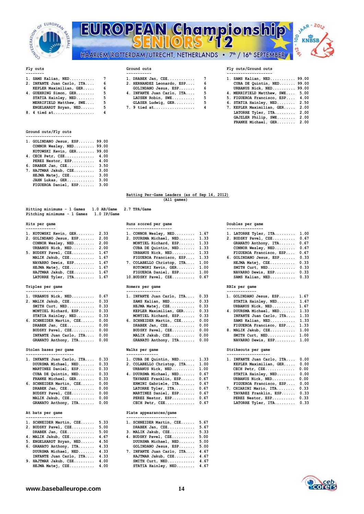

## **EUROPEAN Championshi** 12 oo -216 HAARLEM/ROTTERDAM/UTRECHT, NETHERLANDS • 7<sup>th</sup> / 16<sup>th</sup> SEPTEMBER

**1. SAMS Kalian, NED........... 7 1. DRABEK Jan, CZE............ 7 1. SAMS Kalian, NED........... 99.00**

**EXECUTE STATISTIC STATISTIC STATISTIC STATISTIC STATISTIC STATISTIC STATISTIC STATISTIC STATISTIC STATISTIC STATISTIC STATISTIC STATISTIC STATISTIC STATISTIC STATISTIC STATISTIC STATISTIC STATISTIC STATISTIC STATISTIC STA MERRIFIELD Matthew, SWE.... 5 GLASER Ludwig, GER......... 5 6. STATIA Hainley, NED........ 2.50**

**8. 8. 8. 8. 8. 4 TATORRE Tyler, ITA.......... 2.00** 



## Fly outs **Fly outs** Ground outs **Fly outs/Ground outs**

## ---------<br>1. SAMS Kalian, NED............ 7 1. DRABEK Jan, CZE............. 7

|                              |  | 1. DRABER VAII, C2E        |  | 1. JAMO Kallan, NED 33.00       |  |
|------------------------------|--|----------------------------|--|---------------------------------|--|
| 2. INFANTE Juan Carlo, ITA 6 |  | 2. HERNANDEZ Leonardo, ESP |  | CUBA DE Quintin, NED 99.00      |  |
| KEPLER Maximilian, GER 6     |  | GOLINDANO Jesus, ESP       |  | URBANUS Nick, NED 99.00         |  |
| 4. GUEHRING Simon, GER 5     |  | 4. INFANTE Juan Carlo, ITA |  | 4. MERRIFIELD Matthew, SWE 5.00 |  |
| STATIA Hainley, NED 5        |  | LAUSEN Robin, SWE          |  | 5. FIGUEROA Francisco, ESP 4.00 |  |
| MERRIFIELD Matthew, SWE 5    |  | GLASER Ludwig, GER         |  | 6. STATIA Hainley, NED 2.50     |  |
| ENCELHARDT Bruan NED 5       |  | $7 \t0$ tied at $4$        |  | 7 KEPLER Mayimilian GER 9 00    |  |

**ENGELHARDT Bryan, NED...... 5** 7. 9 tied at........................ 4 7. KEPLER Maximilian, GER..... 2.00<br>8. 4 tied at.................. 4 1 LATORRE Tyler, ITA......... 2.00

## **Ground outs/Fly outs**

| 1. GOLINDANO Jesus, ESP   | 99.00 |  |
|---------------------------|-------|--|
| CONNOR Wesley, NED        | 99.00 |  |
| KOTOWSKI Kevin, GER 99.00 |       |  |
| 4. CECH Petr, CZE         | 4.00  |  |
| PEREZ Nestor, ESP         | 4.00  |  |
| 6. DRABEK Jan, CZE        | 3.50  |  |
| 7. HAJTMAR Jakub, CZE     | 3.00  |  |
| HEJMA Matej, CZE          | 3.00  |  |
| JAHN Lukas, GER           | 3.00  |  |
| FIGUEROA Daniel, ESP      | 3.00  |  |

|  | Batting Per-Game Leaders (as of Sep 14, 2012) |             |  |  |  |
|--|-----------------------------------------------|-------------|--|--|--|
|  |                                               | (All games) |  |  |  |

 **GAJZLER Philip, SWE........ 2.00 FRANKE Michael, GER........ 2.00**

## **Hitting minimums - 1 Games 1.0 AB/Game 2.7 TPA/Game Pitching minimums - 1 Games 1.0 IP/Game**

| 1. KOTOWSKI Kevin, GER 2.33  |  | 1. CONNOR Wesley, NED $1.67$    |  | 1. LATORRE Tyler, ITA 1.00   |  |
|------------------------------|--|---------------------------------|--|------------------------------|--|
| 2. GOLINDANO Jesus, ESP 2.00 |  | 2. DUURSMA Michael, NED 1.33    |  | 2. BUDSKY Pavel, CZE 0.67    |  |
| CONNOR Wesley, $NED$ 2.00    |  | MONTIEL Richard, ESP 1.33       |  | GRANATO Anthony, ITA 0.67    |  |
| URBANUS Nick, NED 2.00       |  | CUBA DE Quintin, NED 1.33       |  | CONNOR Wesley, NED 0.67      |  |
| 5. BUDSKY Pavel, CZE 1.67    |  | URBANUS Nick, NED 1.33          |  | FIGUEROA Francisco, ESP 0.67 |  |
| MALIK Jakub, CZE 1.67        |  | FIGUEROA Francisco, ESP 1.33    |  | 6. GOLINDANO Jesus, ESP 0.33 |  |
| NAVARRO Dewis, ESP 1.67      |  | 7. COLABELLO Christop, ITA 1.00 |  | HEJMA Matej, CZE 0.33        |  |
| HEJMA Matej, CZE 1.67        |  | KOTOWSKI Kevin, GER 1.00        |  | SMITH $Curt, NED$ 0.33       |  |
| HAJTMAR Jakub, CZE. 1.67     |  | FIGUEROA Daniel, ESP. 1.00      |  | NAVARRO Dewis, ESP. 0.33     |  |

### **Triples per game Homers per game RBIs per game**

| ----------------              |                                 |                              |  |
|-------------------------------|---------------------------------|------------------------------|--|
| 1. URBANUS Nick, NED 0.67     | 1. INFANTE Juan Carlo, ITA 0.33 | 1. GOLINDANO Jesus, ESP 1.67 |  |
| 2. MALIK Jakub, CZE 0.33      | SAMS Kalian, $NED$ 0.33         | STATIA Hainley, NED 1.67     |  |
| SMITH $Curt, NED$ 0.33        | HEJMA Matej, CZE 0.33           | URBANUS Nick, NED 1.67       |  |
| MONTIEL Richard, ESP 0.33     | KEPLER Maximilian, GER 0.33     | 4. DUURSMA Michael, NED 1.33 |  |
| STATIA Hainley, NED 0.33      | MONTIEL Richard, ESP 0.33       | INFANTE Juan Carlo, ITA 1.33 |  |
| 6. SCHNEIDER Martin, CZE 0.00 | 6. SCHNEIDER Martin, CZE 0.00   | SAMS Kalian, NED 1.33        |  |
| DRABEK Jan, $CZE$ 0.00        | DRABEK Jan, $CZE$ 0.00          | FIGUEROA Francisco, ESP 1.33 |  |
| BUDSKY Pavel, CZE 0.00        | BUDSKY Pavel, CZE 0.00          | 8. MALIK Jakub, CZE 1.00     |  |
| INFANTE Juan Carlo, ITA 0.00  | MALIK Jakub, CZE 0.00           | SMITH $Curt, NED$ $1.00$     |  |
| GRANATO Anthony, ITA 0.00     | GRANATO Anthony, ITA 0.00       | NAVARRO Dewis, ESP 1.00      |  |

| 1. INFANTE Juan Carlo, ITA 0.33 | 1. CUBA DE Quintin, NED $1.33$  | 1. INFANTE Juan Carlo, ITA 0.00 |  |
|---------------------------------|---------------------------------|---------------------------------|--|
| DUURSMA Michael, NED 0.33       | 2. COLABELLO Christop, ITA 1.00 | KEPLER Maximilian, GER 0.00     |  |
| MARTINEZ Daniel, ESP 0.33       | URBANUS Nick, NED 1.00          | CECH Petr, $CZE$ 0.00           |  |
| CUBA DE Quintin, NED 0.33       | 4. DUURSMA Michael, NED 0.67    | STATIA Hainley, NED 0.00        |  |
| FRANKE Michael, GER 0.33        | TAVAREZ Franklin, ESP 0.67      | URBANUS Nick, NED 0.00          |  |
| 6. SCHNEIDER Martin, CZE 0.00   | ERMINI Gabriele, ITA 0.67       | FIGUEROA Francisco, ESP 0.00    |  |
| DRABEK Jan, $CZE$ 0.00          | LATORRE Tyler, $ITA$ $0.67$     | 7. CHIARINI Mario, ITA 0.33     |  |
| BUDSKY Pavel, CZE 0.00          | MARTINEZ Daniel, ESP 0.67       | TAVAREZ Franklin, ESP 0.33      |  |
| MALIK Jakub, CZE 0.00           | PEREZ Nestor, ESP 0.67          | PEREZ Nestor, ESP 0.33          |  |
|                                 |                                 |                                 |  |

| 1. SCHNEIDER Martin, CZE       | 5.33 | 1. SCHNEIDER Martin, CZE   | 5.67 |
|--------------------------------|------|----------------------------|------|
| 2. BUDSKY Pavel, CZE           | 5.00 | DRABEK Jan, CZE            | 5.67 |
| DRABEK $Jan, CZE$              | 5.00 | 3. MALIK Jakub, CZE        | 5.33 |
| 4. MALIK Jakub, CZE            | 4.67 | 4. BUDSKY Pavel, CZE       | 5.00 |
| 5. ENGELHARDT Bryan, NED       | 4.50 | DUURSMA Michael, NED       | 5.00 |
| 6. GRANATO Anthony, ITA 4.33   |      | GOLINDANO Jesus, ESP       | 5.00 |
| DUURSMA Michael, NED           | 4.33 | 7. INFANTE Juan Carlo, ITA | 4.67 |
| INFANTE Juan Carlo, ITA        | 4.33 | HAJTMAR Jakub, CZE         | 4.67 |
| 9. HAJTMAR Jakub, $CZE$ $4.00$ |      | SMITH $Curt, NED$ 4.67     |      |
| HEJMA Matej, CZE 4.00          |      | STATIA Hainley, NED 4.67   |      |

### **Hits per game Runs scored per game Doubles per game ------------- -------------------- ----------------**

| 1. KOTOWSKI Kevin, GER 2.33  |  | 1. CONNOR Wesley, NED $1.67$    |  | 1. LATORRE Tyler, ITA 1.00   |  |
|------------------------------|--|---------------------------------|--|------------------------------|--|
| 2. GOLINDANO Jesus, ESP 2.00 |  | 2. DUURSMA Michael, NED 1.33    |  | 2. BUDSKY Pavel, CZE 0.67    |  |
| CONNOR Wesley, $NED$ 2.00    |  | MONTIEL Richard, ESP 1.33       |  | GRANATO Anthony, ITA 0.67    |  |
| URBANUS Nick, NED 2.00       |  | CUBA DE Quintin, NED 1.33       |  | CONNOR Wesley, NED 0.67      |  |
| 5. BUDSKY Pavel, CZE 1.67    |  | URBANUS Nick, NED 1.33          |  | FIGUEROA Francisco, ESP 0.67 |  |
| MALIK Jakub, CZE 1.67        |  | FIGUEROA Francisco, ESP 1.33    |  | 6. GOLINDANO Jesus, ESP 0.33 |  |
| NAVARRO Dewis, ESP 1.67      |  | 7. COLABELLO Christop, ITA 1.00 |  | HEJMA Matej, CZE 0.33        |  |
| HEJMA Matej, CZE 1.67        |  | KOTOWSKI Kevin, GER 1.00        |  | SMITH $Curt, NED$ 0.33       |  |
| HAJTMAR Jakub, CZE 1.67      |  | FIGUEROA Daniel, ESP 1.00       |  | NAVARRO Dewis, ESP 0.33      |  |
| LATORRE Tyler, $ITA$ 1.67    |  | $10.BUDSKY$ Pavel, $CZE$ 0.67   |  | SAMS Kalian, NED 0.33        |  |
|                              |  |                                 |  |                              |  |

| 1. INFANTE Juan Carlo, ITA | 0.33 |
|----------------------------|------|
| SAMS Kalian, NED           | 0.33 |
| HEJMA Matej, CZE           | 0.33 |
| KEPLER Maximilian, GER     | 0.33 |
| MONTIEL Richard, ESP       | 0.33 |
| 6. SCHNEIDER Martin, CZE   | 0.00 |
| DRABEK Jan, CZE            | 0.00 |
| BUDSKY Pavel, CZE          | 0.00 |
| MALIK Jakub, CZE           | 0.00 |
| GRANATO Anthony, ITA       | 0.00 |
|                            |      |

| ----------------------          |                                 |                                 |  |
|---------------------------------|---------------------------------|---------------------------------|--|
| 1. INFANTE Juan Carlo, ITA 0.33 | 1. CUBA DE Quintin, NED $1.33$  | 1. INFANTE Juan Carlo, ITA 0.00 |  |
| DUURSMA Michael, NED 0.33       | 2. COLABELLO Christop, ITA 1.00 | KEPLER Maximilian, GER 0.00     |  |
| MARTINEZ Daniel, ESP 0.33       | URBANUS Nick, NED 1.00          | CECH Petr, $CZE$ 0.00           |  |
| CUBA DE Quintin, NED 0.33       | 4. DUURSMA Michael, NED 0.67    | STATIA Hainley, NED 0.00        |  |
| FRANKE Michael, GER 0.33        | TAVAREZ Franklin, ESP 0.67      | URBANUS Nick, NED 0.00          |  |
| 6. SCHNEIDER Martin, CZE 0.00   | ERMINI Gabriele, ITA 0.67       | FIGUEROA Francisco, ESP 0.00    |  |
| DRABEK Jan, $CZE$ 0.00          | LATORRE Tyler, $ITA$ $0.67$     | 7. CHIARINI Mario, ITA 0.33     |  |
| BUDSKY Pavel, CZE 0.00          | MARTINEZ Daniel, ESP 0.67       | TAVAREZ Franklin, ESP 0.33      |  |
| MALIK Jakub, CZE 0.00           | PEREZ Nestor, ESP 0.67          | PEREZ Nestor, ESP 0.33          |  |
| GRANATO Anthony, ITA 0.00       | CECH Petr, $CZE$ 0.67           | LATORRE Tyler, ITA 0.33         |  |
|                                 |                                 |                                 |  |

## At bats per game **Plate** appearances/game

| 1. SCHNEIDER Martin, CZE   | 5.67 |
|----------------------------|------|
| DRABEK Jan, CZE            | 5.67 |
| 3. MALIK Jakub, CZE        | 5.33 |
| 4. BUDSKY Pavel, CZE       | 5.00 |
| DUURSMA Michael, NED       | 5.00 |
| GOLINDANO Jesus, ESP       | 5.00 |
| 7. INFANTE Juan Carlo, ITA | 4.67 |
| HAJTMAR Jakub, CZE         | 4.67 |
| SMITH Curt, NED            | 4.67 |
| STATIA Hainley, NED.       | 4.67 |

| 1. LATORRE Tyler, ITA   | 1.00 |
|-------------------------|------|
| 2. BUDSKY Pavel, CZE    | 0.67 |
| GRANATO Anthony, ITA    | 0.67 |
| CONNOR Wesley, NED      | 0.67 |
| FIGUEROA Francisco, ESP | 0.67 |
| 6. GOLINDANO Jesus, ESP | 0.33 |
| HEJMA Matej, CZE        | 0.33 |
| SMITH Curt, NED         | 0.33 |
| NAVARRO Dewis, ESP      | 0.33 |

| ----------------              |                                 |                                                       |  |
|-------------------------------|---------------------------------|-------------------------------------------------------|--|
| 1. URBANUS Nick, NED 0.67     | 1. INFANTE Juan Carlo, ITA 0.33 | 1. GOLINDANO Jesus, ESP 1.67                          |  |
| 2. MALIK Jakub, CZE 0.33      | SAMS Kalian, NED 0.33           | STATIA Hainley, NED 1.67                              |  |
| SMITH $Curt, NED$ 0.33        | HEJMA Matej, $CZE$ 0.33         | URBANUS Nick, NED 1.67                                |  |
| MONTIEL Richard, ESP 0.33     | KEPLER Maximilian, GER 0.33     | 4. DUURSMA Michael, NED 1.33                          |  |
| STATIA Hainley, NED 0.33      | MONTIEL Richard, ESP 0.33       | INFANTE Juan Carlo, ITA 1.33                          |  |
| 6. SCHNEIDER Martin, CZE 0.00 | 6. SCHNEIDER Martin, CZE 0.00   | SAMS Kalian, NED 1.33                                 |  |
| DRABEK Jan, $CZE$ 0.00        | DRABEK Jan, $CZE$ 0.00          | FIGUEROA Francisco, ESP 1.33                          |  |
| BUDSKY Pavel, CZE 0.00        | BUDSKY Pavel, CZE 0.00          | 8. MALIK Jakub, CZE 1.00                              |  |
| INFANTE Juan Carlo, ITA 0.00  | MALIK Jakub, CZE 0.00           | SMITH $\text{Curt}, \text{NED}, \ldots, \ldots, 1.00$ |  |
| GRANATO Anthony, ITA 0.00     | GRANATO Anthony, ITA 0.00       | NAVARRO Dewis, ESP 1.00                               |  |
| Stolen bases per game         | Walks per game                  | Strikeouts per game                                   |  |

| 1. INFANTE Juan Carlo, ITA 0.33 | 1. CUBA DE Quintin, NED $1.33$       | 1. INFANTE Juan Carlo, ITA 0.00 |  |
|---------------------------------|--------------------------------------|---------------------------------|--|
| DUURSMA Michael, NED 0.33       | 2. COLABELLO Christop, ITA 1.00      | KEPLER Maximilian, GER 0.00     |  |
| MARTINEZ Daniel, ESP 0.33       | URBANUS Nick, NED 1.00               | CECH Petr, $CZE$ 0.00           |  |
| CUBA DE Quintin, NED 0.33       | 4. DUURSMA Michael, NED 0.67         | STATIA Hainley, NED 0.00        |  |
| FRANKE Michael, GER 0.33        | TAVAREZ Franklin, ESP 0.67           | URBANUS Nick, NED 0.00          |  |
| 6. SCHNEIDER Martin, CZE 0.00   | ERMINI Gabriele, ITA 0.67            | FIGUEROA Francisco, ESP 0.00    |  |
| DRABEK Jan, $CZE$ 0.00          | LATORRE Tyler, ITA 0.67              | 7. CHIARINI Mario, ITA 0.33     |  |
| BUDSKY Pavel, CZE 0.00          | MARTINEZ Daniel, ESP 0.67            | TAVAREZ Franklin, ESP 0.33      |  |
| MALIK Jakub, CZE 0.00           | PEREZ Nestor, ESP 0.67               | PEREZ Nestor, ESP 0.33          |  |
| $CDANZMO$ $X0 + h0 = 0$ $CDO$   | $CFCU$ $D_{\text{min}}$ $CFE$ $0.67$ | <b>TAMODOR Miller TMA</b> (22)  |  |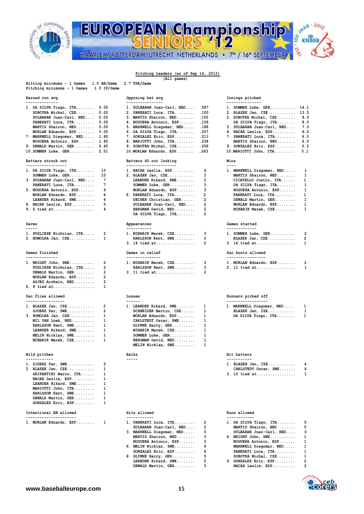

## $3^{hAP - 20}$ EUROPEAN Championship **O KNBSB 01.2%** HAARLEM/ROTTERDAM/UTRECHT, NETHERLANDS • 7<sup>th</sup> / 16<sup>th</sup> SEPTEMBER

## **Pitching Leaders (as of Sep 14, 2012) (All games)**

| 1.0 AB/Game<br>Hitting minimums - 1 Games<br>Pitching minimums - 1 Games<br>1.0 IP/Game | 2.7 TPA/Game                                                     |                                                                    |
|-----------------------------------------------------------------------------------------|------------------------------------------------------------------|--------------------------------------------------------------------|
| Earned run avg<br>--------------                                                        | Opposing bat avg<br>----------------                             | Innings pitched<br>---------------                                 |
| 1. DA SILVA Tiago, ITA<br>0.00                                                          | 1. SULBARAN Juan-Carl, NED<br>.087                               | 14.1<br>1. SOMMER Luke, GER                                        |
| SOBOTKA Michal, CZE<br>0.00                                                             | 2. PANERATI Luca, ITA<br>.100                                    | 13.2<br>2. BLAZEK Jan, CZE                                         |
| SULBARAN Juan-Carl, NED<br>0.00                                                         | .150<br>3. MARTIS Shairon, NED                                   | 8.0<br>3. SOBOTKA Michal, CZE                                      |
| 0.00<br>PANERATI Luca, ITA                                                              | 4. NOGUERA Antonio, ESP<br>.158                                  | 8.0<br>DA SILVA Tiago, ITA                                         |
| MARTIS Shairon, NED<br>0.00                                                             | 5. MARKWELL Diegomar, NED<br>.188                                | 7.0<br>5. SULBARAN Juan-Carl, NED                                  |
| MORLAN Eduardo, ESP<br>0.00                                                             | .207                                                             | 6.2<br>6. NACAR Leslie, ESP                                        |
|                                                                                         | 6. DA SILVA Tiago, ITA                                           | 6.0                                                                |
| 7. MARKWELL Diegomar, NED<br>1.80                                                       | 7. GONZALEZ Eric, ESP<br>.211                                    | 7. PANERATI Luca, ITA                                              |
| NOGUERA Antonio, ESP<br>1.80                                                            | 8. MARIOTTI John, ITA<br>.238                                    | 6.0<br>MARTIS Shairon, NED                                         |
| 9. DEWALD Martin, GER<br>2.45<br>$10.$ SOMMER Luke, GER $2.51$                          | 9. SOBOTKA Michal, CZE<br>.258<br>10.MORLAN Eduardo, ESP<br>.263 | 5.2<br>9. GONZALEZ Eric, ESP<br>$10.MARIOTTI$ John, $ITA$<br>5.1   |
| Batters struck out                                                                      | Batters SO out looking                                           | Wins                                                               |
| ------------------<br>1. DA SILVA Tiago, ITA<br>10                                      | ----------------------<br>1. NACAR Leslie, ESP<br>4              | $- - - -$<br>1<br>1. MARKWELL Diegomar, NED                        |
| 10<br>SOMMER Luke, GER                                                                  | з<br>2. BLAZEK Jan, CZE                                          | 1<br>MARTIS Shairon, NED                                           |
| 7<br>3. SULBARAN Juan-Carl, NED                                                         | з<br>LEANDER Rikard, SWE                                         | 1<br>CICATELLO Justin, ITA                                         |
| 7<br>PANERATI Luca, ITA                                                                 | 3<br>SOMMER Luke, GER                                            | 1<br>DA SILVA Tiago, ITA                                           |
| 6                                                                                       | 3                                                                | 1                                                                  |
| 5. NOGUERA Antonio, ESP<br>6                                                            | MORLAN Eduardo, ESP<br>2                                         | NOGUERA Antonio, ESP<br>$\mathbf 1$                                |
| MORLAN Eduardo, ESP                                                                     | 6. PANERATI Luca, ITA                                            | PANERATI Luca, ITA                                                 |
| 6<br>LEANDER Rikard, SWE                                                                | 2<br>DECHER Christian, GER                                       | 1<br>DEWALD Martin, GER                                            |
| 5<br>8. NACAR Leslie, ESP                                                               | 2<br>SULBARAN Juan-Carl, NED                                     | 1<br>MORLAN Eduardo, ESP                                           |
| 9. 6 tied at<br>4                                                                       | 2<br>BERGMAN David, NED<br>2<br>DA SILVA Tiago, ITA              | 1<br>MINARIK Marek, CZE                                            |
| Saves                                                                                   | Appearances                                                      | Games started                                                      |
| -----                                                                                   | -----------                                                      | -------------                                                      |
| 2<br>1. PUGLIESE Nicholas, ITA                                                          | 3<br>1. MINARIK Marek, CZE                                       | 2<br>1. SOMMER Luke, GER                                           |
| 1<br>2. HOMOLKA Jan, CZE                                                                | 3<br>KARLSSON Kent, SWE<br>$\overline{2}$<br>3. 14 tied at       | $\overline{2}$<br>BLAZEK Jan, CZE<br>$\mathbf 1$<br>$3.14$ tied at |
|                                                                                         |                                                                  |                                                                    |
| Games finished<br>--------------                                                        | Games in relief<br>---------------                               | Sac bunts allowed<br>-----------------                             |
| 2<br>1. WRIGHT John, SWE                                                                | 3<br>1. MINARIK Marek, CZE                                       | 2<br>1. MORLAN Eduardo, ESP                                        |
| 2<br>PUGLIESE Nicholas, ITA                                                             | з<br>KARLSSON Kent, SWE                                          | 1<br>2. 11 tied at                                                 |
| $\overline{2}$<br>DEWALD Martin, GER                                                    | 2<br>3. 11 tied at                                               |                                                                    |
| 2<br>MORLAN Eduardo, ESP                                                                |                                                                  |                                                                    |
| $\overline{\mathbf{2}}$<br>ASJES Arshwin, NED                                           |                                                                  |                                                                    |
| 6. 8 tied at<br>1                                                                       |                                                                  |                                                                    |
|                                                                                         |                                                                  |                                                                    |
| Sac flies allowed<br>-----------------                                                  | Losses<br>------                                                 | Runners picked off<br>------------------                           |
| 2<br>1. BLAZEK Jan, CZE                                                                 | 1<br>1. LEANDER Rikard, SWE                                      | 1. MARKWELL Diegomar, NED<br>1                                     |
|                                                                                         |                                                                  |                                                                    |
| 2<br>SJOERS Per, SWE                                                                    | SCHNEIDER Martin, CZE<br>1                                       | 1<br>BLAZEK Jan, CZE                                               |
| 1<br>3. HOMOLKA Jan, CZE                                                                | 1<br>MORLAN Eduardo, ESP                                         | $\mathbf{1}$<br>DA SILVA Tiago, ITA                                |
| 1<br>MIL VAN Loek, NED                                                                  | 1<br>CARLSTEDT Oscar, SWE                                        |                                                                    |
| 1<br>KARLSSON Kent, SWE                                                                 | 1<br>GLYNNE Harry, GER                                           |                                                                    |
| 1<br>LEANDER Rikard, SWE                                                                | 1<br>MINARIK Marek, CZE                                          |                                                                    |
| 1<br>MELIN Nicklas, SWE                                                                 | 1<br>SOMMER Luke, GER                                            |                                                                    |
| 1<br>MINARIK Marek, CZE                                                                 | 1<br>BERGMAN David, NED                                          |                                                                    |
|                                                                                         | 1<br>MELIN Nicklas, SWE                                          |                                                                    |
| Wild pitches                                                                            | Balks                                                            | Hit batters                                                        |
| 2<br>1. SJOERS Per, SWE                                                                 |                                                                  | 1. BLAZEK Jan, CZE<br>4                                            |
| 1<br>2. BLAZEK Jan, CZE                                                                 |                                                                  | 4<br>CARLSTEDT Oscar, SWE                                          |
| 1<br>GRIFANTINI Marco, ITA                                                              |                                                                  | 1<br>3. 10 tied at                                                 |
| NACAR Leslie, ESP<br>1                                                                  |                                                                  |                                                                    |
| 1<br>LEANDER Rikard, SWE                                                                |                                                                  |                                                                    |
| 1<br>MARIOTTI John, ITA                                                                 |                                                                  |                                                                    |
| 1                                                                                       |                                                                  |                                                                    |
| KARLSSON Kent, SWE                                                                      |                                                                  |                                                                    |
| DEWALD Martin, GER<br>1<br>GONZALEZ Eric, ESP<br>1                                      |                                                                  |                                                                    |
| Intentional BB allowed                                                                  | Hits allowed                                                     | Runs allowed                                                       |
| ----------------------<br>1. MORLAN Eduardo, ESP<br>1                                   | ------------<br>2<br>1. PANERATI Luca, ITA                       | ------------<br>1. DA SILVA Tiago, ITA<br>0                        |
|                                                                                         | 2<br>SULBARAN Juan-Carl, NED                                     | 0<br>MARTIS Shairon, NED                                           |
|                                                                                         | з<br>3. MARKWELL Diegomar, NED                                   | 0<br>SULBARAN Juan-Carl, NED                                       |
|                                                                                         | з                                                                | $\mathbf 1$                                                        |
|                                                                                         | MARTIS Shairon, NED                                              | 4. WRIGHT John, SWE                                                |

| 1. SOMMER Luke, GER 14.1       |     |
|--------------------------------|-----|
| 2. BLAZEK Jan, CZE 13.2        |     |
| 3. SOBOTKA Michal, CZE 8.0     |     |
| DA SILVA Tiago, ITA 8.0        |     |
| 5. SULBARAN Juan-Carl, NED 7.0 |     |
| $6.$ NACAR Leslie, ESP $6.2$   |     |
| 7. PANERATI Luca, ITA          | 6.0 |
| MARTIS Shairon, NED 6.0        |     |
| 9. GONZALEZ Eric, ESP 5.2      |     |
| 10. MARIOTTI John, ITA 5.1     |     |
|                                |     |
| Wins                           |     |
|                                |     |

| 1. MARKWELL Diegomar, NED |   |
|---------------------------|---|
| MARTIS Shairon, NED       | 1 |
| CICATELLO Justin, ITA     | 1 |
| DA SILVA Tiago, ITA       | 1 |
| NOGUERA Antonio, ESP      | 1 |
| PANERATI Luca, ITA        | 1 |
| DEWALD Martin, GER        | 1 |
| MORLAN Eduardo, ESP       | 1 |
| MINARIK Marek, CZE        | 1 |
|                           |   |

| 1. SOMMER Luke, GER | 2             |
|---------------------|---------------|
| BLAZEK Jan, CZE     | $\mathcal{P}$ |
|                     | 1.            |
| Sac bunts allowed   |               |

| 1. MORLAN Eduardo, ESP | $\overline{2}$ |
|------------------------|----------------|
| 2. 11 tied at          | 1              |

| 1. MARKWELL Diegomar, NED | 1 |
|---------------------------|---|
| BLAZEK Jan, CZE           | 1 |
| DA SILVA Tiago, ITA       | 1 |

| 1. BLAZEK Jan, CZE   |   |  |
|----------------------|---|--|
| CARLSTEDT Oscar, SWE | 4 |  |
| 3. 10 tied at        | 1 |  |

|  | 1. MORLAN Eduardo, ESP 1 |  | 1. PANERATI Luca, ITA 2     |             | 1. DA SILVA Tiago, ITA $0$ |  |
|--|--------------------------|--|-----------------------------|-------------|----------------------------|--|
|  |                          |  | SULBARAN Juan-Carl, NED 2   |             | MARTIS Shairon, NED 0      |  |
|  |                          |  | 3. MARKWELL Diegomar, NED 3 |             | SULBARAN Juan-Carl, NED 0  |  |
|  |                          |  | MARTIS Shairon, NED 3       |             | 4. WRIGHT John, SWE 1      |  |
|  |                          |  | NOGUERA Antonio, ESP 3      |             | NOGUERA Antonio, ESP 1     |  |
|  |                          |  | 6. MELIN Nicklas, $SWE$ 4   |             | MARKWELL Diegomar, NED 1   |  |
|  |                          |  | $GONZALEZ$ $Eric$ , $ESP$ 4 |             | PANERATI Luca, ITA 1       |  |
|  |                          |  | 8. GLYNNE Harry, GER        | 5           | SOBOTKA Michal, $CZE$ 1    |  |
|  |                          |  | LEANDER Rikard, SWE         | $5^{\circ}$ | 9. GONZALEZ Eric, ESP 2    |  |
|  |                          |  | DEWALD Martin, GER          |             | NACAR Leslie, $ESP$ 2      |  |
|  |                          |  |                             |             |                            |  |

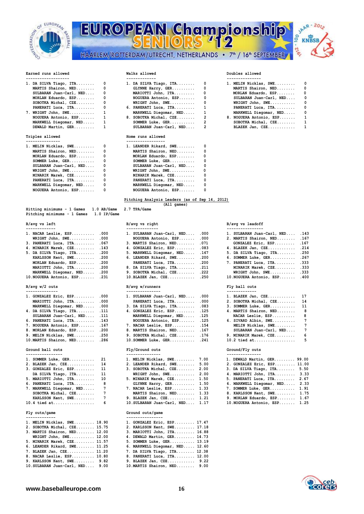

## EUROPEAN Championship 00 HAARLEM/ROTTERDAM/UTRECHT, NETHERLANDS • 7<sup>th</sup> / 16<sup>th</sup> SEPTEMBER



## **Earned runs allowed Walks allowed Doubles allowed**

| 1. DA SILVA Tiago, ITA  | 0            | 1. DA SILVA Tiago, |
|-------------------------|--------------|--------------------|
| MARTIS Shairon, NED     | 0            | GLYNNE Harry, G    |
| SULBARAN Juan-Carl, NED | $\Omega$     | MARIOTTI John,     |
| MORLAN Eduardo, ESP     | 0            | NOGUERA Antonio    |
| SOBOTKA Michal, CZE     | 0            | WRIGHT John, SW    |
| PANERATI Luca, ITA      | 0            | 6. PANERATI Luca,  |
| 7. WRIGHT John, SWE     | $\mathbf{1}$ | MARKWELL Diegom    |
| NOGUERA Antonio, ESP    | $\mathbf{1}$ | 8. SOBOTKA Michal, |
| MARKWELL Diegomar, NED  | 1            | SOMMER Luke, GE    |
| DEWALD Martin, GER      | 1            | SULBARAN Juan-C    |
|                         |              |                    |
| Triples allowed         |              | Home runs allowed  |
| --------------          |              | -----------------  |
| 1. MELIN Nicklas, SWE   | 0            | 1. LEANDER Rikard, |
| MARTIS Shairon, NED     | $\Omega$     | MARTIS Shairon,    |
| MORLAN Eduardo, ESP     | $\Omega$     | MORLAN Eduardo,    |
| SOMMER Luke, GER        | 0            | SOMMER Luke, GE    |
| SULBARAN Juan-Carl, NED | ٥            | SULBARAN Juan-C    |
| WRIGHT John, SWE        | 0            | WRIGHT John, SW    |
| MINARIK Marek, CZE      | 0            | MINARIK Marek,     |
| PANERATI Luca, ITA      | 0            | PANERATI Luca,     |
| MARKWELL Diegomar, NED  | O            | MARKWELL Diegom    |

| MELIN Nicklas, SWE      | O        |
|-------------------------|----------|
| MARTIS Shairon, NED     | $\Omega$ |
| MORLAN Eduardo, ESP     | $\Omega$ |
| SOMMER Luke, GER        | $\Omega$ |
| SULBARAN Juan-Carl, NED | $\Omega$ |
| WRIGHT John, SWE        | 0        |
| MINARIK Marek, CZE      | 0        |
| PANERATI Luca, ITA      | O        |
|                         |          |

**Hitting minimums - 1 Games 1.0 AB/Game 2.7 TPA/Game Pitching minimums - 1 Games 1.0 IP/Game** 

| 1. NACAR Leslie, ESP     | .000 |
|--------------------------|------|
| WRIGHT John, SWE         | .000 |
| 3. PANERATI Luca, ITA    | .067 |
| 4. MINARIK Marek, CZE    | .143 |
| 5. DA SILVA Tiago, ITA   | .200 |
| KARLSSON Kent, SWE       | .200 |
| MORLAN Eduardo, ESP      | .200 |
| MARIOTTI John, ITA       | .200 |
| MARKWELL Diegomar, NED   | .200 |
| 10. NOGUERA Antonio, ESP | .231 |

## B/avg w/2 outs

| 1. GONZALEZ Eric, ESP .000<br>1. BLAZEK Jan, CZE 17<br>1. SULBARAN Juan-Carl, NED .000<br>MARIOTTI John, ITA .000<br>2. SOBOTKA Michal, CZE 14<br>PANERATI Luca, ITA .000<br>MARKWELL Diegomar, NED .000<br>3. DA SILVA Tiago, ITA .083<br>3. SOMMER Luke, GER 11<br>4. DA SILVA Tiago, ITA .111<br>4. GONZALEZ Eric, ESP .125<br>4. MARTIS Shairon, NED 8<br>SULBARAN Juan-Carl, NED .111<br>MARKWELL Diegomar, NED .125<br>NACAR Leslie, ESP 8<br>6. SIVARD Albin, SWE 7<br>NOGUERA Antonio, ESP .125<br>6. PANERATI Luca, ITA $.143$<br>7. NOGUERA Antonio, ESP .167<br>7. NACAR Leslie, ESP 154<br>MELIN Nicklas, SWE<br>SULBARAN Juan-Carl, NED 7<br>8. MORLAN Eduardo, ESP .200<br>8. MARTIS Shairon, NED .167<br>9. MELIN Nicklas, SWE .250<br>9. SOBOTKA Michal, CZE 176<br>9. MINARIK Marek, CZE 6<br>10.2 tied at 5<br>10. MARTIS Shairon, NED .286<br>$10.50$ MMER Luke, GER .241 |  |  |  |  |     |  |
|----------------------------------------------------------------------------------------------------------------------------------------------------------------------------------------------------------------------------------------------------------------------------------------------------------------------------------------------------------------------------------------------------------------------------------------------------------------------------------------------------------------------------------------------------------------------------------------------------------------------------------------------------------------------------------------------------------------------------------------------------------------------------------------------------------------------------------------------------------------------------------------------|--|--|--|--|-----|--|
|                                                                                                                                                                                                                                                                                                                                                                                                                                                                                                                                                                                                                                                                                                                                                                                                                                                                                              |  |  |  |  |     |  |
|                                                                                                                                                                                                                                                                                                                                                                                                                                                                                                                                                                                                                                                                                                                                                                                                                                                                                              |  |  |  |  |     |  |
|                                                                                                                                                                                                                                                                                                                                                                                                                                                                                                                                                                                                                                                                                                                                                                                                                                                                                              |  |  |  |  |     |  |
|                                                                                                                                                                                                                                                                                                                                                                                                                                                                                                                                                                                                                                                                                                                                                                                                                                                                                              |  |  |  |  |     |  |
|                                                                                                                                                                                                                                                                                                                                                                                                                                                                                                                                                                                                                                                                                                                                                                                                                                                                                              |  |  |  |  |     |  |
|                                                                                                                                                                                                                                                                                                                                                                                                                                                                                                                                                                                                                                                                                                                                                                                                                                                                                              |  |  |  |  |     |  |
|                                                                                                                                                                                                                                                                                                                                                                                                                                                                                                                                                                                                                                                                                                                                                                                                                                                                                              |  |  |  |  | - 7 |  |
|                                                                                                                                                                                                                                                                                                                                                                                                                                                                                                                                                                                                                                                                                                                                                                                                                                                                                              |  |  |  |  |     |  |
|                                                                                                                                                                                                                                                                                                                                                                                                                                                                                                                                                                                                                                                                                                                                                                                                                                                                                              |  |  |  |  |     |  |
|                                                                                                                                                                                                                                                                                                                                                                                                                                                                                                                                                                                                                                                                                                                                                                                                                                                                                              |  |  |  |  |     |  |

 **Ground ball outs Fly/Ground outs Ground/Fly outs**

| 1. SOMMER Luke, GER $21$    |   | 1. MELIN Nicklas, SWE $7.00$     | 1. DEWALD Marti  |
|-----------------------------|---|----------------------------------|------------------|
| 2. BLAZEK Jan, CZE 14       |   | 2. LEANDER Rikard, SWE 5.00      | 2. GONZALEZ Eri  |
| 3. GONZALEZ Eric, ESP 11    |   | 3. SOBOTKA Michal, CZE 2.00      | 3. DA SILVA Tia  |
| DA SILVA Tiago, ITA 11      |   | WRIGHT John, SWE $2.00$          | 4. MARIOTTI Joh  |
| 5. MARIOTTI John, ITA 10    |   | 5. MINARIK Marek, CZE 1.50       | 5. PANERATI Luc  |
| 6. PANERATI Luca, ITA 8     |   | GLYNNE Harry, GER 1.50           | 6. MARKWELL Die  |
| 7. MARKWELL Diegomar, NED 7 |   | 7. NACAR Leslie, ESP 1.33        | 7. SOMMER Luke,  |
| SOBOTKA Michal, $CZE$ 7     |   | MARTIS Shairon, NED 1.33         | 8. KARLSSON Ken  |
| KARLSSON Kent, SWE          | 7 | 9. BLAZEK Jan, CZE 1.21          | 9. MORLAN Eduar  |
|                             |   | 10. SULBARAN Juan-Carl. NED 1.17 | 10. NOGUERA Anto |

## **------------- ----------------**

| 1. MELIN Nicklas, SWE 18.90      | 1. GONZALEZ Eric, ESP 17.47     |
|----------------------------------|---------------------------------|
| 2. SOBOTKA Michal, CZE 15.75     | 2. KARLSSON Kent, SWE 17.18     |
| 3. MARTIS Shairon, NED 12.00     | 3. MARIOTTI John, ITA 16.88     |
| WRIGHT John, SWE $12.00$         | 4. DEWALD Martin, GER 14.73     |
| 5. MINARIK Marek, CZE 11.57      | 5. SOMMER Luke, GER 13.19       |
| 6. LEANDER Rikard, SWE 11.25     | 6. MARKWELL Diegomar, NED 12.60 |
| 7. BLAZEK Jan, CZE 11.20         | 7. DA SILVA Tiago, ITA 12.38    |
| 8. NACAR Leslie, ESP 10.80       | 8. PANERATI Luca, ITA 12.00     |
| 9. KARLSSON Kent, SWE 9.82       | 9. BLAZEK Jan, CZE 9.22         |
| 10. SULBARAN Juan-Carl, NED 9.00 | 10.MARTIS Shairon, NED 9.00     |

| 1. DA SILVA Tiago, ITA  0 | 1. DA SILVA Tiago, ITA $0$ | 1. MELIN Nicklas, SWE   | - 0      |
|---------------------------|----------------------------|-------------------------|----------|
| MARTIS Shairon, NED 0     | $GLYNNE$ Harry, $GER$ 0    | MARTIS Shairon, NED     | - 0      |
| SULBARAN Juan-Carl, NED 0 | MARIOTTI John, ITA 0       | MORLAN Eduardo, ESP     | $\Omega$ |
| MORLAN Eduardo, ESP 0     | NOGUERA Antonio, ESP 0     | SULBARAN Juan-Carl, NED | 0        |
| SOBOTKA Michal, $CZE$ 0   | $WRIGHT John, SWE.$ 0      | WRIGHT John, SWE        | 0        |
| PANERATI Luca, ITA 0      | 6. PANERATI Luca, ITA 1    | PANERATI Luca, ITA      | - 0      |
|                           | MARKWELL Diegomar, NED 1   | MARKWELL Diegomar, NED  | 0        |
| NOGUERA Antonio, ESP 1    | 8. SOBOTKA Michal, CZE 2   | 8. NOGUERA Antonio, ESP | -1       |
| MARKWELL Diegomar, NED 1  | $SOMMER$ Luke, $GER$ 2     | SOBOTKA Michal, CZE     | - 1      |
| DEWALD Martin, GER 1      | SULBARAN Juan-Carl, NED 2  | BLAZEK Jan, CZE         | -1       |
| Triples allowed           | Home runs allowed          |                         |          |
| ---------------           |                            |                         |          |
|                           |                            |                         |          |

| 1. MELIN Nicklas, SWE   | $\mathbf{0}$ | 1. LEANDER Rikard, SWE  |   |
|-------------------------|--------------|-------------------------|---|
| MARTIS Shairon, NED     | $\mathbf 0$  | MARTIS Shairon, NED     | 0 |
| MORLAN Eduardo, ESP     | 0            | MORLAN Eduardo, ESP 0   |   |
| SOMMER Luke, $GER$ 0    |              | SOMMER Luke, $GER$ 0    |   |
| SULBARAN Juan-Carl, NED | 0            | SULBARAN Juan-Carl, NED | 0 |
| WRIGHT John, SWE        | 0            | $WRIGHT John, SWE$ 0    |   |
| MINARIK Marek, CZE      | 0            | MINARIK Marek, CZE 0    |   |
| PANERATI Luca, ITA      | 0            | PANERATI Luca, ITA 0    |   |
| MARKWELL Diegomar, NED  | 0            | MARKWELL Diegomar, NED  |   |
| NOGUERA Antonio, ESP    | 0            | NOGUERA Antonio, ESP    |   |
|                         |              |                         |   |

## **Pitching Analysis Leaders (as of Sep 14, 2012) (All games)**

| -------------                 |                                 |                                 |  |
|-------------------------------|---------------------------------|---------------------------------|--|
| $1.$ NACAR Leslie, ESP $.000$ | 1. SULBARAN Juan-Carl, NED .000 | 1. SULBARAN Juan-Carl, NED .143 |  |
| WRIGHT John, SWE .000         | NOGUERA Antonio, ESP .000       | 2. MARTIS Shairon, NED .167     |  |
| 3. PANERATI Luca, ITA .067    | 3. MARTIS Shairon, NED .071     | GONZALEZ Eric, ESP .167         |  |
| 4. MINARIK Marek, CZE .143    | 4. GONZALEZ Eric, ESP .083      | 4. BLAZEK Jan, CZE .214         |  |
| 5. DA SILVA Tiago, ITA .200   | 5. MARKWELL Diegomar, NED .167  | 5. DA SILVA Tiago, ITA .250     |  |
| KARLSSON Kent, SWE .200       | 6. LEANDER Rikard, SWE $.200$   | 6. SOMMER Luke, GER .267        |  |
| MORLAN Eduardo, ESP .200      | PANERATI Luca, ITA .200         | 7. PANERATI Luca, ITA .333      |  |
| MARIOTTI John, ITA .200       | 8. DA SILVA Tiago, ITA .211     | MINARIK Marek, CZE .333         |  |
| MARKWELL Diegomar, NED .200   | 9. SOBOTKA Michal, CZE .222     | WRIGHT John, SWE $333$          |  |
| 10. NOGUERA Antonio, ESP .231 |                                 | 10. NOGUERA Antonio, ESP . 400  |  |
|                               |                                 |                                 |  |

### **B/avg w/2 outs B/avg w/runners Fly ball outs -------------- --------------- -------------**

| 1. SULBARAN Juan-Carl, NED | .000 |
|----------------------------|------|
| PANERATI Luca, ITA         | .000 |
| 3. DA SILVA Tiago, ITA     | .083 |
| 4. GONZALEZ Eric, ESP      | .125 |
| MARKWELL Diegomar, NED     | .125 |
| NOGUERA Antonio, ESP       | .125 |
| 7. NACAR Leslie, ESP       | .154 |
| 8. MARTIS Shairon, NED     | .167 |
| 9. SOBOTKA Michal, CZE     | .176 |
| 10. SOMMER Luke, GER       | .241 |
|                            |      |

| ----------------            |                                   |                                |
|-----------------------------|-----------------------------------|--------------------------------|
| $1.$ SOMMER Luke, GER $21$  | 1. MELIN Nicklas, SWE $7.00$      | 1. DEWALD Martin, GER 99.00    |
| 2. BLAZEK Jan, CZE 14       | 2. LEANDER Rikard, $SWE$ $5.00$   | 2. GONZALEZ Eric, ESP 11.00    |
| 3. GONZALEZ Eric, ESP 11    | $3.$ SOBOTKA Michal, $CZE$ $2.00$ | 3. DA SILVA Tiago, ITA 5.50    |
| DA SILVA Tiago, ITA 11      | WRIGHT John, SWE $2.00$           | 4. MARIOTTI John, ITA 3.33     |
| 5. MARIOTTI John, ITA 10    | 5. MINARIK Marek, CZE 1.50        | 5. PANERATI Luca, ITA 2.67     |
| 6. PANERATI Luca, ITA 8     | GLYNNE Harry, GER 1.50            | 6. MARKWELL Diegomar, NED 2.33 |
| 7. MARKWELL Diegomar, NED 7 | 7. NACAR Leslie, ESP 1.33         | 7. SOMMER Luke, GER 1.91       |
| SOBOTKA Michal, CZE      7  | MARTIS Shairon, NED 1.33          | 8. KARLSSON Kent, SWE 1.75     |
| KARLSSON Kent, SWE 7        | 9. BLAZEK Jan, CZE 1.21           | 9. MORLAN Eduardo, ESP 1.67    |
| $10.4$ tied at $10.4$       | 10 SULBARAN Juan-Carl, NED. 1.17  | 10 NOGUERA Antonio, ESP. 1.25  |

### **Fly outs/game Ground outs/game**

| 1. MELIN Nicklas, SWE 18.90      | 1. GONZALEZ Eric, ESP 17.47     |
|----------------------------------|---------------------------------|
| 2. SOBOTKA Michal, CZE 15.75     | 2. KARLSSON Kent, SWE 17.18     |
| 3. MARTIS Shairon, NED 12.00     | 3. MARIOTTI John, ITA 16.88     |
| WRIGHT John, SWE 12.00           | 4. DEWALD Martin, GER 14.73     |
| 5. MINARIK Marek, CZE 11.57      | 5. SOMMER Luke, GER 13.19       |
| 6. LEANDER Rikard, SWE 11.25     | 6. MARKWELL Diegomar, NED 12.60 |
| 7. BLAZEK Jan, CZE 11.20         | 7. DA SILVA Tiago, ITA 12.38    |
| 8. NACAR Leslie, ESP 10.80       | 8. PANERATI Luca, ITA 12.00     |
| 9. KARLSSON Kent, SWE 9.82       | 9. BLAZEK Jan, CZE 9.22         |
| 10. SULBARAN Juan-Carl, NED 9.00 | 10. MARTIS Shairon, NED 9.00    |

| 1. MELIN Nicklas, SWE   |   |
|-------------------------|---|
| MARTIS Shairon, NED     | ٥ |
| MORLAN Eduardo, ESP     | 0 |
| SULBARAN Juan-Carl, NED | 0 |
| WRIGHT John, SWE        | 0 |
| PANERATI Luca, ITA      | 0 |
| MARKWELL Diegomar, NED  | O |
| 8. NOGUERA Antonio, ESP | 1 |
| SOBOTKA Michal, CZE     | 1 |
| BLAZEK Jan, CZE         | 1 |

### **B/avg vs left B/avg vs right B/avg vs leadoff ------------- -------------- ----------------**

| 1. NACAR Leslie, ESP .000     | 1. SULBARAN Juan-Carl, NED .000 | 1. SULBARAN Juan-Carl, NED .143 |  |
|-------------------------------|---------------------------------|---------------------------------|--|
| WRIGHT John, SWE .000         | NOGUERA Antonio, ESP .000       | 2. MARTIS Shairon, NED .167     |  |
| 3. PANERATI Luca, ITA .067    | 3. MARTIS Shairon, NED .071     | $GONZALEZ$ Eric, ESP .167       |  |
| 4. MINARIK Marek, CZE .143    | 4. GONZALEZ Eric, ESP .083      | 4. BLAZEK Jan, CZE .214         |  |
| 5. DA SILVA Tiago, ITA .200   | 5. MARKWELL Diegomar, NED .167  | 5. DA SILVA Tiago, ITA .250     |  |
| KARLSSON Kent, SWE .200       | 6. LEANDER Rikard, SWE .200     | 6. SOMMER Luke, GER .267        |  |
| MORLAN Eduardo, ESP .200      | PANERATI Luca, ITA .200         | 7. PANERATI Luca, ITA .333      |  |
| MARIOTTI John, ITA .200       | 8. DA SILVA Tiago, ITA . 211    | MINARIK Marek, CZE .333         |  |
| MARKWELL Diegomar, NED .200   | 9. SOBOTKA Michal, CZE .222     | WRIGHT John, SWE .333           |  |
| 10. NOGUERA Antonio, ESP .231 | 10. BLAZEK Jan, CZE . 250       | 10. NOGUERA Antonio, ESP . 400  |  |
|                               |                                 |                                 |  |

| 1. BLAZEK Jan, CZE      | 17              |
|-------------------------|-----------------|
| 2. SOBOTKA Michal, CZE  | 14              |
| 3. SOMMER Luke, GER     | 11              |
| 4. MARTIS Shairon, NED  | -8              |
| NACAR Leslie, ESP       | 8               |
| 6. SIVARD Albin, SWE    | $7\phantom{.0}$ |
| MELIN Nicklas, SWE      | 7               |
| SULBARAN Juan-Carl, NED | 7               |
| 9. MINARIK Marek, CZE   | 6               |
| 10.2 tied at            | 5               |
|                         |                 |

| ----------------            |                                  |                                |
|-----------------------------|----------------------------------|--------------------------------|
| $1.$ SOMMER Luke, GER $21$  | 1. MELIN Nicklas, SWE $7.00$     | 1. DEWALD Martin, GER 99.00    |
| 2. BLAZEK Jan, CZE 14       | 2. LEANDER Rikard, SWE $5.00$    | 2. GONZALEZ Eric, ESP 11.00    |
| 3. GONZALEZ Eric, ESP 11    | 3. SOBOTKA Michal, CZE 2.00      | 3. DA SILVA Tiago, ITA 5.50    |
| DA SILVA Tiago, ITA 11      | WRIGHT John, SWE $2.00$          | 4. MARIOTTI John, ITA 3.33     |
| 5. MARIOTTI John, ITA 10    | 5. MINARIK Marek, CZE 1.50       | 5. PANERATI Luca, ITA 2.67     |
| 6. PANERATI Luca, ITA 8     | GLYNNE Harry, $GER$ $1.50$       | 6. MARKWELL Diegomar, NED 2.33 |
| 7. MARKWELL Diegomar, NED 7 | 7. NACAR Leslie, ESP 1.33        | 7. SOMMER Luke, GER 1.91       |
| SOBOTKA Michal, CZE 7       | MARTIS Shairon, NED 1.33         | 8. KARLSSON Kent, SWE 1.75     |
| KARLSSON Kent, SWE 7        | 9. BLAZEK Jan, CZE 1.21          | 9. MORLAN Eduardo, ESP 1.67    |
| 10.4 tied at  6             | 10. SULBARAN Juan-Carl, NED 1.17 | 10. NOGUERA Antonio, ESP 1.25  |

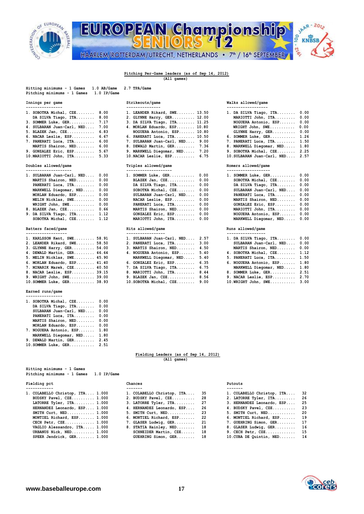

## JAAR - 2012 EUROPEAN Championship 00 **KNBSB** 11.216 HAARLEM/ROTTERDAM/UTRECHT, NETHERLANDS • 7<sup>th</sup> / 16<sup>th</sup> SEPTEMBER

## **Pitching Per-Game leaders (as of Sep 14, 2012) (All games)**

| Pitching minimums - 1 Games 1.0 IP/Game |                              |                             |
|-----------------------------------------|------------------------------|-----------------------------|
| Innings per game                        | Strikeouts/game              | Walks allowed/game          |
|                                         |                              |                             |
| 1. SOBOTKA Michal, $CZE$ 8.00           | 1. LEANDER Rikard, SWE 13.50 | 1. DA SILVA Tiago, ITA 0.00 |
| DA SILVA Tiago, ITA 8.00                | 2. GLYNNE Harry, GER 12.00   | MARIOTTI John, ITA 0.00     |
| 3. SOMMER Luke, GER 7.17                | 3. DA SILVA Tiago, ITA 11.25 | NOGUERA Antonio, ESP 0.00   |
| 4. SULBARAN Juan-Carl, NED 7.00         | 4. MORLAN Eduardo, ESP 10.80 | WRIGHT John, SWE 0.00       |
| 5. BLAZEK Jan, CZE 6.83                 | NOGUERA Antonio, ESP 10.80   | GLYNNE Harry, GER 0.00      |

| 6. NACAR Leslie, $ESP$ 6.67    | 6. PANERATI Luca, ITA $10.50$   | 6. SOMMER Luke, GER 1.26         |  |
|--------------------------------|---------------------------------|----------------------------------|--|
| 7. PANERATI Luca, ITA 6.00     | 7. SULBARAN Juan-Carl, NED 9.00 | 7. PANERATI Luca, ITA 1.50       |  |
| MARTIS Shairon, NED 6.00       | 8. DEWALD Martin, GER 7.36      | 8. MARKWELL Diegomar, NED 1.80   |  |
| 9. GONZALEZ Eric, ESP 5.67     | 9. MARKWELL Diegomar, NED 7.20  | 9. SOBOTKA Michal, CZE 2.25      |  |
| $10.MARIOTTI$ John, $ITA$ 5.33 | $10.NACAR$ Leslie, $ESP$ 6.75   | 10. SULBARAN Juan-Carl, NED 2.57 |  |

| --------------------            |                              |                              |  |
|---------------------------------|------------------------------|------------------------------|--|
| 1. SULBARAN Juan-Carl, NED 0.00 | 1. SOMMER Luke, $GER$ $0.00$ | 1. SOMMER Luke, GER 0.00     |  |
| MARTIS Shairon, NED 0.00        | BLAZEK Jan, CZE 0.00         | SOBOTKA Michal, CZE 0.00     |  |
| PANERATI Luca, ITA 0.00         | DA SILVA Tiago, ITA 0.00     | DA SILVA Tiago, ITA 0.00     |  |
| MARKWELL Diegomar, NED 0.00     | SOBOTKA Michal, CZE 0.00     | SULBARAN Juan-Carl, NED 0.00 |  |
| MORLAN Eduardo, ESP 0.00        | SULBARAN Juan-Carl, NED 0.00 | PANERATI Luca, ITA 0.00      |  |
| MELIN Nicklas, SWE 0.00         | NACAR Leslie, ESP 0.00       | MARTIS Shairon, NED 0.00     |  |
| WRIGHT John, SWE $0.00$         | PANERATI Luca, ITA 0.00      | GONZALEZ Eric, ESP 0.00      |  |
| 8. BLAZEK Jan, CZE 0.66         | MARTIS Shairon, NED 0.00     | MARIOTTI John, ITA 0.00      |  |
| 9. DA SILVA Tiago, ITA $1.12$   | GONZALEZ Eric, ESP 0.00      | NOGUERA Antonio, ESP 0.00    |  |
| SOBOTKA Michal, CZE 1.12        | MARIOTTI John, ITA 0.00      | MARKWELL Diegomar, NED 0.00  |  |

| 1. KARLSSON Kent, SWE 58.91  | 1. SULBARAN Juan-Carl, NED 2.57  | 1. DA SILVA Tiago, ITA 0.00   |  |
|------------------------------|----------------------------------|-------------------------------|--|
| 2. LEANDER Rikard, SWE 58.50 | 2. PANERATI Luca, ITA 3.00       | SULBARAN Juan-Carl, NED 0.00  |  |
| 3. GLYNNE Harry, GER 54.00   | 3. MARTIS Shairon, NED 4.50      | MARTIS Shairon, NED 0.00      |  |
| 4. DEWALD Martin, GER 46.64  | 4. NOGUERA Antonio, ESP 5.40     | 4. SOBOTKA Michal, CZE 1.12   |  |
| 5. MELIN Nicklas, SWE 45.90  | MARKWELL Diegomar, NED 5.40      | 5. PANERATI Luca, ITA 1.50    |  |
| 6. MORLAN Eduardo, ESP 41.40 | 6. GONZALEZ Eric, ESP 6.35       | 6. NOGUERA Antonio, ESP 1.80  |  |
| 7. MINARIK Marek, CZE 40.50  | 7. DA SILVA Tiago, ITA 6.75      | MARKWELL Diegomar, NED 1.80   |  |
| 8. NACAR Leslie, ESP 39.15   | 8. MARIOTTI John, ITA 8.44       | 8. SOMMER Luke, GER 2.51      |  |
| 9. WRIGHT John, SWE 39.00    | 9. BLAZEK Jan, CZE 8.56          | 9. NACAR Leslie, ESP 2.70     |  |
| $10.50$ MMER Luke, GER 38.93 | $10.$ SOBOTKA Michal, CZE $9.00$ | $10.$ WRIGHT John, SWE $3.00$ |  |

## **Earned runs/game**

| 1. SOBOTKA Michal, CZE  | 0.00 |
|-------------------------|------|
| DA SILVA Tiago, ITA     | 0.00 |
| SULBARAN Juan-Carl, NED | 0.00 |
| PANERATI Luca, ITA      | 0.00 |
| MARTIS Shairon, NED     | 0.00 |
| MORLAN Eduardo, ESP     | 0.00 |
| 7. NOGUERA Antonio, ESP | 1.80 |
| MARKWELL Diegomar, NED  | 1.80 |
| 9. DEWALD Martin, GER   | 2.45 |
| 10. SOMMER Luke, GER    | 2.51 |

**Hitting minimums - 1 Games Pitching minimums - 1 Games 1.0 IP/Game** 

| COLABELLO Christop, ITA 1.000 |  |
|-------------------------------|--|
| BUDSKY Pavel, CZE 1.000       |  |
| LATORRE Tyler, ITA 1.000      |  |
| HERNANDEZ Leonardo, ESP 1.000 |  |
| SMITH Curt, NED 1.000         |  |
| MONTIEL Richard, ESP 1.000    |  |
| CECH Petr, CZE 1.000          |  |
| VAGLIO Alessandro, ITA 1.000  |  |
| URBANUS Nick, NED 1.000       |  |
| SPEER Jendrick, GER 1.000     |  |

| Hitting minimums - 1 Games 1.0 AB/Game 2.7 TPA/Game |  |
|-----------------------------------------------------|--|
|                                                     |  |

| 1. LEANDER Rikard, SWE 13.50    |      |
|---------------------------------|------|
| 2. GLYNNE Harry, GER 12.00      |      |
| 3. DA SILVA Tiago, ITA 11.25    |      |
| 4. MORLAN Eduardo, ESP 10.80    |      |
| NOGUERA Antonio, ESP 10.80      |      |
| 6. PANERATI Luca, ITA 10.50     |      |
| 7. SULBARAN Juan-Carl, NED 9.00 |      |
| 8. DEWALD Martin, GER 7.36      |      |
| 9. MARKWELL Diegomar, NED 7.20  |      |
| 10 NACAR Loclic FCD             | 6 75 |

### **Doubles allowed/game Triples allowed/game Homers allowed/game**

| SOBOTKA Michal, CZE 1.12        | MARIOTTI John, ITA 0.00       | <b>MARKWELL Diego</b> |
|---------------------------------|-------------------------------|-----------------------|
| 9. DA SILVA Tiago, ITA $1.12$   | $GONZALEZ$ Eric, $ESP$ $0.00$ | NOGUERA Antoni        |
| 8. BLAZEK Jan, CZE 0.66         | MARTIS Shairon, NED 0.00      | MARIOTTI John,        |
| WRIGHT John, SWE $0.00$         | PANERATI Luca, ITA 0.00       | GONZALEZ Eric,        |
| MELIN Nicklas, SWE 0.00         | NACAR Leslie, ESP 0.00        | MARTIS Shairon        |
| MORLAN Eduardo, ESP 0.00        | SULBARAN Juan-Carl, NED 0.00  | PANERATI Luca,        |
| MARKWELL Diegomar, NED 0.00     | SOBOTKA Michal, $CZE$ $0.00$  | SULBARAN Juan-        |
| PANERATI Luca, ITA 0.00         | DA SILVA Tiago, ITA 0.00      | DA SILVA Tiago        |
| MARTIS Shairon, NED 0.00        | BLAZEK Jan, $CZE$ 0.00        | SOBOTKA Michal        |
| 1. SULBARAN Juan-Carl, NED 0.00 | $1.$ SOMMER Luke, GER $0.00$  | 1. SOMMER Luke, G     |

| ------------------             |                                 |  |                   |
|--------------------------------|---------------------------------|--|-------------------|
| 1. KARLSSON Kent, SWE 58.91    | 1. SULBARAN Juan-Carl, NED 2.57 |  | 1. DA SILVA Tiago |
| 2. LEANDER Rikard, SWE 58.50   | 2. PANERATI Luca, ITA 3.00      |  | SULBARAN Juan-    |
| 3. GLYNNE Harry, GER 54.00     | 3. MARTIS Shairon, NED 4.50     |  | MARTIS Shairon    |
| 4. DEWALD Martin, GER 46.64    | 4. NOGUERA Antonio, ESP 5.40    |  | 4. SOBOTKA Michal |
| 5. MELIN Nicklas, SWE 45.90    | MARKWELL Diegomar, NED 5.40     |  | 5. PANERATI Luca, |
| 6. MORLAN Eduardo, ESP 41.40   | 6. GONZALEZ Eric, ESP 6.35      |  | 6. NOGUERA Antoni |
| 7. MINARIK Marek, CZE 40.50    | 7. DA SILVA Tiago, ITA 6.75     |  | MARKWELL Diego    |
| 8. NACAR Leslie, ESP 39.15     | 8. MARIOTTI John, ITA 8.44      |  | 8. SOMMER Luke, G |
| 9. WRIGHT John, SWE 39.00      | 9. BLAZEK Jan, CZE 8.56         |  | 9. NACAR Leslie,  |
| $10 \,$ COMMED Table CED 38.03 | 10 SOBOTKA Mighal CZE 6.00      |  | 10 WRIGHT John S  |

### Strikeouts/game **Info@use Strikeouts/game** Walks allowed/game

| 1. SOBOTKA Michal, CZE 8.00     | 1. LEANDER Rikard, SWE 13.50    | 1. DA SILVA Tiago, ITA $0.00$         |  |
|---------------------------------|---------------------------------|---------------------------------------|--|
| DA SILVA Tiago, ITA 8.00        | 2. GLYNNE Harry, GER 12.00      | MARIOTTI John, ITA 0.00               |  |
| 3. SOMMER Luke, GER 7.17        | 3. DA SILVA Tiago, ITA 11.25    | NOGUERA Antonio, ESP 0.00             |  |
| 4. SULBARAN Juan-Carl, NED 7.00 | 4. MORLAN Eduardo, ESP 10.80    | WRIGHT John, SWE 0.00                 |  |
| 5. BLAZEK Jan, CZE 6.83         | NOGUERA Antonio, ESP 10.80      | GLYNNE Harry, GER 0.00                |  |
| 6. NACAR Leslie, $ESP$ 6.67     | 6. PANERATI Luca, ITA 10.50     | 6. SOMMER Luke, GER 1.26              |  |
| 7. PANERATI Luca, ITA 6.00      | 7. SULBARAN Juan-Carl, NED 9.00 | 7. PANERATI Luca, ITA 1.50            |  |
| MARTIS Shairon, NED 6.00        | 8. DEWALD Martin, GER 7.36      | 8. MARKWELL Diegomar, NED 1.80        |  |
| 9. GONZALEZ Eric, ESP 5.67      | 9. MARKWELL Diegomar, NED 7.20  | 9. SOBOTKA Michal, CZE 2.25           |  |
|                                 | 10 NACAR Leslie, ESP. 6.75      | $10.$ SULBARAN Juan-Carl. NED. $2.57$ |  |

| 1. SOMMER Luke, GER<br>SOBOTKA Michal, CZE<br>DA SILVA Tiago, ITA | 0.00<br>0.00<br>0.00 |
|-------------------------------------------------------------------|----------------------|
| SULBARAN Juan-Carl, NED                                           | 0.00                 |
| PANERATI Luca, ITA<br>MARTIS Shairon, NED                         | 0.00<br>0.00         |
| GONZALEZ Eric, ESP                                                | 0.00                 |
| MARIOTTI John, ITA                                                | 0.00                 |
| NOGUERA Antonio, ESP                                              | 0.00                 |
| MARKWELL Diegomar, NED                                            | 0.00                 |

| 1. DA SILVA Tiago, ITA  | 0.00 |
|-------------------------|------|
| SULBARAN Juan-Carl, NED | 0.00 |
| MARTIS Shairon, NED     | 0.00 |
| 4. SOBOTKA Michal, CZE  | 1.12 |
| 5. PANERATI Luca, ITA   | 1.50 |
| 6. NOGUERA Antonio, ESP | 1.80 |
| MARKWELL Diegomar, NED  | 1.80 |
| 8. SOMMER Luke, GER     | 2.51 |
| 9. NACAR Leslie, ESP    | 2.70 |
| 10. WRIGHT John, SWE    | 3.00 |

### **Fielding Leaders (as of Sep 14, 2012) (All games)**

**Fielding pct Chances Putouts ------------ ------- -------** 1. COLABELLO Christop, ITA.... 1.000 1. COLABELLO Christop, ITA.... 35  **BUDSKY Pavel, CZE.......... 1.000 2. BUDSKY Pavel, CZE.......... 28 2. LATORRE Tyler, ITA......... 26 LATORRE Tyler, ITA......... 1.000 3. LATORRE Tyler, ITA......... 27 3. HERNANDEZ Leonardo, ESP.... 25 4. HERNANDEZ Leonardo, ESP.... 26 4. BUDSKY A. BUDGER 1.** BUDGER 1. BUDGER 1. BUDGER 1. BUDGER 1. BUDGER 1. BUDGER 1. BUDGER 1. BUDGER 1. BUDGER 1. BUDGER 1. BUDGER 1. BUDGER 1. BUDGER 1. BUDGER 1. BUDGER 1. BUDGER 1. BU **5. SMITH Curt, NED........................ 23**<br>6. MONTIEL Richard, ESP.......... 22  **6. MONTIEL Richard, ESP....... 22 6 7. GLASER Ludwig, GER.............. 21 7.**<br>8. STATIA Hainley, NED......... 18 6. VAGLIO Alessandro, ITA..... 1.000 8. STATIA Hainley, NED........ 18 8. GLASER Ludwig, GER.......... 16<br>URBANUS Nick, NED.......... 1.000 SCHNEIDER Martin, CZE...... 18  **GUEHRING Simon, GER........ 18** 

| -----                      |    |
|----------------------------|----|
| 1. COLABELLO Christop, ITA | 32 |
| 2. LATORRE Tyler, ITA      | 26 |
| 3. HERNANDEZ Leonardo, ESP | 25 |
| 4. BUDSKY Pavel, CZE       | 23 |
| 5. SMITH Curt, NED         | 20 |
| 6. MONTIEL Richard, ESP    | 19 |
| 7. GUEHRING Simon, GER     | 17 |
| B. GLASER Ludwig, GER      | 16 |
| 9. CECH Petr, CZE          | 15 |
| 10. CUBA DE Quintin, NED   | 14 |

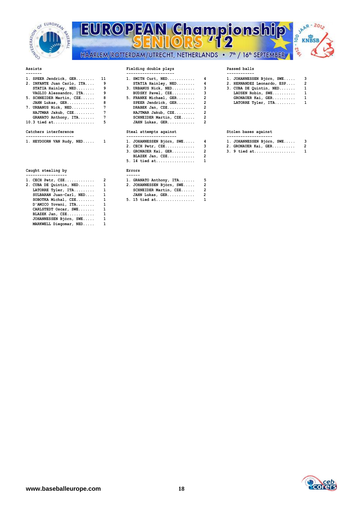

# **EUROPEAN Champions** EUROPEAN Championship HAARLEM/ROTTERDAM/UTRECHT, NETHERLANDS • 7<sup>th</sup> / 16<sup>th</sup> SEPTEMBER



|                            |   | ---------              |   |
|----------------------------|---|------------------------|---|
| 1. SPEER Jendrick, GER 11  |   | 1. SMITH Curt, NED     | 4 |
| 2. INFANTE Juan Carlo, ITA | 9 | STATIA Hainley, NED    | 4 |
| STATIA Hainley, NED        | 9 | 3. URBANUS Nick, NED   |   |
| VAGLIO Alessandro, ITA     | 9 | BUDSKY Pavel, CZE      |   |
| 5. SCHNEIDER Martin, CZE   | 8 | 5. FRANKE Michael, GER |   |
| JAHN Lukas, GER            | 8 | SPEER Jendrick, GER    |   |
| 7. URBANUS Nick, NED       | 7 | DRABEK Jan, CZE        |   |
| HAJTMAR Jakub, CZE         | 7 | HAJTMAR Jakub, CZE     | 2 |
| GRANATO Anthony, ITA       | 7 | SCHNEIDER Martin, CZE  |   |
| 10.3 tied $at$             | 5 | JAHN Lukas, GER        |   |

## Catchers interference

|  |  | 1. HEYDOORN VAN Rudy, NED |  |
|--|--|---------------------------|--|

### **Caught stealing by Errors**

| 1. CECH Petr, CZE       | $\overline{2}$ | 1. GRAN     |
|-------------------------|----------------|-------------|
| 2. CUBA DE Quintin, NED | 1              | 2. JOHA     |
| LATORRE Tyler, ITA      | 1              | <b>SCHN</b> |
| SULBARAN Juan-Carl, NED | 1              | <b>JAHN</b> |
| SOBOTKA Michal, CZE     | 1              | 5. 15 t     |
| D'AMICO Yovani, ITA     | 1              |             |
| CARLSTEDT Oscar, SWE    | 1              |             |
| BLAZEK Jan, CZE         | 1              |             |
| JOHANNESSEN Björn, SWE  | 1              |             |
| MARKWELL Diegomar, NED  |                |             |

| 1. SPEER Jendrick, GER 11       |   | 1. SMITH $\text{Curt}, \text{NED} \dots \dots \dots$ | 1. JOHANNESS     |
|---------------------------------|---|------------------------------------------------------|------------------|
| 2. INFANTE Juan Carlo, ITA    9 |   | STATIA Hainley, $NED$ 4                              | 2. HERNANDEZ     |
| STATIA Hainley, $NED$ 9         |   | 3. URBANUS Nick, NED 3                               | 3. CUBA DE Q     |
| VAGLIO Alessandro, ITA 9        |   | BUDSKY Pavel, CZE 3                                  | <b>LAUSEN Ro</b> |
| 5. SCHNEIDER Martin, CZE 8      |   | 5. FRANKE Michael, GER 2                             | GRONAUER         |
| JAHN Lukas, GER 8               |   | SPEER Jendrick, GER 2                                | <b>LATORRE T</b> |
| 7. URBANUS Nick, NED 7          |   | DRABEK Jan, CZE 2                                    |                  |
| HAJTMAR Jakub, CZE       7      |   | HAJTMAR Jakub, $CZE$ 2                               |                  |
| GRANATO Anthony, ITA 7          |   | SCHNEIDER Martin, CZE 2                              |                  |
| 10.3 tied at                    | 5 | JAHN Lukas, GER 2                                    |                  |
|                                 |   |                                                      |                  |

| 1. HEYDOORN VAN Rudy, NED 1 | 1. JOHANNESSEN Björn, SWE 4 | 1. JOHANNESSEN Björn, SWE 3 |  |
|-----------------------------|-----------------------------|-----------------------------|--|
|                             | $2.$ CECH Petr, CZE 3       | 2. GRONAUER Kai, GER 2      |  |
|                             | 3. GRONAUER Kai, GER 2      | 3. 9 tied at 1              |  |
|                             | BLAZEK Jan, CZE 2           |                             |  |
|                             | 5. 14 tied at 1             |                             |  |
|                             |                             |                             |  |

| 1. CECH Petr, CZE       | 1. GRANATO Anthony, ITA     |  |
|-------------------------|-----------------------------|--|
| 2. CUBA DE Quintin, NED | 2. JOHANNESSEN Björn, SWE 2 |  |
| LATORRE Tyler, ITA      | SCHNEIDER Martin, CZE 2     |  |
| SULBARAN Juan-Carl, NED | JAHN Lukas, GER             |  |
| SOBOTKA Michal, CZE     | 5. 15 tied at 1             |  |

| 1. SPEER Jendrick, GER 11    | 1. SMITH $\text{Curt}, \text{NED}, \ldots, \ldots, 4$ | 1. JOHANNESSEN Björn, SWE 3   |  |
|------------------------------|-------------------------------------------------------|-------------------------------|--|
| 2. INFANTE Juan Carlo, ITA 9 | STATIA Hainley, $NED$ 4                               | 2. HERNANDEZ Leonardo, ESP 2  |  |
| STATIA Hainley, NED 9        | 3. URBANUS Nick, NED 3                                | $3.$ CUBA DE Quintin, NED $1$ |  |
| VAGLIO Alessandro, ITA 9     | BUDSKY Pavel, CZE 3                                   | LAUSEN Robin, SWE 1           |  |
| 5. SCHNEIDER Martin, CZE 8   | 5. FRANKE Michael, GER 2                              | GRONAUER Kai, GER 1           |  |
| JAHN Lukas, GER 8            | SPEER Jendrick, GER 2                                 | LATORRE Tyler, $ITA$ 1        |  |
| 7. URBANUS Nick, NED 7       | DRABEK Jan, CZE 2                                     |                               |  |
| HAJTMAR Jakub, CZE       7   | HAJTMAR Jakub, $CZE$ 2                                |                               |  |
| GRANATO Anthony, ITA 7       | SCHNEIDER Martin, CZE 2                               |                               |  |

### Steal attempts against **Category Stolen bases** against

| --------------------- | ---------------------- | -------------------- |  |
|-----------------------|------------------------|----------------------|--|
|                       |                        |                      |  |
| NED.                  | SWE.                   | $SWE$                |  |
| HEYDOORN VAN          | <b>JOHANNESSEN</b>     | JOHANNESSEN          |  |
| Rudv                  | Biörn                  | <b>BIOrn</b>         |  |
|                       | $-$<br>______          | $-$<br>____________  |  |

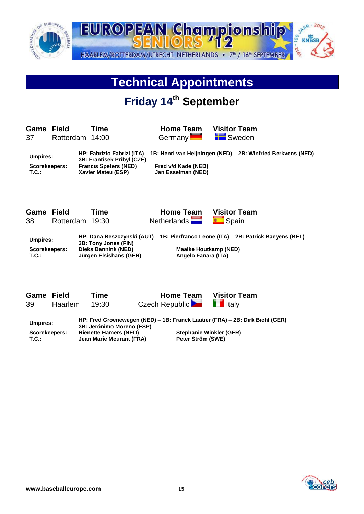

## **Technical Appointments**

## **Friday 14th September**

**Game Field Time Home Team Visitor Team** 37 Rotterdam 14:00 Germany Sweden

**Umpires: HP: Fabrizio Fabrizi (ITA) – 1B: Henri van Heijningen (NED) – 2B: Winfried Berkvens (NED) 3B: Frantisek Pribyl (CZE) Scorekeepers: Francis Speters (NED) Fred v/d Kade (NED) T.C.: Xavier Mateu (ESP) Jan Esselman (NED)**

**Game Field Time Home Team Visitor Team** 38 Rotterdam 19:30 Netherlands **Spain** Spain



**Umpires: HP: Dana Beszczynski (AUT) – 1B: Pierfranco Leone (ITA) – 2B: Patrick Baeyens (BEL) 3B: Tony Jones (FIN) Scorekeepers: Dieks Bannink (NED) Maaike Houtkamp (NED) T.C.: Jürgen Elsishans (GER) Angelo Fanara (ITA)**

| Game Field  |                | Time  | <b>Home Team</b>                                                          | <b>Visitor Team</b> |  |
|-------------|----------------|-------|---------------------------------------------------------------------------|---------------------|--|
| 39          | <b>Haarlem</b> | 19:30 | Czech Republic <b>De Land Limital Literature Czech Republic</b>           |                     |  |
| l Imnirae · |                |       | HP: Fred Groenewegen (NED) – 1B: Franck Lautier (FRA) – 2B: Dirk Biehl (G |                     |  |

**Umpires: HP: Fred Groenewegen (NED) – 1B: Franck Lautier (FRA) – 2B: Dirk Biehl (GER) 3B: Jerónimo Moreno (ESP) Scorekeepers: Rienette Hamers (NED) Stephanie Winkler (GER) T.C.: Jean Marie Meurant (FRA) Peter Ström (SWE)**